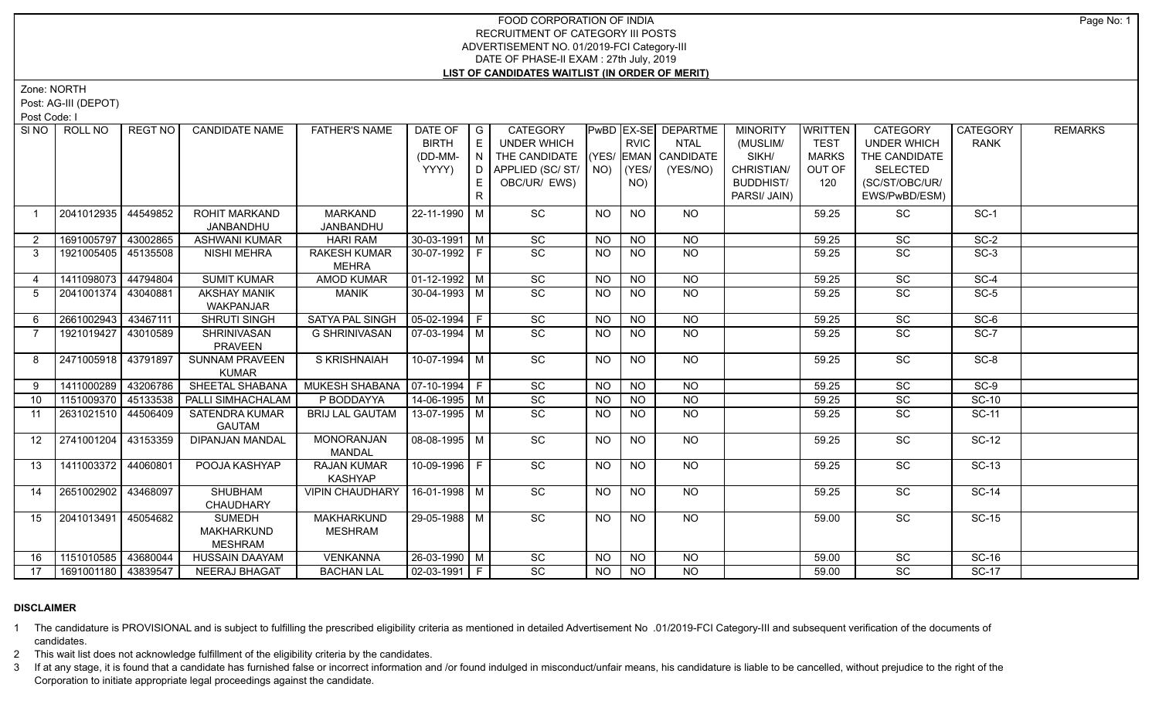Zone: NORTH

Post: AG-III (DEPOT)

Post Code: I

|                  | SINO ROLL NO          | REGT NO  | <b>CANDIDATE NAME</b>              | <b>FATHER'S NAME</b>            | DATE OF            | $\overline{G}$ | <b>CATEGORY</b>    |           |                | PwBD EX-SE DEPARTME    | <b>MINORITY</b>  | <b>WRITTEN</b> | <b>CATEGORY</b>    | <b>CATEGORY</b> | <b>REMARKS</b> |
|------------------|-----------------------|----------|------------------------------------|---------------------------------|--------------------|----------------|--------------------|-----------|----------------|------------------------|------------------|----------------|--------------------|-----------------|----------------|
|                  |                       |          |                                    |                                 | <b>BIRTH</b>       | $\mathsf E$    | <b>UNDER WHICH</b> |           | <b>RVIC</b>    | <b>NTAL</b>            | (MUSLIM/         | <b>TEST</b>    | <b>UNDER WHICH</b> | <b>RANK</b>     |                |
|                  |                       |          |                                    |                                 | (DD-MM-            | N              | THE CANDIDATE      |           |                | $(YES/EMAN)$ CANDIDATE | SIKH/            | <b>MARKS</b>   | THE CANDIDATE      |                 |                |
|                  |                       |          |                                    |                                 | YYYY)              | D              | APPLIED (SC/ST/    |           | $NO)$ (YES/    | (YES/NO)               | CHRISTIAN/       | OUT OF         | <b>SELECTED</b>    |                 |                |
|                  |                       |          |                                    |                                 |                    | E              | OBC/UR/ EWS)       |           | NO)            |                        | <b>BUDDHIST/</b> | 120            | (SC/ST/OBC/UR/     |                 |                |
|                  |                       |          |                                    |                                 |                    | R.             |                    |           |                |                        | PARSI/ JAIN)     |                | EWS/PwBD/ESM)      |                 |                |
| $\mathbf 1$      | 2041012935            | 44549852 | <b>ROHIT MARKAND</b>               | MARKAND                         | 22-11-1990 M       |                | SC                 | NO        | <b>NO</b>      | NO.                    |                  | 59.25          | SC                 | $SC-1$          |                |
|                  |                       |          | JANBANDHU                          | JANBANDHU                       |                    |                |                    |           |                |                        |                  |                |                    |                 |                |
| $\overline{2}$   | 1691005797            | 43002865 | <b>ASHWANI KUMAR</b>               | <b>HARI RAM</b>                 | $30 - 03 - 1991$ M |                | SC                 | <b>NO</b> | <b>NO</b>      | <b>NO</b>              |                  | 59.25          | SC                 | $SC-2$          |                |
| 3                | 1921005405            | 45135508 | <b>NISHI MEHRA</b>                 | <b>RAKESH KUMAR</b>             | 30-07-1992 F       |                | SC                 | NO.       | <b>NO</b>      | <b>NO</b>              |                  | 59.25          | SC                 | $SC-3$          |                |
|                  |                       |          |                                    | <b>MEHRA</b>                    |                    |                |                    |           |                |                        |                  |                |                    |                 |                |
| 4                | 1411098073            | 44794804 | <b>SUMIT KUMAR</b>                 | <b>AMOD KUMAR</b>               | $01-12-1992$ M     |                | SC                 | <b>NO</b> | <b>NO</b>      | <b>NO</b>              |                  | 59.25          | SC                 | $SC-4$          |                |
| 5                | 2041001374   43040881 |          | <b>AKSHAY MANIK</b>                | MANIK                           | $30 - 04 - 1993$ M |                | SC                 | <b>NO</b> | <b>NO</b>      | $\overline{NQ}$        |                  | 59.25          | SC                 | $SC-5$          |                |
|                  |                       |          | WAKPANJAR                          |                                 |                    |                |                    |           |                |                        |                  |                |                    |                 |                |
| 6                | 2661002943            | 43467111 | <b>SHRUTI SINGH</b>                | <b>SATYA PAL SINGH</b>          | $05-02-1994$ F     |                | $\overline{SC}$    | NO.       | N <sub>O</sub> | N <sub>O</sub>         |                  | 59.25          | $\overline{SC}$    | $SC-6$          |                |
|                  | 1921019427            | 43010589 | SHRINIVASAN                        | <b>G SHRINIVASAN</b>            | 07-03-1994   M     |                | $\overline{SC}$    | NO.       | <b>NO</b>      | N <sub>O</sub>         |                  | 59.25          | SC                 | $SC-7$          |                |
|                  |                       |          | PRAVEEN                            |                                 |                    |                |                    |           |                |                        |                  |                |                    |                 |                |
| 8                | 2471005918 43791897   |          | <b>SUNNAM PRAVEEN</b>              | S KRISHNAIAH                    | $10-07-1994$ M     |                | $\overline{SC}$    | NO        | <b>NO</b>      | N <sub>O</sub>         |                  | 59.25          | $\overline{SC}$    | $SC-8$          |                |
|                  |                       |          | <b>KUMAR</b>                       |                                 |                    |                |                    |           |                |                        |                  |                |                    |                 |                |
| 9                | 1411000289            | 43206786 | SHEETAL SHABANA                    | MUKESH SHABANA   07-10-1994   F |                    |                | SC                 | <b>NO</b> | <b>NO</b>      | $N$ O                  |                  | 59.25          | SC                 | $SC-9$          |                |
| 10               | 1151009370            | 45133538 | PALLI SIMHACHALAM                  | P BODDAYYA                      | 14-06-1995 M       |                | SC                 | <b>NO</b> | NO             | N <sub>O</sub>         |                  | 59.25          | SC                 | $SC-10$         |                |
| 11               | 2631021510            | 44506409 | SATENDRA KUMAR                     | <b>BRIJ LAL GAUTAM</b>          | 13-07-1995   M     |                | SC                 | NO.       | <b>NO</b>      | <b>NO</b>              |                  | 59.25          | SC                 | <b>SC-11</b>    |                |
|                  |                       |          | <b>GAUTAM</b>                      |                                 |                    |                |                    |           |                |                        |                  |                |                    |                 |                |
| 12 <sup>12</sup> | 2741001204            | 43153359 | <b>DIPANJAN MANDAL</b>             | <b>MONORANJAN</b>               | $08-08-1995$ M     |                | SC                 | NO        | <b>NO</b>      | <b>NO</b>              |                  | 59.25          | SC                 | <b>SC-12</b>    |                |
|                  |                       |          |                                    | <b>MANDAL</b>                   |                    |                |                    |           |                |                        |                  |                |                    |                 |                |
| 13               | 1411003372            | 44060801 | POOJA KASHYAP                      | <b>RAJAN KUMAR</b>              | 10-09-1996 F       |                | SC                 | <b>NO</b> | <b>NO</b>      | <b>NO</b>              |                  | 59.25          | SC                 | <b>SC-13</b>    |                |
|                  |                       |          |                                    | <b>KASHYAP</b>                  |                    |                |                    |           |                |                        |                  |                |                    |                 |                |
| 14               | 2651002902            | 43468097 | SHUBHAM                            | <b>VIPIN CHAUDHARY</b>          | 16-01-1998 M       |                | $\overline{SC}$    | NO.       | <b>NO</b>      | NO.                    |                  | 59.25          | <b>SC</b>          | <b>SC-14</b>    |                |
| 15               |                       |          | <b>CHAUDHARY</b>                   | <b>MAKHARKUND</b>               | 29-05-1988 M       |                | $\overline{SC}$    |           |                |                        |                  |                | $\overline{SC}$    |                 |                |
|                  | 2041013491            | 45054682 | <b>SUMEDH</b><br><b>MAKHARKUND</b> | <b>MESHRAM</b>                  |                    |                |                    | <b>NO</b> | <b>NO</b>      | <b>NO</b>              |                  | 59.00          |                    | <b>SC-15</b>    |                |
|                  |                       |          | <b>MESHRAM</b>                     |                                 |                    |                |                    |           |                |                        |                  |                |                    |                 |                |
| 16               | 1151010585            | 43680044 | HUSSAIN DAAYAM                     | VENKANNA                        | 26-03-1990 M       |                | SC                 | <b>NO</b> | <b>NO</b>      | NO.                    |                  | 59.00          | SC                 | <b>SC-16</b>    |                |
| 17               | 1691001180 43839547   |          | <b>NEERAJ BHAGAT</b>               | <b>BACHAN LAL</b>               | $02-03-1991$ F     |                | $\overline{SC}$    | <b>NO</b> | NO.            | $\overline{NO}$        |                  | 59.00          | $\overline{SC}$    | $SC-17$         |                |
|                  |                       |          |                                    |                                 |                    |                |                    |           |                |                        |                  |                |                    |                 |                |

### **DISCLAIMER**

1 The candidature is PROVISIONAL and is subject to fulfilling the prescribed eligibility criteria as mentioned in detailed Advertisement No .01/2019-FCI Category-III and subsequent verification of the documents of candidates.

2 This wait list does not acknowledge fulfillment of the eligibility criteria by the candidates.

3 If at any stage, it is found that a candidate has furnished false or incorrect information and /or found indulged in misconduct/unfair means, his candidature is liable to be cancelled, without prejudice to the right of t Corporation to initiate appropriate legal proceedings against the candidate.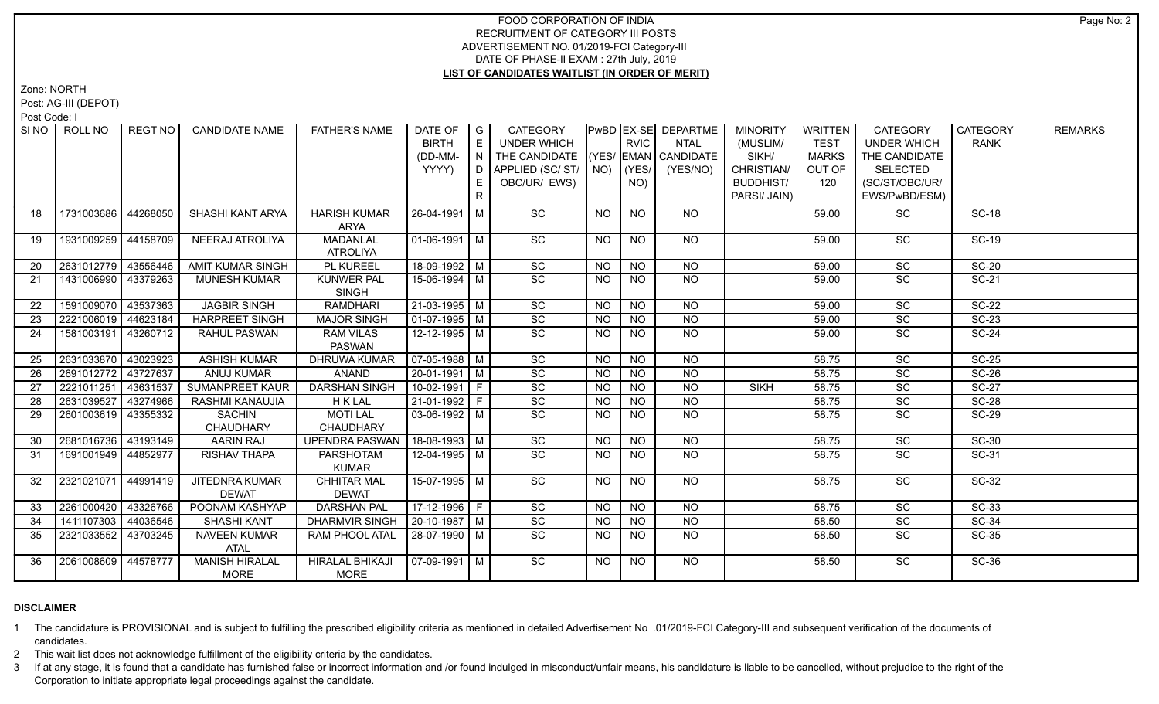Zone: NORTH

Post: AG-III (DEPOT)

Post Code: I

|    | SINO ROLL NO        | REGT NO  | <b>CANDIDATE NAME</b>   | <b>FATHER'S NAME</b>             | DATE OF                | $\overline{\phantom{a}}$ $\overline{\phantom{a}}$ | <b>CATEGORY</b>    |                 |                | <b>PwBD EX-SE DEPARTME</b> | <b>MINORITY</b>  | <b>WRITTEN</b> | <b>CATEGORY</b>    | <b>CATEGORY</b> | <b>REMARKS</b> |
|----|---------------------|----------|-------------------------|----------------------------------|------------------------|---------------------------------------------------|--------------------|-----------------|----------------|----------------------------|------------------|----------------|--------------------|-----------------|----------------|
|    |                     |          |                         |                                  | <b>BIRTH</b>           | E                                                 | <b>UNDER WHICH</b> |                 | <b>RVIC</b>    | <b>NTAL</b>                | (MUSLIM/         | <b>TEST</b>    | <b>UNDER WHICH</b> | <b>RANK</b>     |                |
|    |                     |          |                         |                                  | (DD-MM-                | N                                                 | THE CANDIDATE      |                 |                | (YES/ EMAN CANDIDATE       | SIKH/            | <b>MARKS</b>   | THE CANDIDATE      |                 |                |
|    |                     |          |                         |                                  | YYYY)                  | D                                                 | APPLIED (SC/ST/    |                 | $NO)$ (YES/    | (YES/NO)                   | CHRISTIAN/       | OUT OF         | <b>SELECTED</b>    |                 |                |
|    |                     |          |                         |                                  |                        | E                                                 | OBC/UR/ EWS)       |                 | NO)            |                            | <b>BUDDHIST/</b> | 120            | (SC/ST/OBC/UR/     |                 |                |
|    |                     |          |                         |                                  |                        | $\mathsf{R}$                                      |                    |                 |                |                            | PARSI/ JAIN)     |                | EWS/PwBD/ESM)      |                 |                |
| 18 | 1731003686          | 44268050 | SHASHI KANT ARYA        | <b>HARISH KUMAR</b>              | 26-04-1991   M         |                                                   | SC                 | NO.             | NO             | NO.                        |                  | 59.00          | SC                 | <b>SC-18</b>    |                |
|    |                     |          |                         | ARYA                             |                        |                                                   |                    |                 |                |                            |                  |                |                    |                 |                |
| 19 | 1931009259          | 44158709 | NEERAJ ATROLIYA         | <b>MADANLAL</b>                  | $01-06-1991$ M         |                                                   | SC                 | NO              | <b>NO</b>      | <b>NO</b>                  |                  | 59.00          | SC                 | <b>SC-19</b>    |                |
|    |                     |          |                         | <b>ATROLIYA</b>                  |                        |                                                   |                    |                 |                |                            |                  |                |                    |                 |                |
| 20 | 2631012779 43556446 |          | <b>AMIT KUMAR SINGH</b> | <b>PL KUREEL</b>                 | 18-09-1992 M           |                                                   | SC                 | <b>NO</b>       | N <sub>O</sub> | N <sub>O</sub>             |                  | 59.00          | SC                 | $SC-20$         |                |
| 21 | 1431006990 43379263 |          | <b>MUNESH KUMAR</b>     | <b>KUNWER PAL</b>                | 15-06-1994 M           |                                                   | $\overline{SC}$    | <b>NO</b>       | <b>NO</b>      | NO                         |                  | 59.00          | SC                 | SC-21           |                |
|    |                     |          |                         | <b>SINGH</b>                     |                        |                                                   |                    |                 |                |                            |                  |                |                    |                 |                |
| 22 | 1591009070          | 43537363 | <b>JAGBIR SINGH</b>     | <b>RAMDHARI</b>                  | 21-03-1995 M           |                                                   | $\overline{SC}$    | <b>NO</b>       | <b>NO</b>      | N <sub>O</sub>             |                  | 59.00          | <b>SC</b>          | $SC-22$         |                |
| 23 | 2221006019 44623184 |          | <b>HARPREET SINGH</b>   | <b>MAJOR SINGH</b>               | $01-07-1995$ M         |                                                   | SC                 | <b>NO</b>       | <b>NO</b>      | <b>NO</b>                  |                  | 59.00          | SC                 | <b>SC-23</b>    |                |
| 24 | 1581003191          | 43260712 | RAHUL PASWAN            | <b>RAM VILAS</b>                 | 12-12-1995 M           |                                                   | $\overline{SC}$    | NO.             | <b>NO</b>      | N <sub>O</sub>             |                  | 59.00          | SC                 | $SC-24$         |                |
|    |                     |          |                         | <b>PASWAN</b>                    |                        |                                                   |                    |                 |                |                            |                  |                |                    |                 |                |
| 25 | 2631033870          | 43023923 | <b>ASHISH KUMAR</b>     | DHRUWA KUMAR                     | $\boxed{07-05-1988}$ M |                                                   | $\overline{SC}$    | <b>NO</b>       | <b>NO</b>      | <b>NO</b>                  |                  | 58.75          | SC                 | $SC-25$         |                |
| 26 | 2691012772          | 43727637 | <b>ANUJ KUMAR</b>       | <b>ANAND</b>                     | $20 - 01 - 1991$ M     |                                                   | $\overline{SC}$    | <b>NO</b>       | N <sub>O</sub> | N <sub>O</sub>             |                  | 58.75          | $\overline{SC}$    | $SC-26$         |                |
| 27 | 2221011251          | 43631537 | <b>SUMANPREET KAUR</b>  | <b>DARSHAN SINGH</b>             | $10-02-1991$ F         |                                                   | $\overline{SC}$    | <b>NO</b>       | N <sub>O</sub> | $N$ O                      | <b>SIKH</b>      | 58.75          | $\overline{SC}$    | <b>SC-27</b>    |                |
| 28 | 2631039527          | 43274966 | RASHMI KANAUJIA         | <b>HKLAL</b>                     | 21-01-1992 F           |                                                   | $\overline{SC}$    | <b>NO</b>       | <b>NO</b>      | <b>NO</b>                  |                  | 58.75          | SC                 | <b>SC-28</b>    |                |
| 29 | 2601003619          | 43355332 | <b>SACHIN</b>           | <b>MOTI LAL</b>                  | $03-06-1992$ M         |                                                   | $\overline{SC}$    | <b>NO</b>       | <b>NO</b>      | <b>NO</b>                  |                  | 58.75          | <b>SC</b>          | $SC-29$         |                |
|    |                     |          | CHAUDHARY               | CHAUDHARY                        |                        |                                                   |                    |                 |                |                            |                  |                |                    |                 |                |
| 30 | 2681016736 43193149 |          | AARIN RAJ               | UPENDRA PASWAN                   | $18-08-1993$ M         |                                                   | SC                 | <b>NO</b>       | <b>NO</b>      | <b>NO</b>                  |                  | 58.75          | SC                 | <b>SC-30</b>    |                |
| 31 | 1691001949 44852977 |          | <b>RISHAV THAPA</b>     | <b>PARSHOTAM</b><br><b>KUMAR</b> | 12-04-1995   M         |                                                   | <b>SC</b>          | <b>NO</b>       | NO             | <b>NO</b>                  |                  | 58.75          | SC                 | SC-31           |                |
| 32 | 2321021071          | 44991419 | JITEDNRA KUMAR          | <b>CHHITAR MAL</b>               | 15-07-1995   M         |                                                   | SC                 | NO.             | NO.            | <b>NO</b>                  |                  | 58.75          | <b>SC</b>          | SC-32           |                |
|    |                     |          | <b>DEWAT</b>            | <b>DEWAT</b>                     |                        |                                                   |                    |                 |                |                            |                  |                |                    |                 |                |
| 33 | 2261000420          | 43326766 | POONAM KASHYAP          | <b>DARSHAN PAL</b>               | $17-12-1996$ F         |                                                   | SC                 | $\overline{NO}$ | N <sub>O</sub> | $\overline{NQ}$            |                  | 58.75          | $\overline{SC}$    | $SC-33$         |                |
| 34 | 1411107303          | 44036546 | <b>SHASHI KANT</b>      | <b>DHARMVIR SINGH</b>            | $20-10-1987$ M         |                                                   | SC                 | NO.             | <b>NO</b>      | $\overline{NO}$            |                  | 58.50          | SC                 | $SC-34$         |                |
| 35 | 2321033552          | 43703245 | NAVEEN KUMAR            | RAM PHOOL ATAL                   | 28-07-1990 M           |                                                   | $\overline{SC}$    | <b>NO</b>       | <b>NO</b>      | NO                         |                  | 58.50          | SC                 | <b>SC-35</b>    |                |
|    |                     |          | ATAL                    |                                  |                        |                                                   |                    |                 |                |                            |                  |                |                    |                 |                |
| 36 | 2061008609 44578777 |          | <b>MANISH HIRALAL</b>   | <b>HIRALAL BHIKAJI</b>           | $07-09-1991$ M         |                                                   | $\overline{SC}$    | NO              | <b>NO</b>      | NO                         |                  | 58.50          | <b>SC</b>          | $SC-36$         |                |
|    |                     |          | <b>MORE</b>             | MORE                             |                        |                                                   |                    |                 |                |                            |                  |                |                    |                 |                |

### **DISCLAIMER**

1 The candidature is PROVISIONAL and is subject to fulfilling the prescribed eligibility criteria as mentioned in detailed Advertisement No .01/2019-FCI Category-III and subsequent verification of the documents of candidates.

2 This wait list does not acknowledge fulfillment of the eligibility criteria by the candidates.

3 If at any stage, it is found that a candidate has furnished false or incorrect information and /or found indulged in misconduct/unfair means, his candidature is liable to be cancelled, without prejudice to the right of t Corporation to initiate appropriate legal proceedings against the candidate.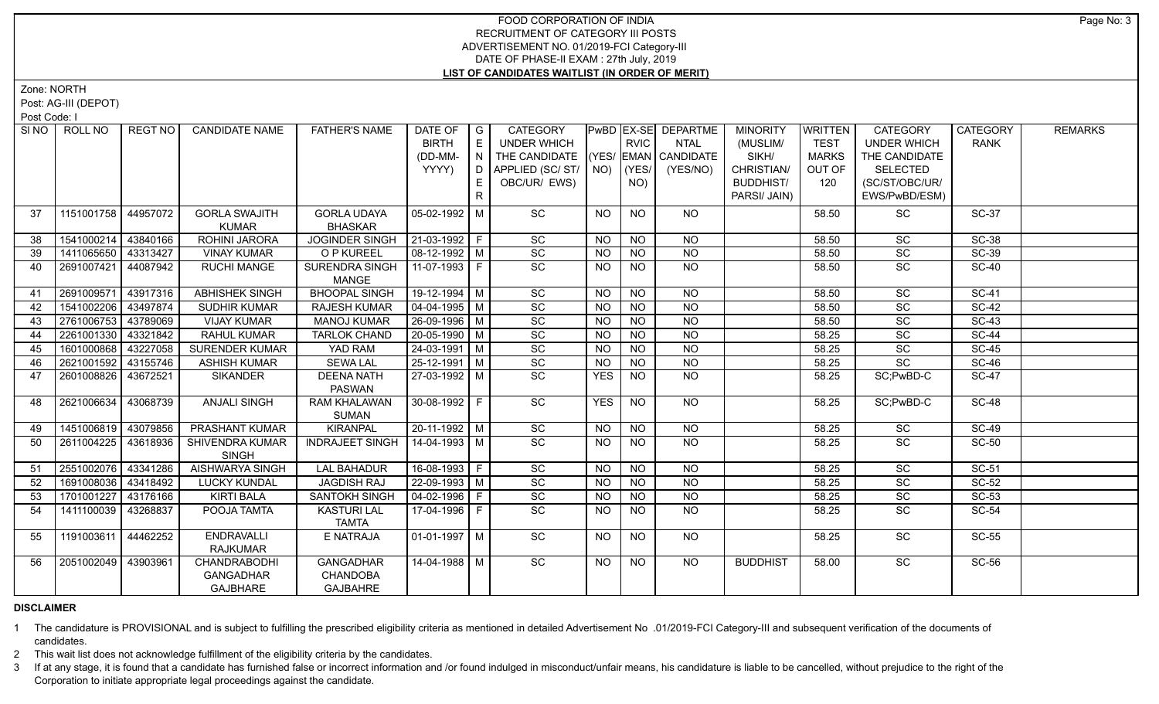Zone: NORTH

Post: AG-III (DEPOT)

Post Code: I

|                 | SINO   ROLL NO      | REGT NO I | <b>CANDIDATE NAME</b> | <b>FATHER'S NAME</b>   | DATE OF              | $\overline{G}$   | <b>CATEGORY</b>                    |                 |                 | PwBD EX-SE DEPARTME | <b>MINORITY</b>  | <b>WRITTEN</b> | <b>CATEGORY</b>    | <b>CATEGORY</b> | <b>REMARKS</b> |
|-----------------|---------------------|-----------|-----------------------|------------------------|----------------------|------------------|------------------------------------|-----------------|-----------------|---------------------|------------------|----------------|--------------------|-----------------|----------------|
|                 |                     |           |                       |                        | <b>BIRTH</b>         | E                | <b>UNDER WHICH</b>                 |                 | <b>RVIC</b>     | <b>NTAL</b>         | (MUSLIM/         | <b>TEST</b>    | <b>UNDER WHICH</b> | <b>RANK</b>     |                |
|                 |                     |           |                       |                        | (DD-MM-              | $\mathsf{LN}$ ). | THE CANDIDATE (YES/ EMAN CANDIDATE |                 |                 |                     | SIKH/            | <b>MARKS</b>   | THE CANDIDATE      |                 |                |
|                 |                     |           |                       |                        | YYYY)                | D                | APPLIED (SC/ST/                    |                 | $NO)$ (YES/     | (YES/NO)            | CHRISTIAN/       | OUT OF         | <b>SELECTED</b>    |                 |                |
|                 |                     |           |                       |                        |                      | E.               | OBC/UR/ EWS)                       |                 | NO)             |                     | <b>BUDDHIST/</b> | 120            | (SC/ST/OBC/UR/     |                 |                |
|                 |                     |           |                       |                        |                      | $\mathsf{R}$     |                                    |                 |                 |                     | PARSI/ JAIN)     |                | EWS/PwBD/ESM)      |                 |                |
| 37              | 1151001758          | 44957072  | <b>GORLA SWAJITH</b>  | <b>GORLA UDAYA</b>     | $05-02-1992$ M       |                  | SC                                 | <b>NO</b>       | <b>NO</b>       | <b>NO</b>           |                  | 58.50          | SC                 | <b>SC-37</b>    |                |
|                 |                     |           | <b>KUMAR</b>          | <b>BHASKAR</b>         |                      |                  |                                    |                 |                 |                     |                  |                |                    |                 |                |
| 38              | 1541000214          | 43840166  | <b>ROHINI JARORA</b>  | <b>JOGINDER SINGH</b>  | 21-03-1992 F         |                  | SC                                 | NO              | <b>NO</b>       | <b>NO</b>           |                  | 58.50          | SC                 | <b>SC-38</b>    |                |
| 39              | 1411065650          | 43313427  | <b>VINAY KUMAR</b>    | O P KUREEL             | 08-12-1992 M         |                  | SC                                 | <b>NO</b>       | <b>NO</b>       | $\overline{NQ}$     |                  | 58.50          | SC                 | <b>SC-39</b>    |                |
| 40              | 2691007421          | 44087942  | <b>RUCHI MANGE</b>    | <b>SURENDRA SINGH</b>  | 11-07-1993 F         |                  | <b>SC</b>                          | NO.             | <b>NO</b>       | <b>NO</b>           |                  | 58.50          | SC                 | <b>SC-40</b>    |                |
|                 |                     |           |                       | <b>MANGE</b>           |                      |                  |                                    |                 |                 |                     |                  |                |                    |                 |                |
| 41              | 2691009571          | 43917316  | <b>ABHISHEK SINGH</b> | <b>BHOOPAL SINGH</b>   | 19-12-1994 M         |                  | SC                                 | $\overline{NQ}$ | N <sub>O</sub>  | $\overline{NQ}$     |                  | 58.50          | $\overline{SC}$    | $SC-41$         |                |
| 42              | 1541002206          | 43497874  | <b>SUDHIR KUMAR</b>   | <b>RAJESH KUMAR</b>    | $04 - 04 - 1995$ M   |                  | $\overline{SC}$                    | NO.             | $\overline{NQ}$ | $\overline{NO}$     |                  | 58.50          | SC                 | $SC-42$         |                |
| 43              | 2761006753          | 43789069  | <b>VIJAY KUMAR</b>    | <b>MANOJ KUMAR</b>     | 26-09-1996 M         |                  | SC                                 | <b>NO</b>       | $\overline{NQ}$ | N <sub>O</sub>      |                  | 58.50          | SC                 | $SC-43$         |                |
| 44              | 2261001330          | 43321842  | <b>RAHUL KUMAR</b>    | <b>TARLOK CHAND</b>    | $20 - 05 - 1990$ M   |                  | $\overline{SC}$                    | <b>NO</b>       | $\overline{NQ}$ | $\overline{NQ}$     |                  | 58.25          | $\overline{SC}$    | <b>SC-44</b>    |                |
| 45              | 1601000868          | 43227058  | <b>SURENDER KUMAR</b> | YAD RAM                | $24 - 03 - 1991$ M   |                  | SC                                 | <b>NO</b>       | N <sub>O</sub>  | $\overline{NQ}$     |                  | 58.25          | $\overline{SC}$    | <b>SC-45</b>    |                |
| 46              | 2621001592          | 43155746  | <b>ASHISH KUMAR</b>   | <b>SEWA LAL</b>        | 25-12-1991 M         |                  | SC                                 | <b>NO</b>       | <b>NO</b>       | <b>NO</b>           |                  | 58.25          | SC                 | <b>SC-46</b>    |                |
| 47              | 2601008826 43672521 |           | <b>SIKANDER</b>       | <b>DEENA NATH</b>      | 27-03-1992 M         |                  | SC                                 | <b>YES</b>      | $\overline{NQ}$ | $\overline{NQ}$     |                  | 58.25          | SC;PwBD-C          | $SC-47$         |                |
|                 |                     |           |                       | <b>PASWAN</b>          |                      |                  |                                    |                 |                 |                     |                  |                |                    |                 |                |
| 48              | 2621006634          | 43068739  | <b>ANJALI SINGH</b>   | <b>RAM KHALAWAN</b>    | 30-08-1992 F         |                  | SC                                 | <b>YES</b>      | <b>NO</b>       | NO                  |                  | 58.25          | SC;PwBD-C          | <b>SC-48</b>    |                |
|                 |                     |           |                       | SUMAN                  |                      |                  |                                    |                 |                 |                     |                  |                |                    |                 |                |
| 49              | 1451006819 43079856 |           | PRASHANT KUMAR        | <b>KIRANPAL</b>        | 20-11-1992 M         |                  | SC                                 | <b>NO</b>       | <b>NO</b>       | <b>NO</b>           |                  | 58.25          | SC                 | <b>SC-49</b>    |                |
| 50              | 2611004225          | 43618936  | SHIVENDRA KUMAR       | <b>INDRAJEET SINGH</b> | 14-04-1993 M         |                  | $\overline{SC}$                    | NO.             | <b>NO</b>       | <b>NO</b>           |                  | 58.25          | <b>SC</b>          | <b>SC-50</b>    |                |
|                 |                     |           | <b>SINGH</b>          |                        |                      |                  |                                    |                 |                 |                     |                  |                |                    |                 |                |
| 51              | 2551002076          | 43341286  | AISHWARYA SINGH       | <b>LAL BAHADUR</b>     | $16-08-1993$ F       |                  | SC                                 | NO              | NO              | N <sub>O</sub>      |                  | 58.25          | SC                 | $SC-51$         |                |
| 52 <sub>2</sub> | 1691008036 43418492 |           | <b>LUCKY KUNDAL</b>   | <b>JAGDISH RAJ</b>     | $22-09-1993$ M       |                  | SC                                 | <b>NO</b>       | N <sub>O</sub>  | N <sub>O</sub>      |                  | 58.25          | $\overline{SC}$    | $SC-52$         |                |
| 53              | 1701001227          | 43176166  | <b>KIRTI BALA</b>     | <b>SANTOKH SINGH</b>   | $04 - 02 - 1996$   F |                  | SC                                 | <b>NO</b>       | <b>NO</b>       | $N$ O               |                  | 58.25          | SC                 | SC-53           |                |
| 54              | 1411100039          | 43268837  | POOJA TAMTA           | <b>KASTURI LAL</b>     | 17-04-1996 F         |                  | SC                                 | NO              | <b>NO</b>       | NO                  |                  | 58.25          | <b>SC</b>          | <b>SC-54</b>    |                |
|                 |                     |           |                       | <b>TAMTA</b>           |                      |                  |                                    |                 |                 |                     |                  |                |                    |                 |                |
| 55              | 1191003611          | 44462252  | <b>ENDRAVALLI</b>     | E NATRAJA              | $01-01-1997$ M       |                  | SC                                 | <b>NO</b>       | <b>NO</b>       | NO                  |                  | 58.25          | SC                 | <b>SC-55</b>    |                |
|                 |                     |           | RAJKUMAR              |                        |                      |                  |                                    |                 |                 |                     |                  |                |                    |                 |                |
| 56              | 2051002049 43903961 |           | CHANDRABODHI          | <b>GANGADHAR</b>       | 14-04-1988 M         |                  | SC                                 | <b>NO</b>       | NO              | $N$ <sup>O</sup>    | <b>BUDDHIST</b>  | 58.00          | $\overline{SC}$    | $SC-56$         |                |
|                 |                     |           | <b>GANGADHAR</b>      | <b>CHANDOBA</b>        |                      |                  |                                    |                 |                 |                     |                  |                |                    |                 |                |
|                 |                     |           | <b>GAJBHARE</b>       | <b>GAJBAHRE</b>        |                      |                  |                                    |                 |                 |                     |                  |                |                    |                 |                |

# **DISCLAIMER**

1 The candidature is PROVISIONAL and is subject to fulfilling the prescribed eligibility criteria as mentioned in detailed Advertisement No .01/2019-FCI Category-III and subsequent verification of the documents of candidates.

2 This wait list does not acknowledge fulfillment of the eligibility criteria by the candidates.

3 If at any stage, it is found that a candidate has furnished false or incorrect information and /or found indulged in misconduct/unfair means, his candidature is liable to be cancelled, without prejudice to the right of t Corporation to initiate appropriate legal proceedings against the candidate.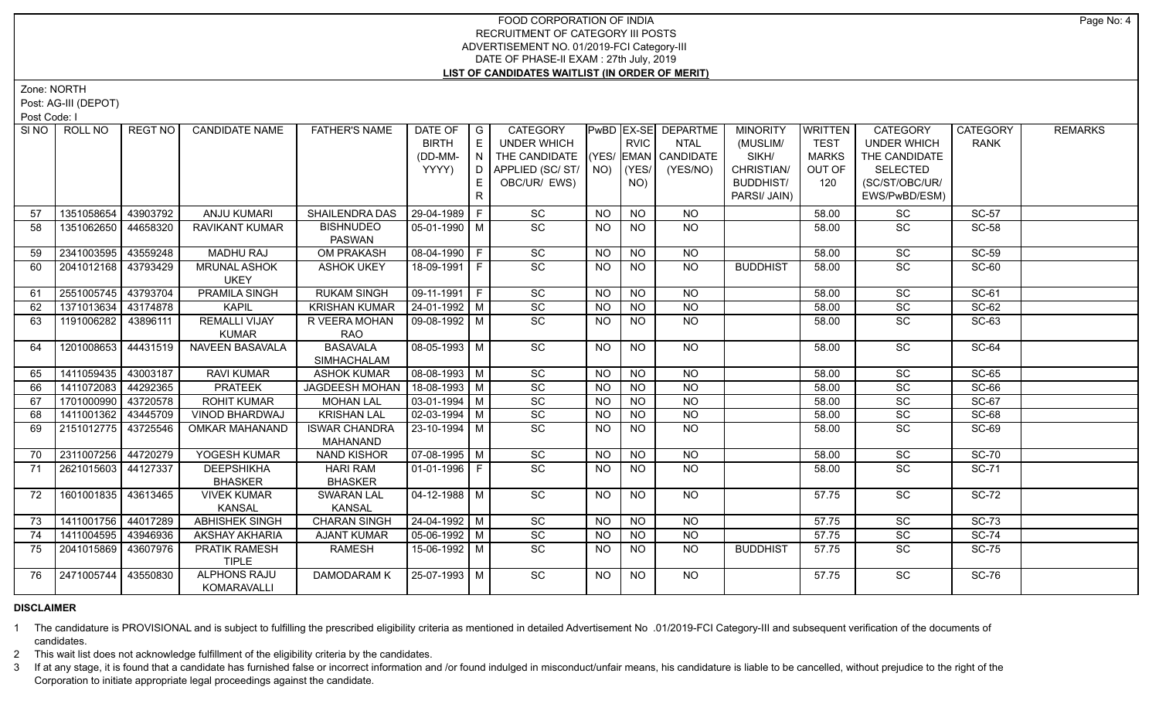Zone: NORTH

Post: AG-III (DEPOT)

Post Code: I

| SINO I | ROLL NO               | <b>REGT NO</b> | <b>CANDIDATE NAME</b>                | <b>FATHER'S NAME</b>              | DATE OF   G            |                                    | <b>CATEGORY</b>                    |                |                 | PwBD EX-SE DEPARTME | <b>MINORITY</b>  | <b>WRITTEN</b> | <b>CATEGORY</b>    | <b>CATEGORY</b> | <b>REMARKS</b> |
|--------|-----------------------|----------------|--------------------------------------|-----------------------------------|------------------------|------------------------------------|------------------------------------|----------------|-----------------|---------------------|------------------|----------------|--------------------|-----------------|----------------|
|        |                       |                |                                      |                                   | <b>BIRTH</b>           | E                                  | UNDER WHICH                        |                | <b>RVIC</b>     | <b>NTAL</b>         | (MUSLIM/         | <b>TEST</b>    | <b>UNDER WHICH</b> | <b>RANK</b>     |                |
|        |                       |                |                                      |                                   | (DD-MM-                | $\mathsf{L} \mathsf{N} \mathsf{L}$ | THE CANDIDATE (YES/ EMAN CANDIDATE |                |                 |                     | SIKH/            | <b>MARKS</b>   | THE CANDIDATE      |                 |                |
|        |                       |                |                                      |                                   | YYYY)                  |                                    | D APPLIED (SC/ ST/ NO)             |                | (YES/           | (YES/NO)            | CHRISTIAN/       | OUT OF         | <b>SELECTED</b>    |                 |                |
|        |                       |                |                                      |                                   |                        | E.                                 | OBC/UR/ EWS)                       |                | NO)             |                     | <b>BUDDHIST/</b> | 120            | (SC/ST/OBC/UR/     |                 |                |
|        |                       |                |                                      |                                   |                        | R                                  |                                    |                |                 |                     | PARSI/ JAIN)     |                | EWS/PwBD/ESM)      |                 |                |
| 57     | 1351058654            | 43903792       | <b>ANJU KUMARI</b>                   | SHAILENDRA DAS                    | 29-04-1989 F           |                                    | $\operatorname{\textsf{SC}}$       | <b>NO</b>      | <b>NO</b>       | <b>NO</b>           |                  | 58.00          | SC                 | <b>SC-57</b>    |                |
| 58     | 1351062650            | 44658320       | RAVIKANT KUMAR                       | <b>BISHNUDEO</b><br><b>PASWAN</b> | 05-01-1990   M         |                                    | SC                                 | <b>NO</b>      | NO.             | NO.                 |                  | 58.00          | <b>SC</b>          | <b>SC-58</b>    |                |
| 59     | 2341003595            | 43559248       | <b>MADHU RAJ</b>                     | <b>OM PRAKASH</b>                 | 08-04-1990 F           |                                    | SC                                 | <b>NO</b>      | <b>NO</b>       | <b>NO</b>           |                  | 58.00          | SC                 | <b>SC-59</b>    |                |
| 60     | 2041012168 43793429   |                | <b>MRUNAL ASHOK</b>                  | <b>ASHOK UKEY</b>                 | 18-09-1991 F           |                                    | $\overline{SC}$                    | <b>NO</b>      | <b>NO</b>       | <b>NO</b>           | <b>BUDDHIST</b>  | 58.00          | SC                 | SC-60           |                |
|        |                       |                | <b>UKEY</b>                          |                                   |                        |                                    |                                    |                |                 |                     |                  |                |                    |                 |                |
| 61     | 2551005745 43793704   |                | <b>PRAMILA SINGH</b>                 | <b>RUKAM SINGH</b>                | $\boxed{09-11-1991}$ F |                                    | SC                                 | N <sub>O</sub> | $\overline{NO}$ | $\overline{NO}$     |                  | 58.00          | $\overline{SC}$    | $SC-61$         |                |
| 62     | 1371013634 43174878   |                | <b>KAPIL</b>                         | <b>KRISHAN KUMAR</b>              | $24-01-1992$ M         |                                    | SC                                 | <b>NO</b>      | $\overline{NO}$ | $\overline{NQ}$     |                  | 58.00          | SC                 | $SC-62$         |                |
| 63     | 1191006282 43896111   |                | <b>REMALLI VIJAY</b>                 | R VEERA MOHAN                     | 09-08-1992 M           |                                    | $\overline{SC}$                    | <b>NO</b>      | <b>NO</b>       | NO                  |                  | 58.00          | $\overline{SC}$    | $SC-63$         |                |
|        |                       |                | <b>KUMAR</b>                         | RAO                               |                        |                                    |                                    |                |                 |                     |                  |                |                    |                 |                |
| 64     | 1201008653 44431519   |                | NAVEEN BASAVALA                      | BASAVALA                          | 08-05-1993   M         |                                    | $\overline{SC}$                    | <b>NO</b>      | <b>NO</b>       | NO                  |                  | 58.00          | $\overline{SC}$    | SC-64           |                |
|        |                       |                |                                      | SIMHACHALAM                       |                        |                                    |                                    |                |                 |                     |                  |                |                    |                 |                |
| 65     | 1411059435 43003187   |                | <b>RAVI KUMAR</b>                    | <b>ASHOK KUMAR</b>                | $\sqrt{08-08-1993}$ M  |                                    | $\overline{SC}$                    | <b>NO</b>      | <b>NO</b>       | <b>NO</b>           |                  | 58.00          | SC                 | $SC-65$         |                |
| 66     | 1411072083 44292365   |                | <b>PRATEEK</b>                       | <b>JAGDEESH MOHAN</b>             | $18-08-1993$ M         |                                    | $\overline{SC}$                    | <b>NO</b>      | <b>NO</b>       | <b>NO</b>           |                  | 58.00          | $\overline{SC}$    | $SC-66$         |                |
| 67     | 1701000990 43720578   |                | <b>ROHIT KUMAR</b>                   | <b>MOHAN LAL</b>                  | $\boxed{03-01-1994}$ M |                                    | $\overline{SC}$                    | <b>NO</b>      | <b>NO</b>       | $N$ O               |                  | 58.00          | $\overline{SC}$    | SC-67           |                |
| 68     | 1411001362            | 43445709       | VINOD BHARDWAJ                       | <b>KRISHAN LAL</b>                | $\boxed{02-03-1994}$ M |                                    | $\overline{SC}$                    | <b>NO</b>      | <b>NO</b>       | $N$ O               |                  | 58.00          | $\overline{SC}$    | $SC-68$         |                |
| 69     | 2151012775 43725546   |                | OMKAR MAHANAND                       | <b>ISWAR CHANDRA</b><br>MAHANAND  | 23-10-1994 M           |                                    | $\overline{SC}$                    | <b>NO</b>      | NO.             | <b>NO</b>           |                  | 58.00          | $\overline{SC}$    | <b>SC-69</b>    |                |
| 70     | 2311007256            | 44720279       | YOGESH KUMAR                         | <b>NAND KISHOR</b>                | $\sqrt{07-08-1995}$ M  |                                    | SC                                 | <b>NO</b>      | $N$ O           | $N$ O               |                  | 58.00          | SC                 | <b>SC-70</b>    |                |
| 71     | 2621015603 44127337   |                | <b>DEEPSHIKHA</b><br><b>BHASKER</b>  | <b>HARI RAM</b><br><b>BHASKER</b> | $01-01-1996$ F         |                                    | $\overline{SC}$                    | NO.            | <b>NO</b>       | <b>NO</b>           |                  | 58.00          | SC                 | <b>SC-71</b>    |                |
| 72     | 1601001835   43613465 |                | <b>VIVEK KUMAR</b>                   | <b>SWARAN LAL</b>                 | 04-12-1988   M         |                                    | SC                                 | <b>NO</b>      | <b>NO</b>       | NO                  |                  | 57.75          | SC                 | <b>SC-72</b>    |                |
|        |                       |                | <b>KANSAL</b>                        | <b>KANSAL</b>                     |                        |                                    |                                    |                |                 |                     |                  |                |                    |                 |                |
| 73     | 1411001756 44017289   |                | <b>ABHISHEK SINGH</b>                | <b>CHARAN SINGH</b>               | 24-04-1992 M           |                                    | SC                                 | NO.            | <b>NO</b>       | NO                  |                  | 57.75          | $\overline{SC}$    | $SC-73$         |                |
| 74     | 1411004595 43946936   |                | <b>AKSHAY AKHARIA</b>                | <b>AJANT KUMAR</b>                | $\sqrt{05-06-1992}$ M  |                                    | SC                                 | <b>NO</b>      | <b>NO</b>       | <b>NO</b>           |                  | 57.75          | $\overline{SC}$    | $SC-74$         |                |
| 75     | 2041015869   43607976 |                | <b>PRATIK RAMESH</b><br><b>TIPLE</b> | RAMESH                            | 15-06-1992 M           |                                    | <b>SC</b>                          | NO.            | NO.             | <b>NO</b>           | <b>BUDDHIST</b>  | 57.75          | <b>SC</b>          | <b>SC-75</b>    |                |
| 76     | 2471005744 43550830   |                | <b>ALPHONS RAJU</b><br>KOMARAVALLI   | DAMODARAM K                       | 25-07-1993 M           |                                    | $\overline{SC}$                    | NO.            | <b>NO</b>       | NO.                 |                  | 57.75          | <b>SC</b>          | $SC-76$         |                |

# **DISCLAIMER**

1 The candidature is PROVISIONAL and is subject to fulfilling the prescribed eligibility criteria as mentioned in detailed Advertisement No .01/2019-FCI Category-III and subsequent verification of the documents of candidates.

2 This wait list does not acknowledge fulfillment of the eligibility criteria by the candidates.

3 If at any stage, it is found that a candidate has furnished false or incorrect information and /or found indulged in misconduct/unfair means, his candidature is liable to be cancelled, without prejudice to the right of t Corporation to initiate appropriate legal proceedings against the candidate.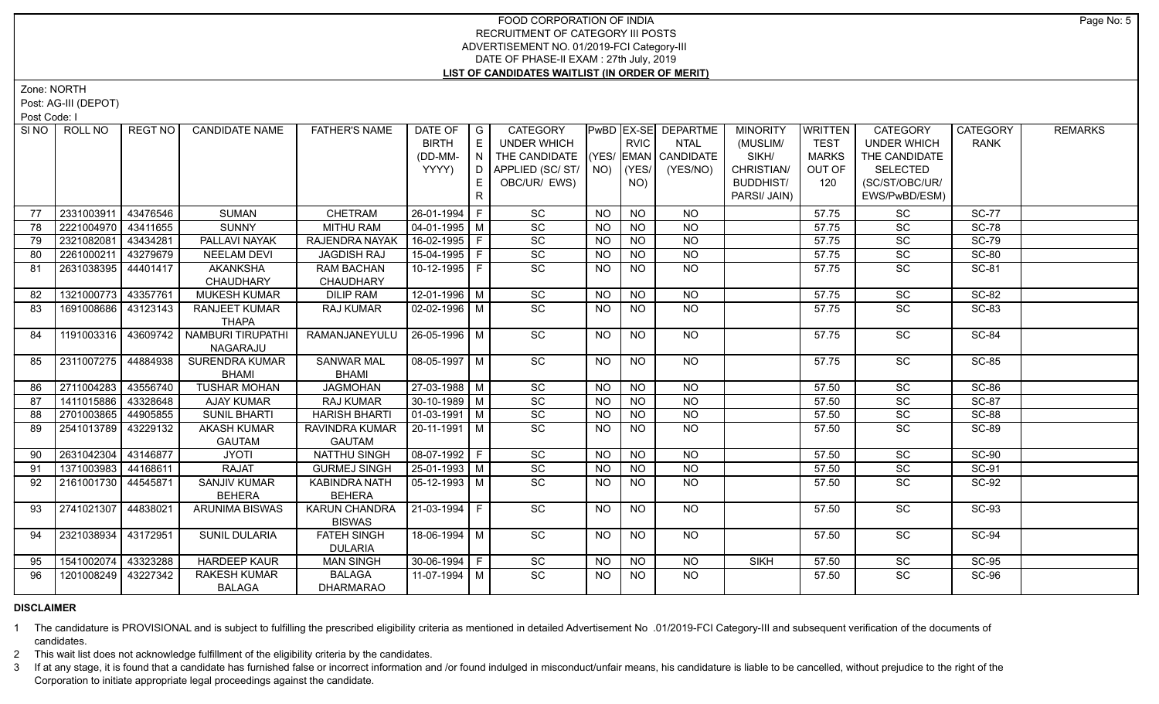Zone: NORTH

Post: AG-III (DEPOT)

Post Code: I

| SI <sub>NO</sub> | ROLL NO             | REGT NO  | <b>CANDIDATE NAME</b>    | <b>FATHER'S NAME</b> | DATE OF<br><b>BIRTH</b> | $\overline{\phantom{a}}$ G<br>E | <b>CATEGORY</b><br>UNDER WHICH |                | <b>RVIC</b>     | PwBD EX-SE DEPARTME<br><b>NTAL</b> | <b>MINORITY</b><br>(MUSLIM/ | <b>WRITTEN</b><br><b>TEST</b> | <b>CATEGORY</b><br><b>UNDER WHICH</b> | <b>CATEGORY</b><br><b>RANK</b> | <b>REMARKS</b> |
|------------------|---------------------|----------|--------------------------|----------------------|-------------------------|---------------------------------|--------------------------------|----------------|-----------------|------------------------------------|-----------------------------|-------------------------------|---------------------------------------|--------------------------------|----------------|
|                  |                     |          |                          |                      | (DD-MM-                 | I N I                           | THE CANDIDATE                  |                |                 | $ (YES/ EMAN )$ CANDIDATE          | SIKH/                       | <b>MARKS</b>                  | THE CANDIDATE                         |                                |                |
|                  |                     |          |                          |                      | YYYY)                   |                                 | D APPLIED (SC/ ST/   NO)       |                | $ $ (YES/       | (YES/NO)                           | CHRISTIAN/                  | OUT OF                        | <b>SELECTED</b>                       |                                |                |
|                  |                     |          |                          |                      |                         | E                               | OBC/UR/ EWS)                   |                | NO)             |                                    | <b>BUDDHIST/</b>            | 120                           | (SC/ST/OBC/UR/                        |                                |                |
|                  |                     |          |                          |                      |                         | R                               |                                |                |                 |                                    | PARSI/ JAIN)                |                               | EWS/PwBD/ESM)                         |                                |                |
|                  |                     |          |                          |                      |                         |                                 |                                |                |                 |                                    |                             |                               |                                       |                                |                |
| 77               | 2331003911          | 43476546 | <b>SUMAN</b>             | CHETRAM              | 26-01-1994 F            |                                 | SC                             | <b>NO</b>      | <b>NO</b>       | <b>NO</b>                          |                             | 57.75                         | SC                                    | <b>SC-77</b>                   |                |
| 78               | 2221004970          | 43411655 | <b>SUNNY</b>             | <b>MITHU RAM</b>     | 04-01-1995   M          |                                 | SC                             | <b>NO</b>      | <b>NO</b>       | <b>NO</b>                          |                             | 57.75                         | SC                                    | <b>SC-78</b>                   |                |
| 79               | 2321082081          | 43434281 | PALLAVI NAYAK            | RAJENDRA NAYAK       | $16-02-1995$ F          |                                 | $\overline{SC}$                | <b>NO</b>      | $N$ O           | N <sub>O</sub>                     |                             | 57.75                         | $\overline{SC}$                       | <b>SC-79</b>                   |                |
| 80               | 2261000211          | 43279679 | <b>NEELAM DEVI</b>       | <b>JAGDISH RAJ</b>   | 15-04-1995 F            |                                 | SC                             | <b>NO</b>      | <b>NO</b>       | <b>NO</b>                          |                             | 57.75                         | SC                                    | <b>SC-80</b>                   |                |
| 81               | 2631038395 44401417 |          | <b>AKANKSHA</b>          | <b>RAM BACHAN</b>    | 10-12-1995 F            |                                 | $\overline{SC}$                | NO.            | <b>NO</b>       | $N$ <sup>O</sup>                   |                             | 57.75                         | SC                                    | <b>SC-81</b>                   |                |
|                  |                     |          | CHAUDHARY                | CHAUDHARY            |                         |                                 |                                |                |                 |                                    |                             |                               |                                       |                                |                |
| 82               | 1321000773 43357761 |          | <b>MUKESH KUMAR</b>      | <b>DILIP RAM</b>     | $12-01-1996$ M          |                                 | SC                             | <b>NO</b>      | <b>NO</b>       | <b>NO</b>                          |                             | 57.75                         | SC                                    | $SC-82$                        |                |
| 83               | 1691008686          | 43123143 | <b>RANJEET KUMAR</b>     | RAJ KUMAR            | 02-02-1996   M          |                                 | SC                             | <b>NO</b>      | NO.             | NO.                                |                             | 57.75                         | SC                                    | SC-83                          |                |
|                  |                     |          | <b>THAPA</b>             |                      |                         |                                 |                                |                |                 |                                    |                             |                               |                                       |                                |                |
| 84               | 1191003316 43609742 |          | <b>NAMBURI TIRUPATHI</b> | RAMANJANEYULU        | $26 - 05 - 1996$ M      |                                 | SC                             | <b>NO</b>      | $\overline{NO}$ | $\overline{NO}$                    |                             | 57.75                         | SC                                    | <b>SC-84</b>                   |                |
|                  |                     |          | NAGARAJU                 |                      |                         |                                 |                                |                |                 |                                    |                             |                               |                                       |                                |                |
| 85               | 2311007275 44884938 |          | <b>SURENDRA KUMAR</b>    | <b>SANWAR MAL</b>    | 08-05-1997 M            |                                 | $\overline{SC}$                | <b>NO</b>      | <b>NO</b>       | NO                                 |                             | 57.75                         | SC                                    | <b>SC-85</b>                   |                |
|                  |                     |          | <b>BHAMI</b>             | <b>BHAMI</b>         |                         |                                 |                                |                |                 |                                    |                             |                               |                                       |                                |                |
| 86               | 2711004283 43556740 |          | <b>TUSHAR MOHAN</b>      | <b>JAGMOHAN</b>      | $27-03-1988$ M          |                                 | $\overline{SC}$                | N <sub>O</sub> | <b>NO</b>       | $N$ <sup>O</sup>                   |                             | 57.50                         | $\overline{SC}$                       | <b>SC-86</b>                   |                |
| 87               | 1411015886 43328648 |          | <b>AJAY KUMAR</b>        | <b>RAJ KUMAR</b>     | $30-10-1989$ M          |                                 | $\overline{SC}$                | <b>NO</b>      | $N$ O           | N                                  |                             | 57.50                         | $\overline{SC}$                       | $SC-87$                        |                |
| 88               | 2701003865          | 44905855 | <b>SUNIL BHARTI</b>      | <b>HARISH BHARTI</b> | 01-03-1991   M          |                                 | SC                             | NO.            | NO.             | <b>NO</b>                          |                             | 57.50                         | SC                                    | <b>SC-88</b>                   |                |
| 89               | 2541013789 43229132 |          | <b>AKASH KUMAR</b>       | RAVINDRA KUMAR       | 20-11-1991   M          |                                 | $\overline{SC}$                | <b>NO</b>      | <b>NO</b>       | N <sub>O</sub>                     |                             | 57.50                         | $\overline{SC}$                       | <b>SC-89</b>                   |                |
|                  |                     |          | <b>GAUTAM</b>            | <b>GAUTAM</b>        |                         |                                 |                                |                |                 |                                    |                             |                               |                                       |                                |                |
| 90               | 2631042304          | 43146877 | <b>JYOTI</b>             | NATTHU SINGH         | 08-07-1992 F            |                                 | SC                             | <b>NO</b>      | <b>NO</b>       | $N$ O                              |                             | 57.50                         | SC                                    | <b>SC-90</b>                   |                |
| 91               | 1371003983 44168611 |          | <b>RAJAT</b>             | <b>GURMEJ SINGH</b>  | 25-01-1993 M            |                                 | SC                             | <b>NO</b>      | <b>NO</b>       | N <sub>O</sub>                     |                             | 57.50                         | SC                                    | SC-91                          |                |
| 92               | 2161001730 44545871 |          | <b>SANJIV KUMAR</b>      | <b>KABINDRA NATH</b> | $\sqrt{05-12-1993}$ M   |                                 | $\overline{SC}$                | <b>NO</b>      | <b>NO</b>       | $N$ O                              |                             | 57.50                         | SC                                    | <b>SC-92</b>                   |                |
|                  |                     |          | <b>BEHERA</b>            | <b>BEHERA</b>        |                         |                                 |                                |                |                 |                                    |                             |                               |                                       |                                |                |
| 93               | 2741021307 44838021 |          | <b>ARUNIMA BISWAS</b>    | <b>KARUN CHANDRA</b> | 21-03-1994 F            |                                 | SC                             | NO             | <b>NO</b>       | NO                                 |                             | 57.50                         | SC                                    | <b>SC-93</b>                   |                |
|                  |                     |          |                          | <b>BISWAS</b>        |                         |                                 |                                |                |                 |                                    |                             |                               |                                       |                                |                |
| 94               | 2321038934          | 43172951 | <b>SUNIL DULARIA</b>     | <b>FATEH SINGH</b>   | 18-06-1994 M            |                                 | SC                             | <b>NO</b>      | NO              | NO                                 |                             | 57.50                         | $\overline{SC}$                       | $SC-94$                        |                |
|                  |                     |          |                          | <b>DULARIA</b>       |                         |                                 |                                |                |                 |                                    |                             |                               |                                       |                                |                |
| 95               | 1541002074          | 43323288 | <b>HARDEEP KAUR</b>      | <b>MAN SINGH</b>     | $30 - 06 - 1994$ F      |                                 | $\overline{SC}$                | <b>NO</b>      | <b>NO</b>       | <b>NO</b>                          | <b>SIKH</b>                 | 57.50                         | SC                                    | $SC-95$                        |                |
| 96               | 1201008249 43227342 |          | <b>RAKESH KUMAR</b>      | <b>BALAGA</b>        | 11-07-1994   M          |                                 | $\overline{SC}$                | NO.            | NO.             | <b>NO</b>                          |                             | 57.50                         | SC                                    | <b>SC-96</b>                   |                |
|                  |                     |          | <b>BALAGA</b>            | <b>DHARMARAO</b>     |                         |                                 |                                |                |                 |                                    |                             |                               |                                       |                                |                |

## **DISCLAIMER**

1 The candidature is PROVISIONAL and is subject to fulfilling the prescribed eligibility criteria as mentioned in detailed Advertisement No .01/2019-FCI Category-III and subsequent verification of the documents of candidates.

2 This wait list does not acknowledge fulfillment of the eligibility criteria by the candidates.

3 If at any stage, it is found that a candidate has furnished false or incorrect information and /or found indulged in misconduct/unfair means, his candidature is liable to be cancelled, without prejudice to the right of t Corporation to initiate appropriate legal proceedings against the candidate.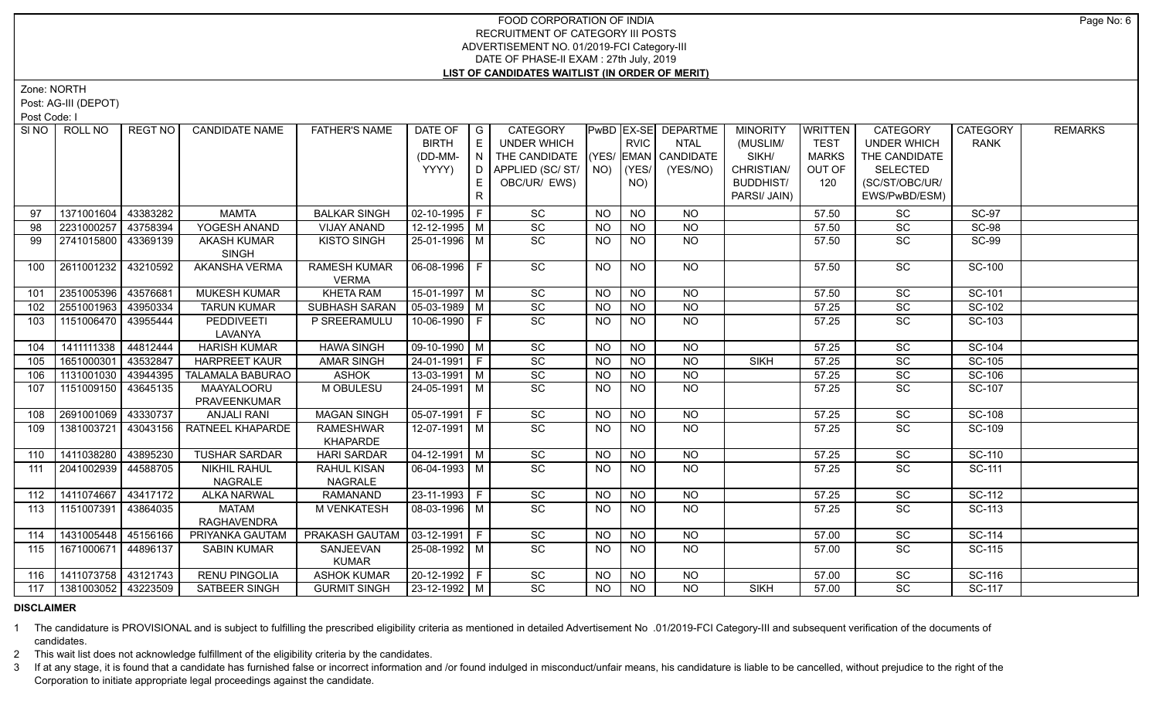Zone: NORTH

Post: AG-III (DEPOT)

Post Code: I

| SINO | ROLL NO             | REGT NO  | <b>CANDIDATE NAME</b>   | <b>FATHER'S NAME</b> | DATE OF            | $\overline{G}$ | <b>CATEGORY</b>    |                 |                 | <b>PwBD EX-SE DEPARTME</b> | <b>MINORITY</b>  | <b>WRITTEN</b> | <b>CATEGORY</b>    | <b>CATEGORY</b> | <b>REMARKS</b> |
|------|---------------------|----------|-------------------------|----------------------|--------------------|----------------|--------------------|-----------------|-----------------|----------------------------|------------------|----------------|--------------------|-----------------|----------------|
|      |                     |          |                         |                      | <b>BIRTH</b>       | E              | <b>UNDER WHICH</b> |                 | <b>RVIC</b>     | <b>NTAL</b>                | (MUSLIM/         | <b>TEST</b>    | <b>UNDER WHICH</b> | <b>RANK</b>     |                |
|      |                     |          |                         |                      | (DD-MM-            | N              | THE CANDIDATE      |                 |                 | (YES/ EMAN CANDIDATE       | SIKH/            | <b>MARKS</b>   | THE CANDIDATE      |                 |                |
|      |                     |          |                         |                      | YYYY)              | D              | APPLIED (SC/ST/    | NO)             | YES/            | (YES/NO)                   | CHRISTIAN/       | OUT OF         | <b>SELECTED</b>    |                 |                |
|      |                     |          |                         |                      |                    | E              | OBC/UR/ EWS)       |                 | NO)             |                            | <b>BUDDHIST/</b> | 120            | (SC/ST/OBC/UR/     |                 |                |
|      |                     |          |                         |                      |                    | $\mathsf{R}$   |                    |                 |                 |                            | PARSI/ JAIN)     |                | EWS/PwBD/ESM)      |                 |                |
| 97   | 1371001604          | 43383282 | <b>MAMTA</b>            | <b>BALKAR SINGH</b>  | $02 - 10 - 1995$ F |                | SC                 | <b>NO</b>       | <b>NO</b>       | <b>NO</b>                  |                  | 57.50          | SC                 | <b>SC-97</b>    |                |
| 98   | 2231000257          | 43758394 | YOGESH ANAND            | <b>VIJAY ANAND</b>   | 12-12-1995 M       |                | SC                 | <b>NO</b>       | <b>NO</b>       | <b>NO</b>                  |                  | 57.50          | SC                 | <b>SC-98</b>    |                |
| 99   | 2741015800          | 43369139 | <b>AKASH KUMAR</b>      | <b>KISTO SINGH</b>   | 25-01-1996 M       |                | SC                 | NO              | N <sub>O</sub>  | $N$ O                      |                  | 57.50          | SC                 | <b>SC-99</b>    |                |
|      |                     |          | <b>SINGH</b>            |                      |                    |                |                    |                 |                 |                            |                  |                |                    |                 |                |
| 100  | 2611001232          | 43210592 | AKANSHA VERMA           | <b>RAMESH KUMAR</b>  | 06-08-1996 F       |                | SC                 | NO.             | <b>NO</b>       | <b>NO</b>                  |                  | 57.50          | SC                 | <b>SC-100</b>   |                |
|      |                     |          |                         | <b>VERMA</b>         |                    |                |                    |                 |                 |                            |                  |                |                    |                 |                |
| 101  | 2351005396          | 43576681 | <b>MUKESH KUMAR</b>     | <b>KHETA RAM</b>     | $15-01-1997$ M     |                | SC                 | $\overline{NQ}$ | $\overline{NQ}$ | $\overline{NQ}$            |                  | 57.50          | $\overline{SC}$    | SC-101          |                |
| 102  | 2551001963          | 43950334 | <b>TARUN KUMAR</b>      | SUBHASH SARAN        | $05-03-1989$ M     |                | SC                 | <b>NO</b>       | $\overline{N}$  | N <sub>O</sub>             |                  | 57.25          | SC                 | SC-102          |                |
| 103  | 1151006470          | 43955444 | PEDDIVEETI              | P SREERAMULU         | 10-06-1990 F       |                | SC                 | NO.             | <b>NO</b>       | $\overline{NQ}$            |                  | 57.25          | SC                 | SC-103          |                |
|      |                     |          | LAVANYA                 |                      |                    |                |                    |                 |                 |                            |                  |                |                    |                 |                |
| 104  | 1411111338          | 44812444 | <b>HARISH KUMAR</b>     | <b>HAWA SINGH</b>    | 09-10-1990 M       |                | $\overline{SC}$    | <b>NO</b>       | <b>NO</b>       | <b>NO</b>                  |                  | 57.25          | $\overline{SC}$    | SC-104          |                |
| 105  | 1651000301          | 43532847 | <b>HARPREET KAUR</b>    | <b>AMAR SINGH</b>    | $24-01-1991$ F     |                | $\overline{SC}$    | <b>NO</b>       | $N$ O           | $\overline{NO}$            | <b>SIKH</b>      | 57.25          | $\overline{SC}$    | SC-105          |                |
| 106  | 1131001030          | 43944395 | <b>TALAMALA BABURAO</b> | <b>ASHOK</b>         | $13-03-1991$ M     |                | $\overline{SC}$    | N <sub>O</sub>  | N <sub>O</sub>  | N <sub>O</sub>             |                  | 57.25          | $\overline{SC}$    | SC-106          |                |
| 107  | 1151009150          | 43645135 | MAAYALOORU              | M OBULESU            | 24-05-1991 M       |                | $\overline{SC}$    | NO.             | <b>NO</b>       | <b>NO</b>                  |                  | 57.25          | SC                 | SC-107          |                |
|      |                     |          | PRAVEENKUMAR            |                      |                    |                |                    |                 |                 |                            |                  |                |                    |                 |                |
| 108  | 2691001069          | 43330737 | <b>ANJALI RANI</b>      | <b>MAGAN SINGH</b>   | $05-07-1991$ F     |                | $\overline{SC}$    | <b>NO</b>       | <b>NO</b>       | <b>NO</b>                  |                  | 57.25          | SC                 | <b>SC-108</b>   |                |
| 109  | 1381003721          | 43043156 | <b>RATNEEL KHAPARDE</b> | <b>RAMESHWAR</b>     | 12-07-1991   M     |                | $\overline{SC}$    | NO              | <b>NO</b>       | <b>NO</b>                  |                  | 57.25          | SC                 | SC-109          |                |
|      |                     |          |                         | KHAPARDE             |                    |                |                    |                 |                 |                            |                  |                |                    |                 |                |
| 110  | 1411038280          | 43895230 | <b>TUSHAR SARDAR</b>    | <b>HARI SARDAR</b>   | $04 - 12 - 1991$ M |                | SC                 | <b>NO</b>       | <b>NO</b>       | $N$ O                      |                  | 57.25          | SC                 | SC-110          |                |
| 111  | 2041002939          | 44588705 | <b>NIKHIL RAHUL</b>     | RAHUL KISAN          | 06-04-1993 M       |                | $\overline{SC}$    | NO.             | <b>NO</b>       | N <sub>O</sub>             |                  | 57.25          | SC                 | SC-111          |                |
|      |                     |          | NAGRALE                 | NAGRALE              |                    |                |                    |                 |                 |                            |                  |                |                    |                 |                |
| 112  | 1411074667          | 43417172 | <b>ALKA NARWAL</b>      | <b>RAMANAND</b>      | $23-11-1993$ F     |                | SC                 | <b>NO</b>       | <b>NO</b>       | <b>NO</b>                  |                  | 57.25          | SC                 | SC-112          |                |
| 113  | 1151007391          | 43864035 | <b>MATAM</b>            | M VENKATESH          | 08-03-1996   M     |                | SC                 | <b>NO</b>       | <b>NO</b>       | <b>NO</b>                  |                  | 57.25          | SC                 | SC-113          |                |
|      |                     |          | <b>RAGHAVENDRA</b>      |                      |                    |                |                    |                 |                 |                            |                  |                |                    |                 |                |
| 114  | 1431005448          | 45156166 | PRIYANKA GAUTAM         | PRAKASH GAUTAM       | 03-12-1991 F       |                | SC                 | <b>NO</b>       | <b>NO</b>       | <b>NO</b>                  |                  | 57.00          | SC                 | SC-114          |                |
| 115  | 1671000671          | 44896137 | <b>SABIN KUMAR</b>      | SANJEEVAN            | 25-08-1992 M       |                | $\overline{SC}$    | <b>NO</b>       | <b>NO</b>       | NO                         |                  | 57.00          | <b>SC</b>          | SC-115          |                |
|      |                     |          |                         | <b>KUMAR</b>         |                    |                |                    |                 |                 |                            |                  |                |                    |                 |                |
| 116  | 1411073758          | 43121743 | <b>RENU PINGOLIA</b>    | <b>ASHOK KUMAR</b>   | 20-12-1992 F       |                | $\overline{SC}$    | <b>NO</b>       | <b>NO</b>       | <b>NO</b>                  |                  | 57.00          | <b>SC</b>          | SC-116          |                |
| 117  | 1381003052 43223509 |          | SATBEER SINGH           | <b>GURMIT SINGH</b>  | $23 - 12 - 1992$ M |                | $\overline{SC}$    | NO              | <b>NO</b>       | <b>NO</b>                  | <b>SIKH</b>      | 57.00          | $\overline{SC}$    | <b>SC-117</b>   |                |
|      |                     |          |                         |                      |                    |                |                    |                 |                 |                            |                  |                |                    |                 |                |

### **DISCLAIMER**

1 The candidature is PROVISIONAL and is subject to fulfilling the prescribed eligibility criteria as mentioned in detailed Advertisement No .01/2019-FCI Category-III and subsequent verification of the documents of candidates.

2 This wait list does not acknowledge fulfillment of the eligibility criteria by the candidates.

3 If at any stage, it is found that a candidate has furnished false or incorrect information and /or found indulged in misconduct/unfair means, his candidature is liable to be cancelled, without prejudice to the right of t Corporation to initiate appropriate legal proceedings against the candidate.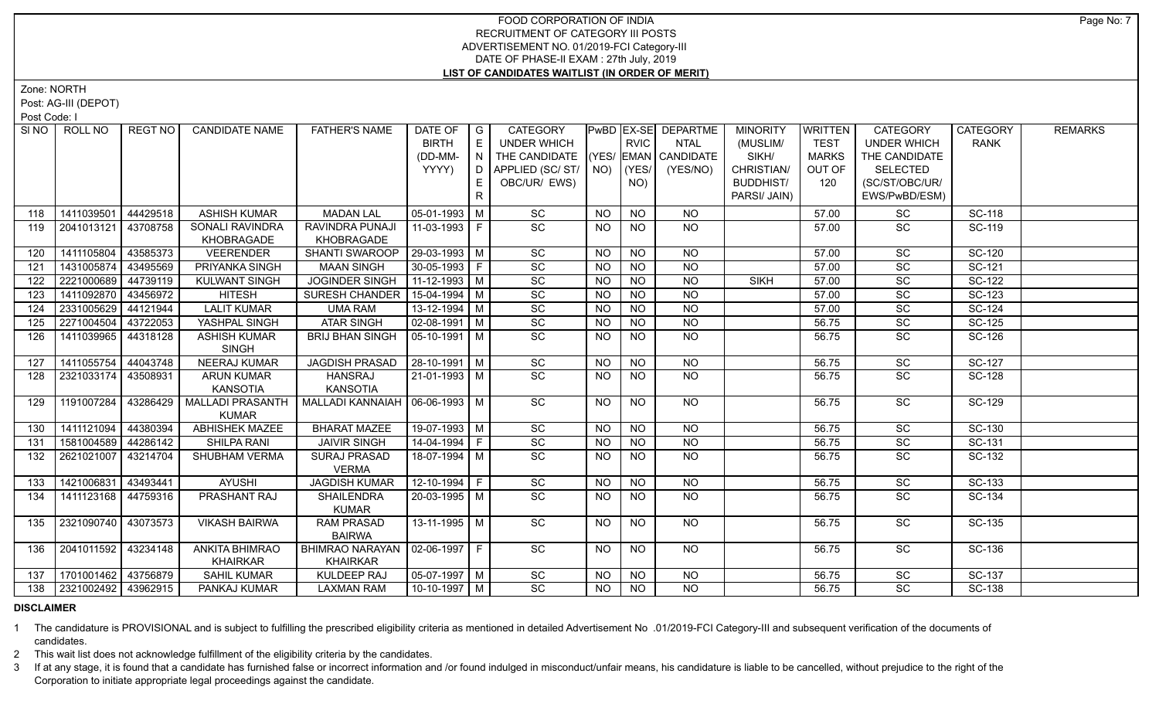Zone: NORTH

Post: AG-III (DEPOT)

Post Code: I

|     |            | REGT NO                                                                          | <b>CANDIDATE NAME</b>                                                                                                                                                | <b>FATHER'S NAME</b>                                                                            | DATE OF<br><b>BIRTH</b>                                                                              | $\overline{G}$<br>E | <b>CATEGORY</b><br><b>UNDER WHICH</b>                                                                                                                                                                                                                   |                                                                                            | <b>RVIC</b>            | <b>PwBD EX-SE DEPARTME</b><br><b>NTAL</b>                          | <b>MINORITY</b><br>(MUSLIM/                                      | <b>WRITTEN</b><br><b>TEST</b> | <b>CATEGORY</b><br><b>UNDER WHICH</b>                                                                                                                               | <b>CATEGORY</b><br><b>RANK</b>                              | <b>REMARKS</b>                              |
|-----|------------|----------------------------------------------------------------------------------|----------------------------------------------------------------------------------------------------------------------------------------------------------------------|-------------------------------------------------------------------------------------------------|------------------------------------------------------------------------------------------------------|---------------------|---------------------------------------------------------------------------------------------------------------------------------------------------------------------------------------------------------------------------------------------------------|--------------------------------------------------------------------------------------------|------------------------|--------------------------------------------------------------------|------------------------------------------------------------------|-------------------------------|---------------------------------------------------------------------------------------------------------------------------------------------------------------------|-------------------------------------------------------------|---------------------------------------------|
|     |            |                                                                                  |                                                                                                                                                                      |                                                                                                 | (DD-MM-                                                                                              | N                   | THE CANDIDATE                                                                                                                                                                                                                                           |                                                                                            |                        | (YES/ EMAN CANDIDATE                                               | SIKH/                                                            | <b>MARKS</b>                  | THE CANDIDATE                                                                                                                                                       |                                                             |                                             |
|     |            |                                                                                  |                                                                                                                                                                      |                                                                                                 | YYYY)                                                                                                |                     | D   APPLIED (SC/ ST/                                                                                                                                                                                                                                    |                                                                                            | $NO)$ $(YES/$          | (YES/NO)                                                           | CHRISTIAN/                                                       | OUT OF                        | <b>SELECTED</b>                                                                                                                                                     |                                                             |                                             |
|     |            |                                                                                  |                                                                                                                                                                      |                                                                                                 |                                                                                                      | E.                  | OBC/UR/ EWS)                                                                                                                                                                                                                                            |                                                                                            | NO)                    |                                                                    | <b>BUDDHIST/</b>                                                 | 120                           | (SC/ST/OBC/UR/                                                                                                                                                      |                                                             |                                             |
|     |            |                                                                                  |                                                                                                                                                                      |                                                                                                 |                                                                                                      | $\mathsf{R}$        |                                                                                                                                                                                                                                                         |                                                                                            |                        |                                                                    | PARSI/ JAIN)                                                     |                               | EWS/PwBD/ESM)                                                                                                                                                       |                                                             |                                             |
| 118 | 1411039501 | 44429518                                                                         | <b>ASHISH KUMAR</b>                                                                                                                                                  | <b>MADAN LAL</b>                                                                                | $05-01-1993$ M                                                                                       |                     | SC                                                                                                                                                                                                                                                      | <b>NO</b>                                                                                  | <b>NO</b>              | <b>NO</b>                                                          |                                                                  | 57.00                         | SC                                                                                                                                                                  | <b>SC-118</b>                                               |                                             |
| 119 | 2041013121 | 43708758                                                                         | SONALI RAVINDRA<br>KHOBRAGADE                                                                                                                                        | RAVINDRA PUNAJI<br>KHOBRAGADE                                                                   | 11-03-1993   F                                                                                       |                     | SC                                                                                                                                                                                                                                                      | NO.                                                                                        | <b>NO</b>              | $N$ O                                                              |                                                                  | 57.00                         | SC                                                                                                                                                                  | <b>SC-119</b>                                               |                                             |
| 120 | 1411105804 | 43585373                                                                         | <b>VEERENDER</b>                                                                                                                                                     | SHANTI SWAROOP                                                                                  | 29-03-1993 M                                                                                         |                     | SC                                                                                                                                                                                                                                                      | <b>NO</b>                                                                                  | <b>NO</b>              | <b>NO</b>                                                          |                                                                  | 57.00                         | <b>SC</b>                                                                                                                                                           | <b>SC-120</b>                                               |                                             |
| 121 | 1431005874 | 43495569                                                                         | PRIYANKA SINGH                                                                                                                                                       | <b>MAAN SINGH</b>                                                                               | 30-05-1993 F                                                                                         |                     | $\operatorname{\textsf{SC}}$                                                                                                                                                                                                                            | <b>NO</b>                                                                                  | <b>NO</b>              | <b>NO</b>                                                          |                                                                  | 57.00                         | SC                                                                                                                                                                  | SC-121                                                      |                                             |
| 122 | 2221000689 | 44739119                                                                         | <b>KULWANT SINGH</b>                                                                                                                                                 | <b>JOGINDER SINGH</b>                                                                           | 11-12-1993 M                                                                                         |                     | SC                                                                                                                                                                                                                                                      | <b>NO</b>                                                                                  | <b>NO</b>              | <b>NO</b>                                                          | <b>SIKH</b>                                                      | 57.00                         | SC                                                                                                                                                                  | SC-122                                                      |                                             |
| 123 | 1411092870 | 43456972                                                                         | <b>HITESH</b>                                                                                                                                                        | SURESH CHANDER                                                                                  | 15-04-1994 M                                                                                         |                     | SC                                                                                                                                                                                                                                                      | <b>NO</b>                                                                                  | <b>NO</b>              | <b>NO</b>                                                          |                                                                  | 57.00                         | SC                                                                                                                                                                  | SC-123                                                      |                                             |
| 124 | 2331005629 | 44121944                                                                         | <b>LALIT KUMAR</b>                                                                                                                                                   | <b>UMA RAM</b>                                                                                  | $13 - 12 - 1994$ M                                                                                   |                     | SC                                                                                                                                                                                                                                                      | <b>NO</b>                                                                                  | <b>NO</b>              | $\overline{NO}$                                                    |                                                                  | 57.00                         | SC                                                                                                                                                                  | SC-124                                                      |                                             |
| 125 | 2271004504 | 43722053                                                                         | YASHPAL SINGH                                                                                                                                                        | <b>ATAR SINGH</b>                                                                               | $02-08-1991$ M                                                                                       |                     | $\operatorname{\textsf{SC}}$                                                                                                                                                                                                                            | <b>NO</b>                                                                                  | <b>NO</b>              | <b>NO</b>                                                          |                                                                  | 56.75                         | <b>SC</b>                                                                                                                                                           | SC-125                                                      |                                             |
| 126 |            |                                                                                  | <b>SINGH</b>                                                                                                                                                         |                                                                                                 |                                                                                                      |                     |                                                                                                                                                                                                                                                         |                                                                                            |                        |                                                                    |                                                                  | 56.75                         |                                                                                                                                                                     |                                                             |                                             |
| 127 |            | 44043748                                                                         | <b>NEERAJ KUMAR</b>                                                                                                                                                  |                                                                                                 |                                                                                                      |                     |                                                                                                                                                                                                                                                         | <b>NO</b>                                                                                  | <b>NO</b>              | <b>NO</b>                                                          |                                                                  | 56.75                         | SC                                                                                                                                                                  | SC-127                                                      |                                             |
| 128 |            |                                                                                  | <b>ARUN KUMAR</b>                                                                                                                                                    | <b>HANSRAJ</b>                                                                                  |                                                                                                      |                     | $\overline{SC}$                                                                                                                                                                                                                                         | <b>NO</b>                                                                                  | <b>NO</b>              | <b>NO</b>                                                          |                                                                  | 56.75                         | SC                                                                                                                                                                  | SC-128                                                      |                                             |
|     |            |                                                                                  | <b>KANSOTIA</b>                                                                                                                                                      | <b>KANSOTIA</b>                                                                                 |                                                                                                      |                     |                                                                                                                                                                                                                                                         |                                                                                            |                        |                                                                    |                                                                  |                               |                                                                                                                                                                     |                                                             |                                             |
|     |            |                                                                                  | <b>KUMAR</b>                                                                                                                                                         |                                                                                                 |                                                                                                      |                     |                                                                                                                                                                                                                                                         |                                                                                            |                        |                                                                    |                                                                  |                               |                                                                                                                                                                     |                                                             |                                             |
| 130 |            |                                                                                  |                                                                                                                                                                      |                                                                                                 |                                                                                                      |                     |                                                                                                                                                                                                                                                         | <b>NO</b>                                                                                  |                        |                                                                    |                                                                  |                               |                                                                                                                                                                     |                                                             |                                             |
| 131 |            |                                                                                  | SHILPA RANI                                                                                                                                                          | <b>JAIVIR SINGH</b>                                                                             |                                                                                                      |                     |                                                                                                                                                                                                                                                         | <b>NO</b>                                                                                  |                        |                                                                    |                                                                  | 56.75                         |                                                                                                                                                                     | SC-131                                                      |                                             |
| 132 |            |                                                                                  | SHUBHAM VERMA                                                                                                                                                        | SURAJ PRASAD<br><b>VERMA</b>                                                                    |                                                                                                      |                     |                                                                                                                                                                                                                                                         | <b>NO</b>                                                                                  | <b>NO</b>              |                                                                    |                                                                  | 56.75                         | SC                                                                                                                                                                  | SC-132                                                      |                                             |
| 133 | 1421006831 | 43493441                                                                         | <b>AYUSHI</b>                                                                                                                                                        | <b>JAGDISH KUMAR</b>                                                                            |                                                                                                      |                     | SC                                                                                                                                                                                                                                                      | NO                                                                                         | <b>NO</b>              | $N$ O                                                              |                                                                  | 56.75                         | SC                                                                                                                                                                  | SC-133                                                      |                                             |
| 134 | 1411123168 |                                                                                  | PRASHANT RAJ                                                                                                                                                         | <b>SHAILENDRA</b>                                                                               |                                                                                                      |                     | SC                                                                                                                                                                                                                                                      | NO.                                                                                        | <b>NO</b>              | <b>NO</b>                                                          |                                                                  | 56.75                         | SC                                                                                                                                                                  | SC-134                                                      |                                             |
|     |            |                                                                                  |                                                                                                                                                                      |                                                                                                 |                                                                                                      |                     |                                                                                                                                                                                                                                                         |                                                                                            |                        |                                                                    |                                                                  |                               |                                                                                                                                                                     |                                                             |                                             |
|     |            |                                                                                  |                                                                                                                                                                      | <b>BAIRWA</b>                                                                                   |                                                                                                      |                     |                                                                                                                                                                                                                                                         |                                                                                            |                        |                                                                    |                                                                  |                               |                                                                                                                                                                     |                                                             |                                             |
| 136 |            |                                                                                  | <b>ANKITA BHIMRAO</b><br><b>KHAIRKAR</b>                                                                                                                             | <b>KHAIRKAR</b>                                                                                 |                                                                                                      |                     | $\overline{SC}$                                                                                                                                                                                                                                         | <b>NO</b>                                                                                  | <b>NO</b>              | NO                                                                 |                                                                  | 56.75                         | $\overline{SC}$                                                                                                                                                     | SC-136                                                      |                                             |
| 137 |            |                                                                                  | <b>SAHIL KUMAR</b>                                                                                                                                                   | KULDEEP RAJ                                                                                     |                                                                                                      |                     | SC                                                                                                                                                                                                                                                      | <b>NO</b>                                                                                  | <b>NO</b>              | <b>NO</b>                                                          |                                                                  | 56.75                         | SC                                                                                                                                                                  | SC-137                                                      |                                             |
|     |            |                                                                                  |                                                                                                                                                                      |                                                                                                 |                                                                                                      |                     |                                                                                                                                                                                                                                                         |                                                                                            |                        |                                                                    |                                                                  |                               | <b>SC</b>                                                                                                                                                           | SC-138                                                      |                                             |
|     | 129<br>135 | 1411039965<br>1411055754<br>1191007284<br>1411121094<br>2621021007<br>2321090740 | 44318128<br>  2321033174   43508931<br>43286429<br>44380394<br>1581004589 44286142<br>43214704<br>44759316<br>43073573<br>2041011592 43234148<br>1701001462 43756879 | <b>ASHISH KUMAR</b><br><b>MALLADI PRASANTH</b><br><b>ABHISHEK MAZEE</b><br><b>VIKASH BAIRWA</b> | <b>BRIJ BHAN SINGH</b><br><b>JAGDISH PRASAD</b><br><b>BHARAT MAZEE</b><br><b>KUMAR</b><br>RAM PRASAD |                     | $05-10-1991$ M<br>$28-10-1991$ M<br>21-01-1993 M<br>MALLADI KANNAIAH   06-06-1993   M<br>19-07-1993 M<br>$14-04-1994$ F<br>18-07-1994   M<br>$12 - 10 - 1994$ F<br>$20-03-1995$ M<br>13-11-1995 M<br>BHIMRAO NARAYAN   02-06-1997   F<br>$05-07-1997$ M | SC<br>SC<br>$\overline{SC}$<br>$\overline{SC}$<br>$\overline{SC}$<br>$\overline{SC}$<br>SC | <b>NO</b><br>NO<br>NO. | <b>NO</b><br><b>NO</b><br><b>NO</b><br>N <sub>O</sub><br><b>NO</b> | <b>NO</b><br>NO<br>$N$ O<br>$N$ O<br>N <sub>O</sub><br><b>NO</b> |                               | 56.75<br>56.75<br>56.75<br>138 2321002492 43962915<br>$\overline{SC}$<br>PANKAJ KUMAR<br><b>LAXMAN RAM</b><br>10-10-1997 M<br>NO<br><b>NO</b><br><b>NO</b><br>56.75 | <b>SC</b><br>SC<br>$\overline{SC}$<br>$\overline{SC}$<br>SC | SC-126<br><b>SC-129</b><br>SC-130<br>SC-135 |

### **DISCLAIMER**

1 The candidature is PROVISIONAL and is subject to fulfilling the prescribed eligibility criteria as mentioned in detailed Advertisement No .01/2019-FCI Category-III and subsequent verification of the documents of candidates.

2 This wait list does not acknowledge fulfillment of the eligibility criteria by the candidates.

3 If at any stage, it is found that a candidate has furnished false or incorrect information and /or found indulged in misconduct/unfair means, his candidature is liable to be cancelled, without prejudice to the right of t Corporation to initiate appropriate legal proceedings against the candidate.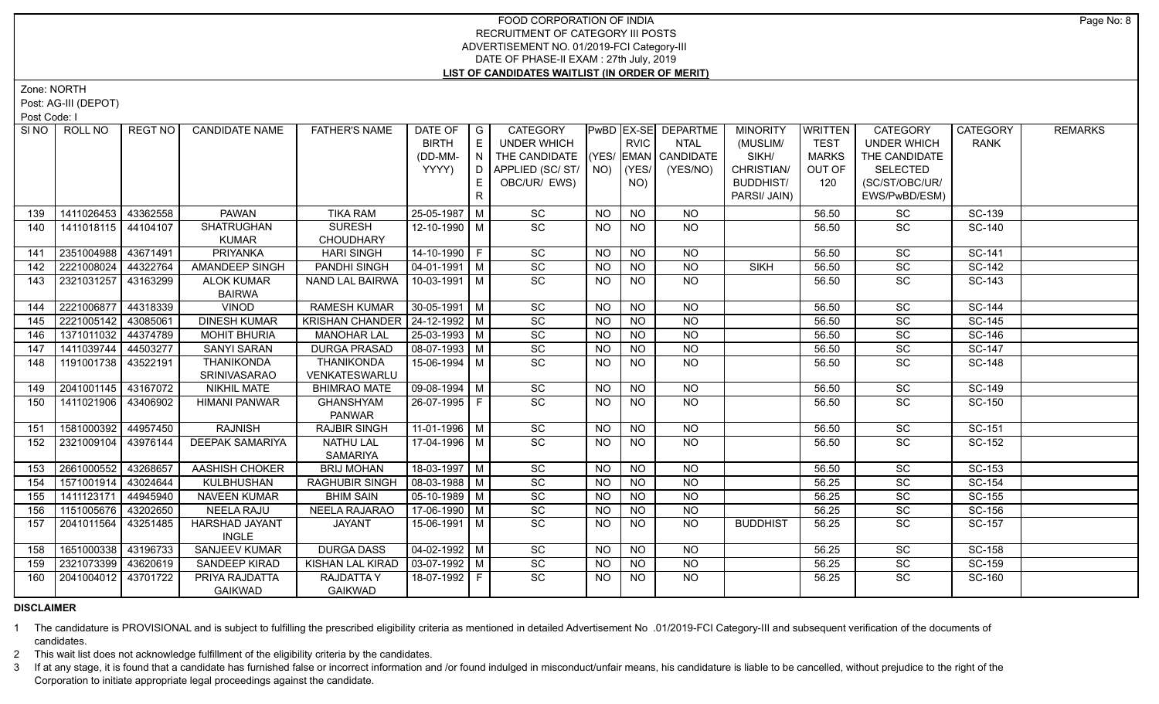Zone: NORTH

Post: AG-III (DEPOT)

Post Code: I

| SI NO | ROLL NO             | REGT NO  | <b>CANDIDATE NAME</b>  | <b>FATHER'S NAME</b>                | DATE OF            | $\overline{G}$ | <b>CATEGORY</b>        |           |                 | PwBD EX-SE DEPARTME  | <b>MINORITY</b>  | <b>WRITTEN</b> | <b>CATEGORY</b>    | <b>CATEGORY</b> | <b>REMARKS</b> |
|-------|---------------------|----------|------------------------|-------------------------------------|--------------------|----------------|------------------------|-----------|-----------------|----------------------|------------------|----------------|--------------------|-----------------|----------------|
|       |                     |          |                        |                                     | <b>BIRTH</b>       | E              | <b>UNDER WHICH</b>     |           | <b>RVIC</b>     | <b>NTAL</b>          | (MUSLIM/         | <b>TEST</b>    | <b>UNDER WHICH</b> | <b>RANK</b>     |                |
|       |                     |          |                        |                                     | (DD-MM-            | $\overline{N}$ | THE CANDIDATE          |           |                 | (YES/ EMAN CANDIDATE | SIKH/            | <b>MARKS</b>   | THE CANDIDATE      |                 |                |
|       |                     |          |                        |                                     | YYYY)              | ID.            | APPLIED (SC/ ST/   NO) |           | (YES/           | (YES/NO)             | CHRISTIAN/       | OUT OF         | <b>SELECTED</b>    |                 |                |
|       |                     |          |                        |                                     |                    | E              | OBC/UR/ EWS)           |           | NO)             |                      | <b>BUDDHIST/</b> | 120            | (SC/ST/OBC/UR/     |                 |                |
|       |                     |          |                        |                                     |                    | $\mathsf{R}$   |                        |           |                 |                      | PARSI/ JAIN)     |                | EWS/PwBD/ESM)      |                 |                |
| 139   | 1411026453          | 43362558 | <b>PAWAN</b>           | <b>TIKA RAM</b>                     | 25-05-1987 M       |                | SC                     | <b>NO</b> | <b>NO</b>       | NO                   |                  | 56.50          | SC                 | SC-139          |                |
| 140   | 1411018115 44104107 |          | <b>SHATRUGHAN</b>      | <b>SURESH</b>                       | 12-10-1990 M       |                | SC                     | <b>NO</b> | <b>NO</b>       | NO                   |                  | 56.50          | <b>SC</b>          | <b>SC-140</b>   |                |
|       |                     |          | <b>KUMAR</b>           | <b>CHOUDHARY</b>                    |                    |                |                        |           |                 |                      |                  |                |                    |                 |                |
| 141   | 2351004988          | 43671491 | PRIYANKA               | <b>HARI SINGH</b>                   | 14-10-1990 F       |                | SC                     | <b>NO</b> | <b>NO</b>       | <b>NO</b>            |                  | 56.50          | SC                 | SC-141          |                |
| 142   | 2221008024          | 44322764 | AMANDEEP SINGH         | PANDHI SINGH                        | 04-01-1991   M     |                | SC                     | <b>NO</b> | <b>NO</b>       | <b>NO</b>            | <b>SIKH</b>      | 56.50          | SC                 | SC-142          |                |
| 143   | 2321031257          | 43163299 | <b>ALOK KUMAR</b>      | NAND LAL BAIRWA                     | 10-03-1991   M     |                | SC                     | <b>NO</b> | NO.             | <b>NO</b>            |                  | 56.50          | SC                 | SC-143          |                |
|       |                     |          | <b>BAIRWA</b>          |                                     |                    |                |                        |           |                 |                      |                  |                |                    |                 |                |
| 144   | 2221006877          | 44318339 | <b>VINOD</b>           | <b>RAMESH KUMAR</b>                 | 30-05-1991   M     |                | SC                     | <b>NO</b> | $\overline{NO}$ | $\overline{NO}$      |                  | 56.50          | SC                 | SC-144          |                |
| 145   | 2221005142          | 43085061 | <b>DINESH KUMAR</b>    | KRISHAN CHANDER   24-12-1992   M    |                    |                | SC                     | NO.       | <b>NO</b>       | $\overline{NO}$      |                  | 56.50          | SC                 | SC-145          |                |
| 146   | 1371011032          | 44374789 | <b>MOHIT BHURIA</b>    | <b>MANOHAR LAL</b>                  | $25 - 03 - 1993$ M |                | SC                     | <b>NO</b> | N <sub>O</sub>  | $\overline{NQ}$      |                  | 56.50          | $\overline{SC}$    | SC-146          |                |
| 147   | 1411039744          | 44503277 | <b>SANYI SARAN</b>     | <b>DURGA PRASAD</b>                 | 08-07-1993 M       |                | SC                     | <b>NO</b> | $\overline{NO}$ | $\overline{NQ}$      |                  | 56.50          | $\overline{SC}$    | SC-147          |                |
| 148   | 1191001738          | 43522191 | THANIKONDA             | <b>THANIKONDA</b>                   | 15-06-1994 M       |                | SC                     | NO.       | $\overline{NO}$ | $\overline{NO}$      |                  | 56.50          | SC                 | <b>SC-148</b>   |                |
|       |                     |          | <b>SRINIVASARAO</b>    | VENKATESWARLU                       |                    |                |                        |           |                 |                      |                  |                |                    |                 |                |
| 149   | 2041001145          | 43167072 | <b>NIKHIL MATE</b>     | <b>BHIMRAO MATE</b>                 | $09-08-1994$ M     |                | $\overline{SC}$        | <b>NO</b> | <b>NO</b>       | <b>NO</b>            |                  | 56.50          | SC                 | SC-149          |                |
| 150   | 1411021906          | 43406902 | <b>HIMANI PANWAR</b>   | <b>GHANSHYAM</b><br><b>PANWAR</b>   | 26-07-1995 F       |                | $\overline{SC}$        | NO.       | NO.             | NO                   |                  | 56.50          | $\overline{SC}$    | SC-150          |                |
| 151   | 1581000392 44957450 |          | <b>RAJNISH</b>         | <b>RAJBIR SINGH</b>                 | $11-01-1996$ M     |                | SC                     | <b>NO</b> | $N$ O           | $N$ O                |                  | 56.50          | $\overline{SC}$    | SC-151          |                |
| 152   | 2321009104          | 43976144 | <b>DEEPAK SAMARIYA</b> | <b>NATHU LAL</b><br><b>SAMARIYA</b> | 17-04-1996   M     |                | $\overline{SC}$        | <b>NO</b> | <b>NO</b>       | NO                   |                  | 56.50          | SC                 | SC-152          |                |
| 153   | 2661000552          | 43268657 | AASHISH CHOKER         | <b>BRIJ MOHAN</b>                   | 18-03-1997 M       |                | SC                     | <b>NO</b> | <b>NO</b>       | <b>NO</b>            |                  | 56.50          | SC                 | SC-153          |                |
| 154   | 1571001914          | 43024644 | KULBHUSHAN             | <b>RAGHUBIR SINGH</b>               | $08-03-1988$ M     |                | SC                     | <b>NO</b> | <b>NO</b>       | <b>NO</b>            |                  | 56.25          | SC                 | SC-154          |                |
| 155   | 1411123171          | 44945940 | <b>NAVEEN KUMAR</b>    | <b>BHIM SAIN</b>                    | 05-10-1989   M     |                | SC                     | <b>NO</b> | <b>NO</b>       | <b>NO</b>            |                  | 56.25          | SC                 | SC-155          |                |
| 156   | 1151005676          | 43202650 | <b>NEELA RAJU</b>      | NEELA RAJARAO                       | 17-06-1990 M       |                | SC                     | <b>NO</b> | <b>NO</b>       | <b>NO</b>            |                  | 56.25          | SC                 | SC-156          |                |
| 157   | 2041011564          | 43251485 | HARSHAD JAYANT         | <b>JAYANT</b>                       | 15-06-1991   M     |                | SC                     | NO.       | NO.             | <b>NO</b>            | <b>BUDDHIST</b>  | 56.25          | SC                 | SC-157          |                |
|       |                     |          | <b>INGLE</b>           |                                     |                    |                |                        |           |                 |                      |                  |                |                    |                 |                |
| 158   | 1651000338          | 43196733 | <b>SANJEEV KUMAR</b>   | <b>DURGA DASS</b>                   | $04 - 02 - 1992$ M |                | SC                     | <b>NO</b> | <b>NO</b>       | NO                   |                  | 56.25          | SC                 | <b>SC-158</b>   |                |
| 159   | 2321073399          | 43620619 | SANDEEP KIRAD          | <b>KISHAN LAL KIRAD</b>             | 03-07-1992 M       |                | SC                     | <b>NO</b> | <b>NO</b>       | <b>NO</b>            |                  | 56.25          | SC                 | SC-159          |                |
| 160   | 2041004012          | 43701722 | PRIYA RAJDATTA         | <b>RAJDATTAY</b>                    | 18-07-1992 F       |                | SC                     | NO.       | NO.             | NO.                  |                  | 56.25          | <b>SC</b>          | SC-160          |                |
|       |                     |          | <b>GAIKWAD</b>         | <b>GAIKWAD</b>                      |                    |                |                        |           |                 |                      |                  |                |                    |                 |                |

**DISCLAIMER**

1 The candidature is PROVISIONAL and is subject to fulfilling the prescribed eligibility criteria as mentioned in detailed Advertisement No .01/2019-FCI Category-III and subsequent verification of the documents of candidates.

2 This wait list does not acknowledge fulfillment of the eligibility criteria by the candidates.

3 If at any stage, it is found that a candidate has furnished false or incorrect information and /or found indulged in misconduct/unfair means, his candidature is liable to be cancelled, without prejudice to the right of t Corporation to initiate appropriate legal proceedings against the candidate.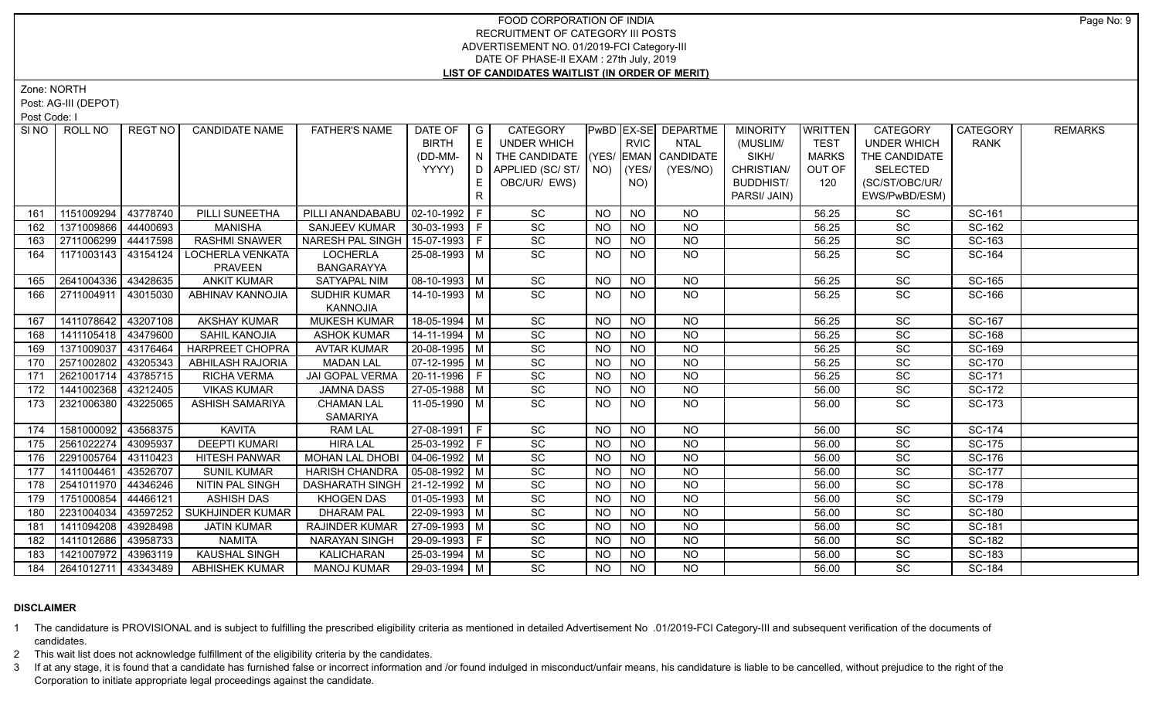Zone: NORTH

Post: AG-III (DEPOT)

Post Code: I

| SI NO 1 | ROLL NO             | REGT NO  | <b>CANDIDATE NAME</b>   | <b>FATHER'S NAME</b>              | DATE OF               | I G | CATEGORY                           |           |                 | <b>PwBD EX-SE DEPARTME</b> | <b>MINORITY</b>  | <b>WRITTEN</b> | <b>CATEGORY</b>    | <b>CATEGORY</b> | <b>REMARKS</b> |
|---------|---------------------|----------|-------------------------|-----------------------------------|-----------------------|-----|------------------------------------|-----------|-----------------|----------------------------|------------------|----------------|--------------------|-----------------|----------------|
|         |                     |          |                         |                                   | <b>BIRTH</b>          | E   | UNDER WHICH                        |           | <b>RVIC</b>     | <b>NTAL</b>                | (MUSLIM/         | <b>TEST</b>    | <b>UNDER WHICH</b> | <b>RANK</b>     |                |
|         |                     |          |                         |                                   | (DD-MM-               |     | THE CANDIDATE (YES/ EMAN CANDIDATE |           |                 |                            | SIKH/            | <b>MARKS</b>   | THE CANDIDATE      |                 |                |
|         |                     |          |                         |                                   | YYYY)                 | D   | APPLIED (SC/ ST/   NO)             |           | (YES/           | (YES/NO)                   | CHRISTIAN/       | OUT OF         | <b>SELECTED</b>    |                 |                |
|         |                     |          |                         |                                   |                       | Е   | OBC/UR/ EWS)                       |           | NO)             |                            | <b>BUDDHIST/</b> | 120            | (SC/ST/OBC/UR/     |                 |                |
|         |                     |          |                         |                                   |                       | R   |                                    |           |                 |                            | PARSI/ JAIN)     |                | EWS/PwBD/ESM)      |                 |                |
| 161     | 1151009294          | 43778740 | PILLI SUNEETHA          | PILLI ANANDABABU                  | 02-10-1992            |     | SC                                 | <b>NO</b> | <b>NO</b>       | <b>NO</b>                  |                  | 56.25          | <b>SC</b>          | SC-161          |                |
| 162     | 1371009866 44400693 |          | <b>MANISHA</b>          | <b>SANJEEV KUMAR</b>              | $ 30-03-1993 F$       |     | SC                                 | <b>NO</b> | <b>NO</b>       | <b>NO</b>                  |                  | 56.25          | SC                 | SC-162          |                |
| 163     | 2711006299 44417598 |          | <b>RASHMI SNAWER</b>    | NARESH PAL SINGH   15-07-1993   F |                       |     | SC                                 | NO.       | <b>NO</b>       | <b>NO</b>                  |                  | 56.25          | SC                 | SC-163          |                |
| 164     | 1171003143 43154124 |          | LOCHERLA VENKATA        | <b>LOCHERLA</b>                   | 25-08-1993 M          |     | $\overline{SC}$                    | <b>NO</b> | <b>NO</b>       | NO                         |                  | 56.25          | <b>SC</b>          | SC-164          |                |
|         |                     |          | <b>PRAVEEN</b>          | <b>BANGARAYYA</b>                 |                       |     |                                    |           |                 |                            |                  |                |                    |                 |                |
| 165     | 2641004336 43428635 |          | <b>ANKIT KUMAR</b>      | SATYAPAL NIM                      | $\sqrt{08-10-1993}$ M |     | SC                                 | <b>NO</b> | <b>NO</b>       | <b>NO</b>                  |                  | 56.25          | SC                 | SC-165          |                |
| 166     | 2711004911 43015030 |          | ABHINAV KANNOJIA        | SUDHIR KUMAR<br>KANNOJIA          | 14-10-1993 M          |     | <b>SC</b>                          | NO.       | <b>NO</b>       | NO                         |                  | 56.25          | <b>SC</b>          | SC-166          |                |
| 167     | 1411078642 43207108 |          | <b>AKSHAY KUMAR</b>     | <b>MUKESH KUMAR</b>               | 18-05-1994 M          |     | SC                                 | <b>NO</b> | <b>NO</b>       | <b>NO</b>                  |                  | 56.25          | SC                 | SC-167          |                |
| 168     | 1411105418 43479600 |          | SAHIL KANOJIA           | <b>ASHOK KUMAR</b>                | $14-11-1994$ M        |     | $\overline{SC}$                    | <b>NO</b> | <b>NO</b>       | <b>NO</b>                  |                  | 56.25          | $\overline{SC}$    | SC-168          |                |
| 169     | 1371009037          | 43176464 | <b>HARPREET CHOPRA</b>  | <b>AVTAR KUMAR</b>                | 20-08-1995   M        |     | SC                                 | <b>NO</b> | <b>NO</b>       | <b>NO</b>                  |                  | 56.25          | SC                 | SC-169          |                |
| 170     | 2571002802          | 43205343 | <b>ABHILASH RAJORIA</b> | <b>MADAN LAL</b>                  | $\sqrt{07-12-1995}$ M |     | $\overline{SC}$                    | <b>NO</b> | $\overline{NO}$ | $\overline{NO}$            |                  | 56.25          | $\overline{SC}$    | SC-170          |                |
| 171     | 2621001714 43785715 |          | <b>RICHA VERMA</b>      | JAI GOPAL VERMA                   | 20-11-1996 F          |     | SC                                 | <b>NO</b> | <b>NO</b>       | <b>NO</b>                  |                  | 56.25          | SC                 | SC-171          |                |
| 172     | 1441002368 43212405 |          | <b>VIKAS KUMAR</b>      | <b>JAMNA DASS</b>                 | $27-05-1988$ M        |     | SC                                 | <b>NO</b> | <b>NO</b>       | $\overline{NO}$            |                  | 56.00          | SC                 | SC-172          |                |
| 173     | 2321006380 43225065 |          | <b>ASHISH SAMARIYA</b>  | <b>CHAMAN LAL</b>                 | 11-05-1990 M          |     | SC                                 | <b>NO</b> | <b>NO</b>       | <b>NO</b>                  |                  | 56.00          | $\overline{SC}$    | SC-173          |                |
|         |                     |          |                         | <b>SAMARIYA</b>                   |                       |     |                                    |           |                 |                            |                  |                |                    |                 |                |
| 174     | 1581000092          | 43568375 | <b>KAVITA</b>           | RAM LAL                           | 27-08-1991 F          |     | SC                                 | NO.       | <b>NO</b>       | NO                         |                  | 56.00          | SC                 | SC-174          |                |
| 175     | 2561022274          | 43095937 | <b>DEEPTI KUMARI</b>    | <b>HIRA LAL</b>                   | $ 25-03-1992 F$       |     | $\overline{SC}$                    | <b>NO</b> | <b>NO</b>       | N <sub>O</sub>             |                  | 56.00          | $\overline{SC}$    | SC-175          |                |
| 176     | 2291005764          | 43110423 | <b>HITESH PANWAR</b>    | MOHAN LAL DHOBI                   | 04-06-1992   M        |     | SC                                 | <b>NO</b> | <b>NO</b>       | <b>NO</b>                  |                  | 56.00          | SC                 | SC-176          |                |
| 177     | 1411004461          | 43526707 | <b>SUNIL KUMAR</b>      | <b>HARISH CHANDRA</b>             | 05-08-1992   M        |     | $\overline{SC}$                    | <b>NO</b> | <b>NO</b>       | <b>NO</b>                  |                  | 56.00          | SC                 | SC-177          |                |
| 178     | 2541011970          | 44346246 | NITIN PAL SINGH         | DASHARATH SINGH   21-12-1992   M  |                       |     | SC                                 | <b>NO</b> | N <sub>O</sub>  | N <sub>O</sub>             |                  | 56.00          | SC                 | <b>SC-178</b>   |                |
| 179     | 1751000854          | 44466121 | <b>ASHISH DAS</b>       | <b>KHOGEN DAS</b>                 | $ 01-05-1993 $ M      |     | SC                                 | NO.       | <b>NO</b>       | <b>NO</b>                  |                  | 56.00          | SC                 | SC-179          |                |
| 180     | 2231004034          | 43597252 | SUKHJINDER KUMAR        | <b>DHARAM PAL</b>                 | 22-09-1993   M        |     | $\overline{SC}$                    | <b>NO</b> | <b>NO</b>       | <b>NO</b>                  |                  | 56.00          | SC                 | SC-180          |                |
| 181     | 1411094208          | 43928498 | <b>JATIN KUMAR</b>      | RAJINDER KUMAR                    | 27-09-1993   M        |     | $\overline{SC}$                    | <b>NO</b> | <b>NO</b>       | $\overline{NO}$            |                  | 56.00          | SC                 | SC-181          |                |
| 182     | 1411012686          | 43958733 | <b>NAMITA</b>           | <b>NARAYAN SINGH</b>              | $ 29-09-1993 F$       |     | SC                                 | <b>NO</b> | <b>NO</b>       | <b>NO</b>                  |                  | 56.00          | $\overline{SC}$    | SC-182          |                |
| 183     | 1421007972 43963119 |          | <b>KAUSHAL SINGH</b>    | KALICHARAN                        | 25-03-1994 M          |     | SC                                 | <b>NO</b> | <b>NO</b>       | <b>NO</b>                  |                  | 56.00          | SC                 | SC-183          |                |
| 184     | 2641012711 43343489 |          | <b>ABHISHEK KUMAR</b>   | <b>MANOJ KUMAR</b>                | 29-03-1994 M          |     | $\overline{SC}$                    | NO.       | <b>NO</b>       | <b>NO</b>                  |                  | 56.00          | <b>SC</b>          | SC-184          |                |

### **DISCLAIMER**

1 The candidature is PROVISIONAL and is subject to fulfilling the prescribed eligibility criteria as mentioned in detailed Advertisement No .01/2019-FCI Category-III and subsequent verification of the documents of candidates.

2 This wait list does not acknowledge fulfillment of the eligibility criteria by the candidates.

3 If at any stage, it is found that a candidate has furnished false or incorrect information and /or found indulged in misconduct/unfair means, his candidature is liable to be cancelled, without prejudice to the right of t Corporation to initiate appropriate legal proceedings against the candidate.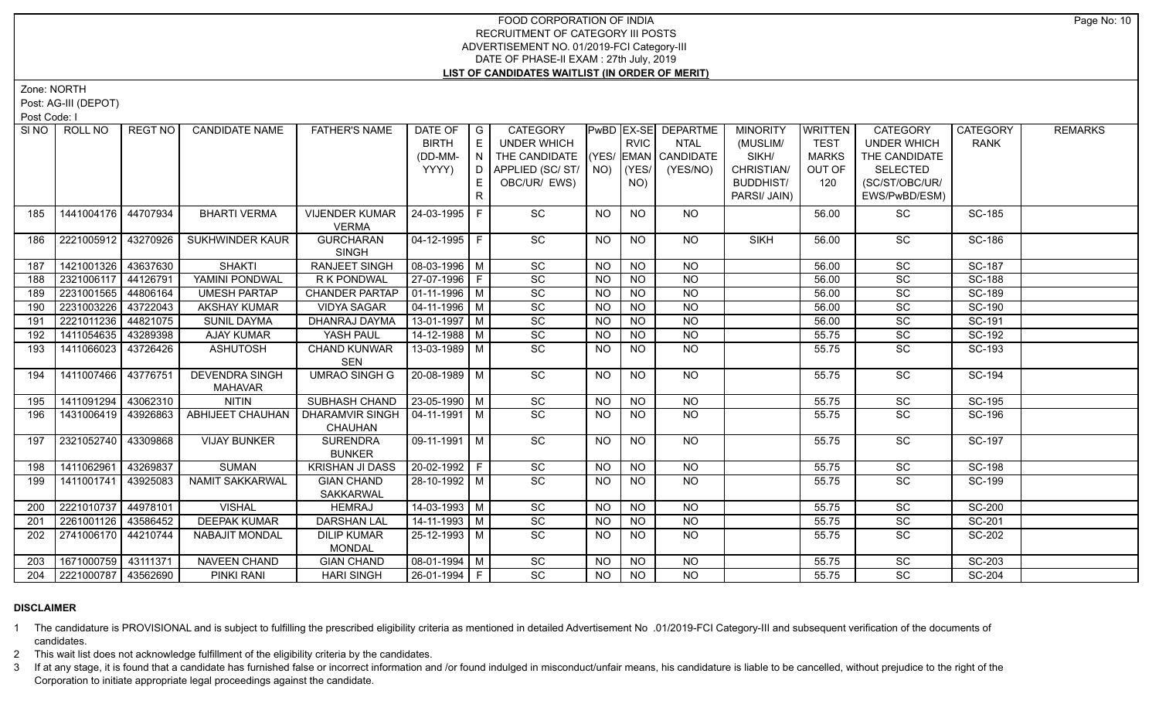Zone: NORTH

Post: AG-III (DEPOT)

Post Code: I

|     | SINO   ROLL NO        | REGT NO  | <b>CANDIDATE NAME</b> | <b>FATHER'S NAME</b>             | DATE OF            | $\overline{\phantom{a}}$ G | <b>CATEGORY</b>                    |           |                 | <b>PwBD EX-SE DEPARTME</b> | <b>MINORITY</b>  | <b>WRITTEN</b> | <b>CATEGORY</b>    | <b>CATEGORY</b> | <b>REMARKS</b> |
|-----|-----------------------|----------|-----------------------|----------------------------------|--------------------|----------------------------|------------------------------------|-----------|-----------------|----------------------------|------------------|----------------|--------------------|-----------------|----------------|
|     |                       |          |                       |                                  | <b>BIRTH</b>       | E                          | UNDER WHICH                        |           | <b>RVIC</b>     | <b>NTAL</b>                | (MUSLIM/         | <b>TEST</b>    | <b>UNDER WHICH</b> | <b>RANK</b>     |                |
|     |                       |          |                       |                                  | (DD-MM-            | N                          | THE CANDIDATE (YES/ EMAN CANDIDATE |           |                 |                            | SIKH/            | <b>MARKS</b>   | THE CANDIDATE      |                 |                |
|     |                       |          |                       |                                  | YYYY)              | D                          | APPLIED (SC/ ST/   NO)             |           | (YES/           | (YES/NO)                   | CHRISTIAN/       | OUT OF         | <b>SELECTED</b>    |                 |                |
|     |                       |          |                       |                                  |                    |                            | OBC/UR/ EWS)                       |           | NO)             |                            | <b>BUDDHIST/</b> | 120            | (SC/ST/OBC/UR/     |                 |                |
|     |                       |          |                       |                                  |                    | R.                         |                                    |           |                 |                            | PARSI/ JAIN)     |                | EWS/PwBD/ESM)      |                 |                |
| 185 | 1441004176 44707934   |          | <b>BHARTI VERMA</b>   | <b>VIJENDER KUMAR</b>            | 24-03-1995 F       |                            | SC                                 | <b>NO</b> | <b>NO</b>       | NO.                        |                  | 56.00          | SC                 | SC-185          |                |
|     |                       |          |                       | <b>VERMA</b>                     |                    |                            |                                    |           |                 |                            |                  |                |                    |                 |                |
| 186 | 2221005912            | 43270926 | SUKHWINDER KAUR       | <b>GURCHARAN</b>                 | 04-12-1995   F     |                            | SC                                 | NO.       | <b>NO</b>       | NO.                        | <b>SIKH</b>      | 56.00          | SC                 | SC-186          |                |
|     |                       |          |                       | <b>SINGH</b>                     |                    |                            |                                    |           |                 |                            |                  |                |                    |                 |                |
| 187 | 1421001326 43637630   |          | <b>SHAKTI</b>         | <b>RANJEET SINGH</b>             | $08-03-1996$ M     |                            | $\overline{SC}$                    | <b>NO</b> | $\overline{NQ}$ | $\overline{NQ}$            |                  | 56.00          | $\overline{SC}$    | <b>SC-187</b>   |                |
| 188 | 2321006117            | 44126791 | YAMINI PONDWAL        | R K PONDWAL                      | 27-07-1996 F       |                            | SC                                 | <b>NO</b> | <b>NO</b>       | <b>NO</b>                  |                  | 56.00          | SC                 | <b>SC-188</b>   |                |
| 189 | 2231001565            | 44806164 | <b>UMESH PARTAP</b>   | <b>CHANDER PARTAP</b>            | $01-11-1996$ M     |                            | $\overline{SC}$                    | <b>NO</b> | $\overline{NQ}$ | $\overline{NO}$            |                  | 56.00          | $\overline{SC}$    | SC-189          |                |
| 190 | 2231003226            | 43722043 | <b>AKSHAY KUMAR</b>   | <b>VIDYA SAGAR</b>               | $04 - 11 - 1996$ M |                            | SC                                 | <b>NO</b> | $\overline{N}$  | $\overline{NO}$            |                  | 56.00          | SC                 | SC-190          |                |
| 191 | 2221011236            | 44821075 | <b>SUNIL DAYMA</b>    | DHANRAJ DAYMA                    | $13-01-1997$ M     |                            | SC                                 | <b>NO</b> | <b>NO</b>       | <b>NO</b>                  |                  | 56.00          | SC                 | SC-191          |                |
| 192 | 1411054635            | 43289398 | <b>AJAY KUMAR</b>     | YASH PAUL                        | 14-12-1988   M     |                            | SC                                 | <b>NO</b> | <b>NO</b>       | <b>NO</b>                  |                  | 55.75          | SC                 | SC-192          |                |
| 193 | 1411066023            | 43726426 | ASHUTOSH              | CHAND KUNWAR                     | 13-03-1989 M       |                            | $\overline{SC}$                    | NO.       | <b>NO</b>       | <b>NO</b>                  |                  | 55.75          | <b>SC</b>          | SC-193          |                |
|     |                       |          |                       | SEN                              |                    |                            |                                    |           |                 |                            |                  |                |                    |                 |                |
| 194 | 1411007466            | 43776751 | <b>DEVENDRA SINGH</b> | <b>UMRAO SINGH G</b>             | $20 - 08 - 1989$ M |                            | $\overline{SC}$                    | <b>NO</b> | <b>NO</b>       | <b>NO</b>                  |                  | 55.75          | $\overline{SC}$    | <b>SC-194</b>   |                |
|     |                       |          | <b>MAHAVAR</b>        |                                  |                    |                            |                                    |           |                 |                            |                  |                |                    |                 |                |
| 195 | 1411091294            | 43062310 | <b>NITIN</b>          | SUBHASH CHAND   23-05-1990   M   |                    |                            | SC                                 | <b>NO</b> | <b>NO</b>       | $N$ O                      |                  | 55.75          | $\overline{SC}$    | SC-195          |                |
| 196 | 1431006419            | 43926863 | ABHIJEET CHAUHAN      | DHARAMVIR SINGH   04-11-1991   M |                    |                            | SC                                 | NO.       | <b>NO</b>       | <b>NO</b>                  |                  | 55.75          | SC                 | SC-196          |                |
|     |                       |          |                       | <b>CHAUHAN</b>                   |                    |                            |                                    |           |                 |                            |                  |                |                    |                 |                |
| 197 | 2321052740            | 43309868 | <b>VIJAY BUNKER</b>   | <b>SURENDRA</b>                  | 09-11-1991   M     |                            | SC                                 | NO.       | <b>NO</b>       | NO                         |                  | 55.75          | <b>SC</b>          | <b>SC-197</b>   |                |
|     |                       |          |                       | <b>BUNKER</b>                    |                    |                            |                                    |           |                 |                            |                  |                |                    |                 |                |
| 198 | 1411062961            | 43269837 | <b>SUMAN</b>          | <b>KRISHAN JI DASS</b>           | 20-02-1992 F       |                            | SC                                 | <b>NO</b> | <b>NO</b>       | <b>NO</b>                  |                  | 55.75          | SC                 | <b>SC-198</b>   |                |
| 199 | 1411001741            | 43925083 | NAMIT SAKKARWAL       | <b>GIAN CHAND</b>                | 28-10-1992 M       |                            | SC                                 | NO.       | <b>NO</b>       | NO.                        |                  | 55.75          | SC                 | SC-199          |                |
|     |                       |          |                       | <b>SAKKARWAL</b>                 |                    |                            |                                    |           |                 |                            |                  |                |                    |                 |                |
| 200 | 2221010737            | 44978101 | <b>VISHAL</b>         | <b>HEMRAJ</b>                    | $14-03-1993$ M     |                            | $\overline{SC}$                    | <b>NO</b> | <b>NO</b>       | <b>NO</b>                  |                  | 55.75          | <b>SC</b>          | <b>SC-200</b>   |                |
| 201 | 2261001126 43586452   |          | <b>DEEPAK KUMAR</b>   | <b>DARSHAN LAL</b>               | $14 - 11 - 1993$ M |                            | SC                                 | <b>NO</b> | <b>NO</b>       | $\overline{NO}$            |                  | 55.75          | SC                 | SC-201          |                |
| 202 | 2741006170   44210744 |          | <b>NABAJIT MONDAL</b> | <b>DILIP KUMAR</b>               | 25-12-1993 M       |                            | $\overline{SC}$                    | NO.       | <b>NO</b>       | <b>NO</b>                  |                  | 55.75          | $\overline{SC}$    | SC-202          |                |
|     |                       |          |                       | <b>MONDAL</b>                    |                    |                            |                                    |           |                 |                            |                  |                |                    |                 |                |
| 203 | 1671000759            | 43111371 | NAVEEN CHAND          | <b>GIAN CHAND</b>                | $08-01-1994$ M     |                            | SC                                 | <b>NO</b> | <b>NO</b>       | <b>NO</b>                  |                  | 55.75          | SC                 | SC-203          |                |
| 204 | 2221000787 43562690   |          | PINKI RANI            | <b>HARI SINGH</b>                | 26-01-1994 F       |                            | $\overline{SC}$                    | <b>NO</b> | <b>NO</b>       | <b>NO</b>                  |                  | 55.75          | <b>SC</b>          | SC-204          |                |

### **DISCLAIMER**

1 The candidature is PROVISIONAL and is subject to fulfilling the prescribed eligibility criteria as mentioned in detailed Advertisement No .01/2019-FCI Category-III and subsequent verification of the documents of candidates.

2 This wait list does not acknowledge fulfillment of the eligibility criteria by the candidates.

3 If at any stage, it is found that a candidate has furnished false or incorrect information and /or found indulged in misconduct/unfair means, his candidature is liable to be cancelled, without prejudice to the right of t Corporation to initiate appropriate legal proceedings against the candidate.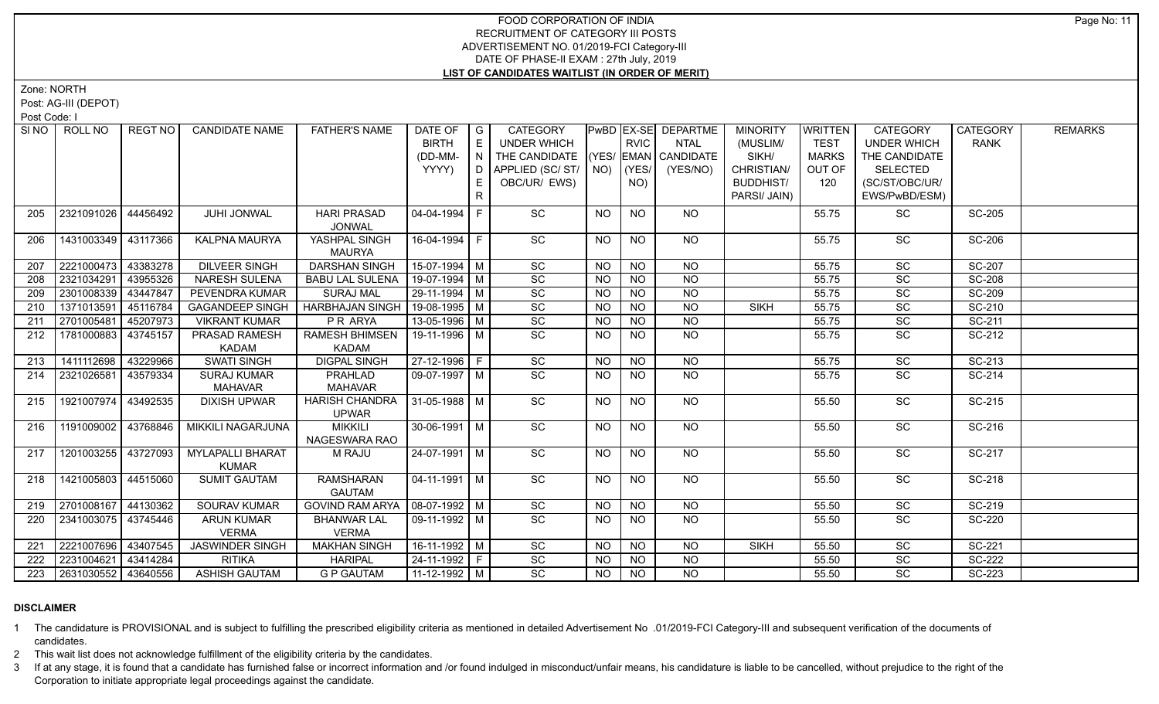Zone: NORTH

Post: AG-III (DEPOT)

Post Code: I

|     | SINO   ROLL NO          | REGT NO  | <b>CANDIDATE NAME</b>    | <b>FATHER'S NAME</b>   | DATE OF            | $\overline{\phantom{a}}$ G | <b>CATEGORY</b>                    |           |                 | <b>PwBD EX-SE DEPARTME</b> | <b>MINORITY</b>  | <b>WRITTEN</b> | <b>CATEGORY</b>    | <b>CATEGORY</b> | <b>REMARKS</b> |
|-----|-------------------------|----------|--------------------------|------------------------|--------------------|----------------------------|------------------------------------|-----------|-----------------|----------------------------|------------------|----------------|--------------------|-----------------|----------------|
|     |                         |          |                          |                        | <b>BIRTH</b>       | E                          | <b>UNDER WHICH</b>                 |           | <b>RVIC</b>     | <b>NTAL</b>                | (MUSLIM/         | <b>TEST</b>    | <b>UNDER WHICH</b> | <b>RANK</b>     |                |
|     |                         |          |                          |                        | (DD-MM-            | N                          | THE CANDIDATE (YES/ EMAN CANDIDATE |           |                 |                            | SIKH/            | <b>MARKS</b>   | THE CANDIDATE      |                 |                |
|     |                         |          |                          |                        | YYYY)              | D                          | APPLIED (SC/ ST/   NO)             |           | (YES/           | (YES/NO)                   | CHRISTIAN/       | OUT OF         | <b>SELECTED</b>    |                 |                |
|     |                         |          |                          |                        |                    |                            | OBC/UR/ EWS)                       |           | NO)             |                            | <b>BUDDHIST/</b> | 120            | (SC/ST/OBC/UR/     |                 |                |
|     |                         |          |                          |                        |                    | R.                         |                                    |           |                 |                            | PARSI/ JAIN)     |                | EWS/PwBD/ESM)      |                 |                |
| 205 | 2321091026              | 44456492 | JUHI JONWAL              | <b>HARI PRASAD</b>     | $04 - 04 - 1994$   |                            | SC                                 | <b>NO</b> | <b>NO</b>       | NO.                        |                  | 55.75          | SC                 | <b>SC-205</b>   |                |
|     |                         |          |                          | <b>JONWAL</b>          |                    |                            |                                    |           |                 |                            |                  |                |                    |                 |                |
| 206 | 1431003349              | 43117366 | KALPNA MAURYA            | YASHPAL SINGH          | 16-04-1994 F       |                            | SC                                 | NO.       | <b>NO</b>       | NO                         |                  | 55.75          | SC                 | <b>SC-206</b>   |                |
|     |                         |          |                          | <b>MAURYA</b>          |                    |                            |                                    |           |                 |                            |                  |                |                    |                 |                |
| 207 | 2221000473              | 43383278 | <b>DILVEER SINGH</b>     | <b>DARSHAN SINGH</b>   | 15-07-1994 M       |                            | $\overline{SC}$                    | <b>NO</b> | $\overline{NQ}$ | <b>NO</b>                  |                  | 55.75          | $\overline{SC}$    | SC-207          |                |
| 208 | 2321034291              | 43955326 | <b>NARESH SULENA</b>     | <b>BABU LAL SULENA</b> | 19-07-1994 M       |                            | SC                                 | NO.       | <b>NO</b>       | NO.                        |                  | 55.75          | SC                 | <b>SC-208</b>   |                |
| 209 | 2301008339              | 43447847 | <b>PEVENDRA KUMAR</b>    | <b>SURAJ MAL</b>       | $29-11-1994$ M     |                            | SC                                 | <b>NO</b> | $\overline{NO}$ | $\overline{NO}$            |                  | 55.75          | $\overline{SC}$    | <b>SC-209</b>   |                |
| 210 | 1371013591              | 45116784 | <b>GAGANDEEP SINGH</b>   | <b>HARBHAJAN SINGH</b> | 19-08-1995   M     |                            | SC                                 | <b>NO</b> | <b>NO</b>       | <b>NO</b>                  | <b>SIKH</b>      | 55.75          | SC                 | SC-210          |                |
| 211 | 2701005481              | 45207973 | <b>VIKRANT KUMAR</b>     | <b>PRARYA</b>          | $13-05-1996$ M     |                            | SC                                 | <b>NO</b> | <b>NO</b>       | $\overline{NQ}$            |                  | 55.75          | $\overline{SC}$    | SC-211          |                |
| 212 | 1781000883              | 43745157 | PRASAD RAMESH            | <b>RAMESH BHIMSEN</b>  | 19-11-1996 M       |                            | SC                                 | <b>NO</b> | <b>NO</b>       | <b>NO</b>                  |                  | 55.75          | SC                 | SC-212          |                |
|     |                         |          | <b>KADAM</b>             | <b>KADAM</b>           |                    |                            |                                    |           |                 |                            |                  |                |                    |                 |                |
| 213 | 1411112698              | 43229966 | <b>SWATI SINGH</b>       | <b>DIGPAL SINGH</b>    | $27-12-1996$ F     |                            | SC                                 | <b>NO</b> | N <sub>O</sub>  | $N$ O                      |                  | 55.75          | $\overline{SC}$    | $SC-213$        |                |
| 214 | 2321026581              | 43579334 | <b>SURAJ KUMAR</b>       | <b>PRAHLAD</b>         | $09-07-1997$ M     |                            | $\overline{SC}$                    | NO.       | <b>NO</b>       | N <sub>O</sub>             |                  | 55.75          | $\overline{SC}$    | $SC-214$        |                |
|     |                         |          | <b>MAHAVAR</b>           | <b>MAHAVAR</b>         |                    |                            |                                    |           |                 |                            |                  |                |                    |                 |                |
| 215 | 1921007974              | 43492535 | <b>DIXISH UPWAR</b>      | <b>HARISH CHANDRA</b>  | 31-05-1988 M       |                            | $\overline{SC}$                    | NO.       | <b>NO</b>       | NO                         |                  | 55.50          | $\overline{SC}$    | SC-215          |                |
|     |                         |          |                          | <b>UPWAR</b>           |                    |                            |                                    |           |                 |                            |                  |                |                    |                 |                |
| 216 | 1191009002              | 43768846 | <b>MIKKILI NAGARJUNA</b> | <b>MIKKILI</b>         | $30-06-1991$ M     |                            | SC                                 | <b>NO</b> | N <sub>O</sub>  | NO                         |                  | 55.50          | SC                 | SC-216          |                |
|     |                         |          |                          | NAGESWARA RAO          |                    |                            |                                    |           |                 |                            |                  |                |                    |                 |                |
| 217 | 1201003255 43727093     |          | <b>MYLAPALLI BHARAT</b>  | <b>M RAJU</b>          | $24-07-1991$ M     |                            | SC                                 | <b>NO</b> | <b>NO</b>       | <b>NO</b>                  |                  | 55.50          | SC                 | SC-217          |                |
|     |                         |          | <b>KUMAR</b>             |                        |                    |                            |                                    |           |                 |                            |                  |                |                    |                 |                |
| 218 | 1421005803 44515060     |          | <b>SUMIT GAUTAM</b>      | <b>RAMSHARAN</b>       | $04 - 11 - 1991$ M |                            | $\overline{SC}$                    | NO.       | <b>NO</b>       | NO                         |                  | 55.50          | $\overline{SC}$    | SC-218          |                |
|     |                         |          |                          | <b>GAUTAM</b>          |                    |                            |                                    |           |                 |                            |                  |                |                    |                 |                |
| 219 | 2701008167              | 44130362 | <b>SOURAV KUMAR</b>      | <b>GOVIND RAM ARYA</b> | $08-07-1992$ M     |                            | SC                                 | NO.       | <b>NO</b>       | <b>NO</b>                  |                  | 55.50          | SC                 | SC-219          |                |
| 220 | 2341003075   43745446   |          | <b>ARUN KUMAR</b>        | <b>BHANWAR LAL</b>     | 09-11-1992 M       |                            | $\overline{SC}$                    | NO.       | <b>NO</b>       | NO.                        |                  | 55.50          | <b>SC</b>          | SC-220          |                |
|     | 2221007696 43407545     |          | <b>VERMA</b>             | <b>VERMA</b>           | $16-11-1992$ M     |                            | $\overline{SC}$                    |           | N <sub>O</sub>  | N <sub>O</sub>             | <b>SIKH</b>      |                | $\overline{SC}$    | SC-221          |                |
| 221 |                         |          | <b>JASWINDER SINGH</b>   | <b>MAKHAN SINGH</b>    |                    |                            |                                    | <b>NO</b> |                 |                            |                  | 55.50          |                    |                 |                |
| 222 | 2231004621              | 43414284 | <b>RITIKA</b>            | <b>HARIPAL</b>         | 24-11-1992 F       |                            | SC                                 | NO.       | <b>NO</b>       | <b>NO</b>                  |                  | 55.50          | SC                 | SC-222          |                |
|     | 223 2631030552 43640556 |          | <b>ASHISH GAUTAM</b>     | <b>G P GAUTAM</b>      | 11-12-1992   M     |                            | $\overline{SC}$                    | <b>NO</b> | N <sub>O</sub>  | $N$ <sup>O</sup>           |                  | 55.50          | SC                 | SC-223          |                |

### **DISCLAIMER**

1 The candidature is PROVISIONAL and is subject to fulfilling the prescribed eligibility criteria as mentioned in detailed Advertisement No .01/2019-FCI Category-III and subsequent verification of the documents of candidates.

2 This wait list does not acknowledge fulfillment of the eligibility criteria by the candidates.

3 If at any stage, it is found that a candidate has furnished false or incorrect information and /or found indulged in misconduct/unfair means, his candidature is liable to be cancelled, without prejudice to the right of t Corporation to initiate appropriate legal proceedings against the candidate.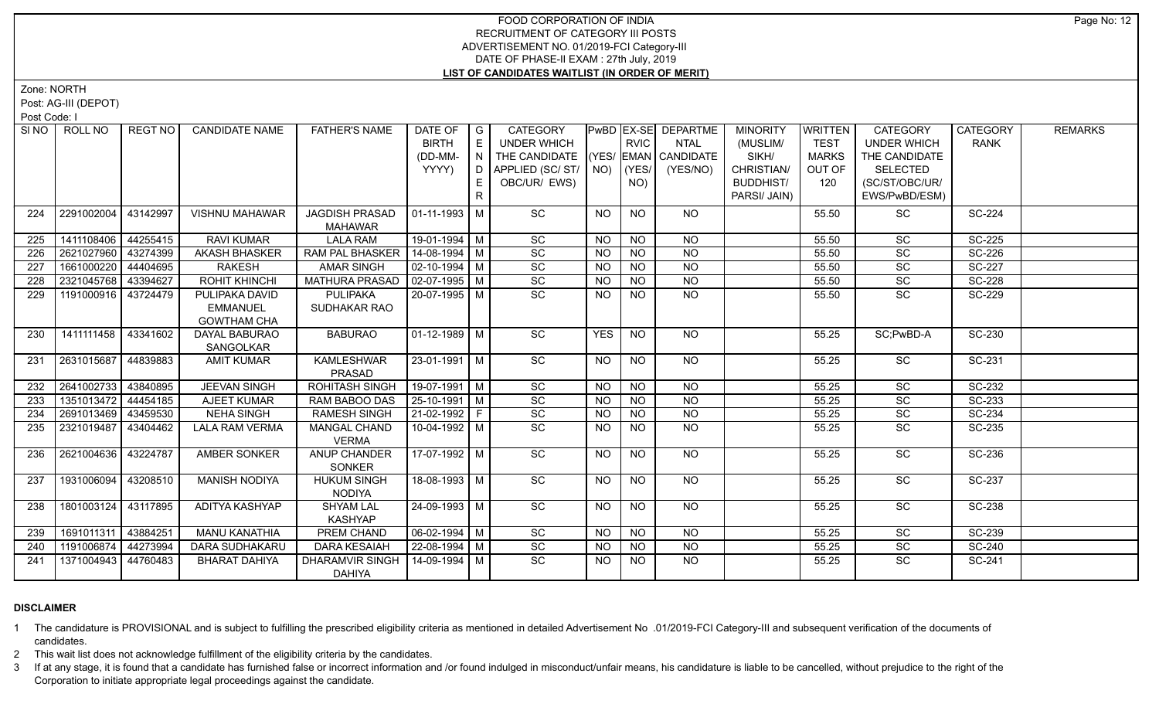Zone: NORTH

Post: AG-III (DEPOT)

Post Code: I

|     | SINO ROLL NO        | REGT NO  | <b>CANDIDATE NAME</b> | <b>FATHER'S NAME</b>            | DATE OF            | I G          | <b>CATEGORY</b>                    |            |                 | <b>PwBD EX-SE DEPARTME</b> | <b>MINORITY</b>  | <b>WRITTEN</b> | <b>CATEGORY</b>    | <b>CATEGORY</b> | <b>REMARKS</b> |
|-----|---------------------|----------|-----------------------|---------------------------------|--------------------|--------------|------------------------------------|------------|-----------------|----------------------------|------------------|----------------|--------------------|-----------------|----------------|
|     |                     |          |                       |                                 | <b>BIRTH</b>       | E            | <b>UNDER WHICH</b>                 |            | <b>RVIC</b>     | <b>NTAL</b>                | (MUSLIM/         | <b>TEST</b>    | <b>UNDER WHICH</b> | <b>RANK</b>     |                |
|     |                     |          |                       |                                 | (DD-MM-            | N            | THE CANDIDATE (YES/ EMAN CANDIDATE |            |                 |                            | SIKH/            | <b>MARKS</b>   | THE CANDIDATE      |                 |                |
|     |                     |          |                       |                                 | YYYY)              | $\Box$       | APPLIED (SC/ST/                    | NO)        | (YES/           | (YES/NO)                   | CHRISTIAN/       | OUT OF         | <b>SELECTED</b>    |                 |                |
|     |                     |          |                       |                                 |                    |              | OBC/UR/ EWS)                       |            | NO)             |                            | <b>BUDDHIST/</b> | 120            | (SC/ST/OBC/UR/     |                 |                |
|     |                     |          |                       |                                 |                    | $\mathsf{R}$ |                                    |            |                 |                            | PARSI/ JAIN)     |                | EWS/PwBD/ESM)      |                 |                |
| 224 | 2291002004          | 43142997 | <b>VISHNU MAHAWAR</b> | <b>JAGDISH PRASAD</b>           | $ 01-11-1993 M$    |              | SC                                 | <b>NO</b>  | NO.             | NO                         |                  | 55.50          | SC                 | SC-224          |                |
|     |                     |          |                       | <b>MAHAWAR</b>                  |                    |              |                                    |            |                 |                            |                  |                |                    |                 |                |
| 225 | 1411108406          | 44255415 | <b>RAVI KUMAR</b>     | <b>LALA RAM</b>                 | 19-01-1994 M       |              | SC                                 | <b>NO</b>  | <b>NO</b>       | <b>NO</b>                  |                  | 55.50          | <b>SC</b>          | <b>SC-225</b>   |                |
| 226 | 2621027960          | 43274399 | <b>AKASH BHASKER</b>  | RAM PAL BHASKER                 | 14-08-1994 M       |              | SC                                 | <b>NO</b>  | <b>NO</b>       | <b>NO</b>                  |                  | 55.50          | SC                 | SC-226          |                |
| 227 | 1661000220          | 44404695 | <b>RAKESH</b>         | <b>AMAR SINGH</b>               | $02 - 10 - 1994$ M |              | SC                                 | <b>NO</b>  | <b>NO</b>       | $\overline{NQ}$            |                  | 55.50          | $\overline{SC}$    | <b>SC-227</b>   |                |
| 228 | 2321045768          | 43394627 | <b>ROHIT KHINCHI</b>  | <b>MATHURA PRASAD</b>           | $02-07-1995$ M     |              | SC                                 | <b>NO</b>  | <b>NO</b>       | <b>NO</b>                  |                  | 55.50          | SC                 | <b>SC-228</b>   |                |
| 229 | 1191000916 43724479 |          | PULIPAKA DAVID        | <b>PULIPAKA</b>                 | 20-07-1995 M       |              | $\overline{SC}$                    | NO.        | <b>NO</b>       | NO.                        |                  | 55.50          | <b>SC</b>          | <b>SC-229</b>   |                |
|     |                     |          | <b>EMMANUEL</b>       | SUDHAKAR RAO                    |                    |              |                                    |            |                 |                            |                  |                |                    |                 |                |
|     |                     |          | <b>GOWTHAM CHA</b>    |                                 |                    |              |                                    |            |                 |                            |                  |                |                    |                 |                |
| 230 | 1411111458          | 43341602 | DAYAL BABURAO         | <b>BABURAO</b>                  | $01-12-1989$ M     |              | SC                                 | <b>YES</b> | NO              | NO                         |                  | 55.25          | SC;PwBD-A          | SC-230          |                |
|     |                     |          | SANGOLKAR             |                                 |                    |              |                                    |            |                 |                            |                  |                |                    |                 |                |
| 231 | 2631015687          | 44839883 | <b>AMIT KUMAR</b>     | <b>KAMLESHWAR</b>               | 23-01-1991   M     |              | SC                                 | NO.        | <b>NO</b>       | NO                         |                  | 55.25          | <b>SC</b>          | SC-231          |                |
| 232 | 2641002733          | 43840895 | <b>JEEVAN SINGH</b>   | PRASAD<br><b>ROHITASH SINGH</b> | $19-07-1991$ M     |              | SC                                 | <b>NO</b>  | <b>NO</b>       | $\overline{NQ}$            |                  | 55.25          | SC                 | SC-232          |                |
| 233 | 1351013472          | 44454185 | AJEET KUMAR           | RAM BABOO DAS                   | $25 - 10 - 1991$ M |              | $\overline{SC}$                    | NO.        | <b>NO</b>       | $\overline{NQ}$            |                  | 55.25          | $\overline{SC}$    | SC-233          |                |
| 234 | 2691013469          | 43459530 | <b>NEHA SINGH</b>     | <b>RAMESH SINGH</b>             | 21-02-1992 F       |              | SC                                 | <b>NO</b>  | $\overline{NO}$ | $\overline{NO}$            |                  | 55.25          | SC                 | SC-234          |                |
| 235 | 2321019487          | 43404462 | <b>LALA RAM VERMA</b> | <b>MANGAL CHAND</b>             | 10-04-1992 M       |              | $\overline{SC}$                    | NO.        | $\overline{NQ}$ | $\overline{NQ}$            |                  | 55.25          | $\overline{SC}$    | SC-235          |                |
|     |                     |          |                       | <b>VERMA</b>                    |                    |              |                                    |            |                 |                            |                  |                |                    |                 |                |
| 236 | 2621004636          | 43224787 | AMBER SONKER          | ANUP CHANDER                    | 17-07-1992 M       |              | SC                                 | NO.        | NO.             | NO                         |                  | 55.25          | SC                 | SC-236          |                |
|     |                     |          |                       | <b>SONKER</b>                   |                    |              |                                    |            |                 |                            |                  |                |                    |                 |                |
| 237 | 1931006094          | 43208510 | <b>MANISH NODIYA</b>  | <b>HUKUM SINGH</b>              | 18-08-1993 M       |              | $\overline{SC}$                    | <b>NO</b>  | <b>NO</b>       | NO                         |                  | 55.25          | SC                 | SC-237          |                |
|     |                     |          |                       | NODIYA                          |                    |              |                                    |            |                 |                            |                  |                |                    |                 |                |
| 238 | 1801003124 43117895 |          | ADITYA KASHYAP        | <b>SHYAM LAL</b>                | 24-09-1993 M       |              | SC                                 | <b>NO</b>  | N <sub>O</sub>  | <b>NO</b>                  |                  | 55.25          | SC                 | <b>SC-238</b>   |                |
|     |                     |          |                       | KASHYAP                         |                    |              |                                    |            |                 |                            |                  |                |                    |                 |                |
| 239 | 1691011311          | 43884251 | <b>MANU KANATHIA</b>  | PREM CHAND                      | $06 - 02 - 1994$ M |              | SC                                 | NO.        | <b>NO</b>       | <b>NO</b>                  |                  | 55.25          | SC                 | SC-239          |                |
| 240 | 1191006874          | 44273994 | DARA SUDHAKARU        | <b>DARA KESAIAH</b>             | 22-08-1994 M       |              | SC                                 | <b>NO</b>  | <b>NO</b>       | <b>NO</b>                  |                  | 55.25          | SC                 | SC-240          |                |
| 241 | 1371004943          | 44760483 | <b>BHARAT DAHIYA</b>  | DHARAMVIR SINGH                 | 14-09-1994 M       |              | SC                                 | NO.        | NO.             | NO.                        |                  | 55.25          | <b>SC</b>          | SC-241          |                |
|     |                     |          |                       | <b>DAHIYA</b>                   |                    |              |                                    |            |                 |                            |                  |                |                    |                 |                |

### **DISCLAIMER**

1 The candidature is PROVISIONAL and is subject to fulfilling the prescribed eligibility criteria as mentioned in detailed Advertisement No .01/2019-FCI Category-III and subsequent verification of the documents of candidates.

2 This wait list does not acknowledge fulfillment of the eligibility criteria by the candidates.

3 If at any stage, it is found that a candidate has furnished false or incorrect information and /or found indulged in misconduct/unfair means, his candidature is liable to be cancelled, without prejudice to the right of t Corporation to initiate appropriate legal proceedings against the candidate.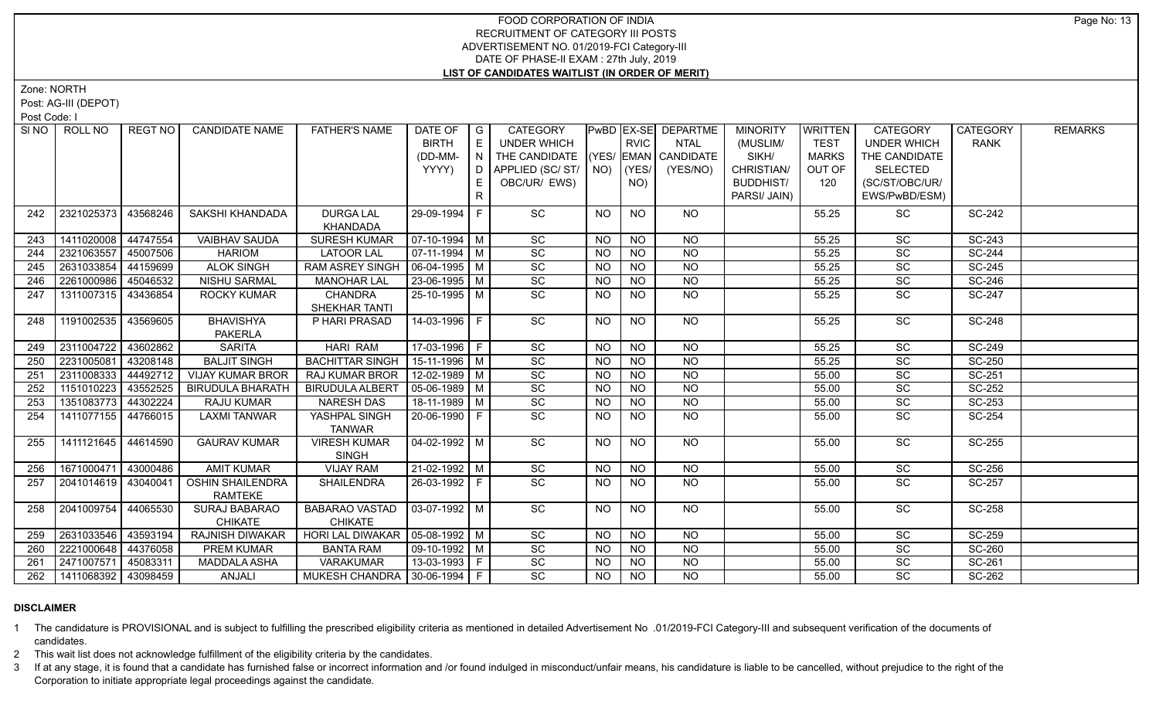Zone: NORTH

Post: AG-III (DEPOT)

Post Code: I

|     | SINO   ROLL NO        | REGT NO  | <b>CANDIDATE NAME</b>                     | <b>FATHER'S NAME</b>                | DATE OF<br><b>BIRTH</b><br>(DD-MM-<br>YYYY) | $\overline{G}$<br>E<br>N<br>D<br>E.<br>R. | <b>CATEGORY</b><br><b>UNDER WHICH</b><br>THE CANDIDATE<br>APPLIED (SC/ST/<br>OBC/UR/ EWS) |           | <b>RVIC</b><br>$NO)$ (YES/<br>NO) | <b>PwBD EX-SE DEPARTME</b><br><b>NTAL</b><br>(YES/ EMAN CANDIDATE<br>(YES/NO) | <b>MINORITY</b><br>(MUSLIM/<br>SIKH/<br>CHRISTIAN/<br><b>BUDDHIST/</b><br>PARSI/ JAIN) | <b>WRITTEN</b><br><b>TEST</b><br><b>MARKS</b><br>OUT OF<br>120 | <b>CATEGORY</b><br><b>UNDER WHICH</b><br>THE CANDIDATE<br><b>SELECTED</b><br>(SC/ST/OBC/UR/<br>EWS/PwBD/ESM) | <b>CATEGORY</b><br><b>RANK</b> | <b>REMARKS</b> |
|-----|-----------------------|----------|-------------------------------------------|-------------------------------------|---------------------------------------------|-------------------------------------------|-------------------------------------------------------------------------------------------|-----------|-----------------------------------|-------------------------------------------------------------------------------|----------------------------------------------------------------------------------------|----------------------------------------------------------------|--------------------------------------------------------------------------------------------------------------|--------------------------------|----------------|
| 242 | 2321025373            | 43568246 | SAKSHI KHANDADA                           | <b>DURGA LAL</b><br>KHANDADA        | 29-09-1994 F                                |                                           | SC                                                                                        | NO.       | <b>NO</b>                         | NO.                                                                           |                                                                                        | 55.25                                                          | SC                                                                                                           | <b>SC-242</b>                  |                |
| 243 | 1411020008            | 44747554 | <b>VAIBHAV SAUDA</b>                      | <b>SURESH KUMAR</b>                 | $07-10-1994$ M                              |                                           | SC                                                                                        | <b>NO</b> | <b>NO</b>                         | <b>NO</b>                                                                     |                                                                                        | 55.25                                                          | SC                                                                                                           | SC-243                         |                |
| 244 | 2321063557            | 45007506 | <b>HARIOM</b>                             | <b>LATOOR LAL</b>                   | $07-11-1994$ M                              |                                           | SC                                                                                        | <b>NO</b> | <b>NO</b>                         | <b>NO</b>                                                                     |                                                                                        | 55.25                                                          | SC                                                                                                           | <b>SC-244</b>                  |                |
| 245 | 2631033854            | 44159699 | <b>ALOK SINGH</b>                         | RAM ASREY SINGH                     | 06-04-1995 M                                |                                           | SC                                                                                        | <b>NO</b> | <b>NO</b>                         | <b>NO</b>                                                                     |                                                                                        | 55.25                                                          | <b>SC</b>                                                                                                    | SC-245                         |                |
| 246 | 2261000986            | 45046532 | <b>NISHU SARMAL</b>                       | <b>MANOHAR LAL</b>                  | 23-06-1995 M                                |                                           | SC                                                                                        | <b>NO</b> | N <sub>O</sub>                    | $\overline{N}$                                                                |                                                                                        | 55.25                                                          | $\overline{SC}$                                                                                              | <b>SC-246</b>                  |                |
| 247 | 1311007315            | 43436854 | <b>ROCKY KUMAR</b>                        | <b>CHANDRA</b><br>SHEKHAR TANTI     | 25-10-1995 M                                |                                           | SC                                                                                        | NO.       | <b>NO</b>                         | <b>NO</b>                                                                     |                                                                                        | 55.25                                                          | <b>SC</b>                                                                                                    | <b>SC-247</b>                  |                |
| 248 | 1191002535 43569605   |          | <b>BHAVISHYA</b><br><b>PAKERLA</b>        | P HARI PRASAD                       | $14-03-1996$ F                              |                                           | SC                                                                                        | <b>NO</b> | $\overline{NO}$                   | $N$ <sup>O</sup>                                                              |                                                                                        | 55.25                                                          | $\overline{SC}$                                                                                              | <b>SC-248</b>                  |                |
| 249 | 2311004722            | 43602862 | <b>SARITA</b>                             | <b>HARI RAM</b>                     | 17-03-1996 F                                |                                           | SC                                                                                        | <b>NO</b> | <b>NO</b>                         | <b>NO</b>                                                                     |                                                                                        | 55.25                                                          | SC                                                                                                           | SC-249                         |                |
| 250 | 2231005081            | 43208148 | <b>BALJIT SINGH</b>                       | <b>BACHITTAR SINGH</b>              | $15-11-1996$ M                              |                                           | $\overline{SC}$                                                                           | <b>NO</b> | N <sub>O</sub>                    | N <sub>O</sub>                                                                |                                                                                        | 55.25                                                          | $\overline{SC}$                                                                                              | <b>SC-250</b>                  |                |
| 251 | 2311008333            | 44492712 | <b>VIJAY KUMAR BROR</b>                   | <b>RAJ KUMAR BROR</b>               | $12-02-1989$ M                              |                                           | $\overline{SC}$                                                                           | <b>NO</b> | N <sub>O</sub>                    | N <sub>O</sub>                                                                |                                                                                        | 55.00                                                          | $\overline{SC}$                                                                                              | SC-251                         |                |
| 252 | 1151010223            | 43552525 | <b>BIRUDULA BHARATH</b>                   | <b>BIRUDULA ALBERT</b>              | $05-06-1989$ M                              |                                           | $\overline{SC}$                                                                           | <b>NO</b> | $N$ O                             | N <sub>O</sub>                                                                |                                                                                        | 55.00                                                          | $\overline{SC}$                                                                                              | SC-252                         |                |
| 253 | 1351083773            | 44302224 | RAJU KUMAR                                | NARESH DAS                          | $18-11-1989$ M                              |                                           | $\overline{SC}$                                                                           | <b>NO</b> | N <sub>O</sub>                    | N                                                                             |                                                                                        | 55.00                                                          | $\overline{SC}$                                                                                              | SC-253                         |                |
| 254 | 1411077155            | 44766015 | <b>LAXMI TANWAR</b>                       | YASHPAL SINGH<br><b>TANWAR</b>      | 20-06-1990 F                                |                                           | $\overline{SC}$                                                                           | NO.       | $\overline{NO}$                   | <b>NO</b>                                                                     |                                                                                        | 55.00                                                          | $\overline{SC}$                                                                                              | SC-254                         |                |
| 255 | 1411121645 44614590   |          | <b>GAURAV KUMAR</b>                       | <b>VIRESH KUMAR</b><br><b>SINGH</b> | $04 - 02 - 1992$ M                          |                                           | $\overline{SC}$                                                                           | NO        | N <sub>O</sub>                    | $N$ O                                                                         |                                                                                        | 55.00                                                          | $\overline{SC}$                                                                                              | SC-255                         |                |
| 256 | 1671000471 43000486   |          | <b>AMIT KUMAR</b>                         | <b>VIJAY RAM</b>                    | $21-02-1992$ M                              |                                           | SC                                                                                        | <b>NO</b> | <b>NO</b>                         | $N$ O                                                                         |                                                                                        | 55.00                                                          | SC                                                                                                           | <b>SC-256</b>                  |                |
| 257 | 2041014619 43040041   |          | <b>OSHIN SHAILENDRA</b><br><b>RAMTEKE</b> | <b>SHAILENDRA</b>                   | 26-03-1992 F                                |                                           | SC                                                                                        | NO.       | <b>NO</b>                         | NO.                                                                           |                                                                                        | 55.00                                                          | <b>SC</b>                                                                                                    | <b>SC-257</b>                  |                |
| 258 | 2041009754            | 44065530 | SURAJ BABARAO<br><b>CHIKATE</b>           | BABARAO VASTAD<br><b>CHIKATE</b>    | 03-07-1992   M                              |                                           | SC                                                                                        | NO.       | <b>NO</b>                         | <b>NO</b>                                                                     |                                                                                        | 55.00                                                          | <b>SC</b>                                                                                                    | SC-258                         |                |
| 259 | 2631033546            | 43593194 | <b>RAJNISH DIWAKAR</b>                    | HORI LAL DIWAKAR   05-08-1992   M   |                                             |                                           | SC                                                                                        | <b>NO</b> | <b>NO</b>                         | $\overline{NQ}$                                                               |                                                                                        | 55.00                                                          | $\overline{SC}$                                                                                              | SC-259                         |                |
| 260 | 2221000648 44376058   |          | PREM KUMAR                                | <b>BANTA RAM</b>                    | 09-10-1992 M                                |                                           | SC                                                                                        | NO.       | <b>NO</b>                         | $\overline{NQ}$                                                               |                                                                                        | 55.00                                                          | SC                                                                                                           | <b>SC-260</b>                  |                |
| 261 | 2471007571            | 45083311 | <b>MADDALA ASHA</b>                       | VARAKUMAR                           | 13-03-1993 F                                |                                           | SC                                                                                        | <b>NO</b> | <b>NO</b>                         | N <sub>O</sub>                                                                |                                                                                        | 55.00                                                          | SC                                                                                                           | SC-261                         |                |
| 262 | 1411068392   43098459 |          | ANJALI                                    | MUKESH CHANDRA 30-06-1994   F       |                                             |                                           | SC                                                                                        | NO        | <b>NO</b>                         | $\overline{NO}$                                                               |                                                                                        | 55.00                                                          | <b>SC</b>                                                                                                    | SC-262                         |                |

### **DISCLAIMER**

1 The candidature is PROVISIONAL and is subject to fulfilling the prescribed eligibility criteria as mentioned in detailed Advertisement No .01/2019-FCI Category-III and subsequent verification of the documents of candidates.

2 This wait list does not acknowledge fulfillment of the eligibility criteria by the candidates.

3 If at any stage, it is found that a candidate has furnished false or incorrect information and /or found indulged in misconduct/unfair means, his candidature is liable to be cancelled, without prejudice to the right of t Corporation to initiate appropriate legal proceedings against the candidate.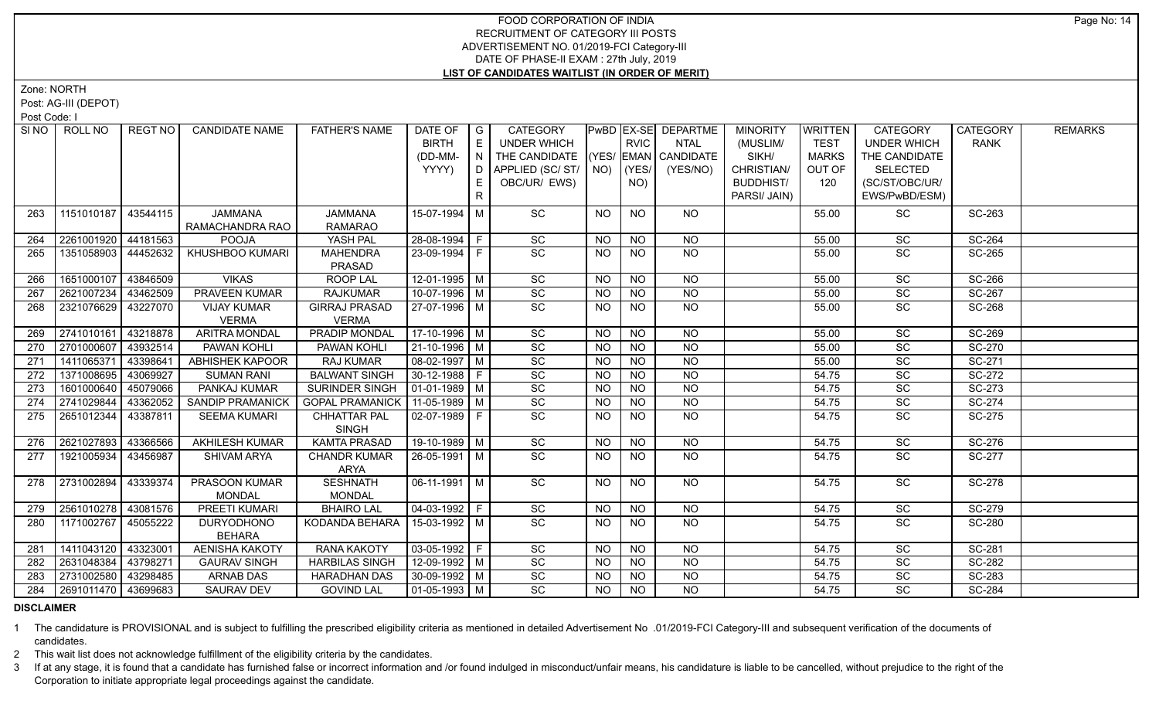Zone: NORTH

Post: AG-III (DEPOT)

Post Code: I

| SI NO | ROLL NO             | REGT NO  | <b>CANDIDATE NAME</b>   | <b>FATHER'S NAME</b>   | DATE OF                      | $\overline{G}$ | <b>CATEGORY</b>     |           |                 | PwBD EX-SE DEPARTME  | <b>MINORITY</b>  | WRITTEN      | <b>CATEGORY</b>    | <b>CATEGORY</b> | <b>REMARKS</b> |
|-------|---------------------|----------|-------------------------|------------------------|------------------------------|----------------|---------------------|-----------|-----------------|----------------------|------------------|--------------|--------------------|-----------------|----------------|
|       |                     |          |                         |                        | <b>BIRTH</b>                 | E              | <b>UNDER WHICH</b>  |           | <b>RVIC</b>     | <b>NTAL</b>          | (MUSLIM/         | <b>TEST</b>  | <b>UNDER WHICH</b> | <b>RANK</b>     |                |
|       |                     |          |                         |                        | (DD-MM-                      | I N            | THE CANDIDATE       |           |                 | (YES/ EMAN CANDIDATE | SIKH/            | <b>MARKS</b> | THE CANDIDATE      |                 |                |
|       |                     |          |                         |                        | YYYY)                        | D              | APPLIED (SC/ST/ NO) |           | (YES/           | (YES/NO)             | CHRISTIAN/       | OUT OF       | <b>SELECTED</b>    |                 |                |
|       |                     |          |                         |                        |                              | E.             | OBC/UR/ EWS)        |           | NO)             |                      | <b>BUDDHIST/</b> | 120          | (SC/ST/OBC/UR/     |                 |                |
|       |                     |          |                         |                        |                              | R              |                     |           |                 |                      | PARSI/ JAIN)     |              | EWS/PwBD/ESM)      |                 |                |
| 263   | 1151010187          | 43544115 | <b>JAMMANA</b>          | <b>JAMMANA</b>         | 15-07-1994 M                 |                | SC                  | <b>NO</b> | <b>NO</b>       | <b>NO</b>            |                  | 55.00        | SC                 | SC-263          |                |
|       |                     |          | RAMACHANDRA RAO         | <b>RAMARAO</b>         |                              |                |                     |           |                 |                      |                  |              |                    |                 |                |
| 264   | 2261001920          | 44181563 | <b>POOJA</b>            | YASH PAL               | 28-08-1994 F                 |                | SC                  | <b>NO</b> | <b>NO</b>       | <b>NO</b>            |                  | 55.00        | SC                 | SC-264          |                |
| 265   | 1351058903          | 44452632 | KHUSHBOO KUMARI         | <b>MAHENDRA</b>        | 23-09-1994 F                 |                | SC                  | <b>NO</b> | <b>NO</b>       | NO                   |                  | 55.00        | SC                 | SC-265          |                |
|       |                     |          |                         | PRASAD                 |                              |                |                     |           |                 |                      |                  |              |                    |                 |                |
| 266   | 1651000107          | 43846509 | <b>VIKAS</b>            | <b>ROOP LAL</b>        | $12-01-1995$ M               |                | $\overline{SC}$     | NO.       | <b>NO</b>       | <b>NO</b>            |                  | 55.00        | SC                 | SC-266          |                |
| 267   | 2621007234          | 43462509 | <b>PRAVEEN KUMAR</b>    | <b>RAJKUMAR</b>        | $10-07-1996$ M               |                | SC                  | <b>NO</b> | <b>NO</b>       | $\overline{NO}$      |                  | 55.00        | SC                 | SC-267          |                |
| 268   | 2321076629          | 43227070 | <b>VIJAY KUMAR</b>      | <b>GIRRAJ PRASAD</b>   | 27-07-1996   M               |                | $\overline{SC}$     | NO.       | <b>NO</b>       | NO                   |                  | 55.00        | SC                 | SC-268          |                |
|       |                     |          | <b>VERMA</b>            | <b>VERMA</b>           |                              |                |                     |           |                 |                      |                  |              |                    |                 |                |
| 269   | 2741010161          | 43218878 | <b>ARITRA MONDAL</b>    | <b>PRADIP MONDAL</b>   | 17-10-1996   M               |                | $\overline{SC}$     | <b>NO</b> | <b>NO</b>       | <b>NO</b>            |                  | 55.00        | $\overline{SC}$    | <b>SC-269</b>   |                |
| 270   | 2701000607          | 43932514 | PAWAN KOHLI             | PAWAN KOHLI            | 21-10-1996   M               |                | $\overline{SC}$     | <b>NO</b> | <b>NO</b>       | <b>NO</b>            |                  | 55.00        | $\overline{SC}$    | SC-270          |                |
| 271   | 1411065371          | 43398641 | <b>ABHISHEK KAPOOR</b>  | <b>RAJ KUMAR</b>       | $08-02-1997$ M               |                | $\overline{SC}$     | <b>NO</b> | N <sub>O</sub>  | $\overline{NO}$      |                  | 55.00        | $\overline{SC}$    | SC-271          |                |
| 272   | 1371008695          | 43069927 | <b>SUMAN RANI</b>       | <b>BALWANT SINGH</b>   | 30-12-1988 F                 |                | $\overline{SC}$     | <b>NO</b> | <b>NO</b>       | <b>NO</b>            |                  | 54.75        | SC                 | SC-272          |                |
| 273   | 1601000640          | 45079066 | PANKAJ KUMAR            | SURINDER SINGH         | $ 01-01-1989 $ M             |                | SC                  | <b>NO</b> | <b>NO</b>       | <b>NO</b>            |                  | 54.75        | SC                 | SC-273          |                |
| 274   | 2741029844          | 43362052 | <b>SANDIP PRAMANICK</b> | <b>GOPAL PRAMANICK</b> | 11-05-1989   M               |                | $\overline{SC}$     | <b>NO</b> | <b>NO</b>       | <b>NO</b>            |                  | 54.75        | SC                 | SC-274          |                |
| 275   | 2651012344          | 43387811 | <b>SEEMA KUMARI</b>     | <b>CHHATTAR PAL</b>    | $02-07-1989$   F             |                | SC                  | <b>NO</b> | NO.             | <b>NO</b>            |                  | 54.75        | SC                 | SC-275          |                |
|       |                     |          |                         | <b>SINGH</b>           |                              |                |                     |           |                 |                      |                  |              |                    |                 |                |
| 276   | 2621027893          | 43366566 | <b>AKHILESH KUMAR</b>   | <b>KAMTA PRASAD</b>    | 19-10-1989 M                 |                | SC                  | <b>NO</b> | <b>NO</b>       | <b>NO</b>            |                  | 54.75        | $\overline{SC}$    | SC-276          |                |
| 277   | 1921005934          | 43456987 | <b>SHIVAM ARYA</b>      | <b>CHANDR KUMAR</b>    | 26-05-1991   M               |                | SC                  | <b>NO</b> | <b>NO</b>       | NO                   |                  | 54.75        | SC                 | <b>SC-277</b>   |                |
|       |                     |          |                         | ARYA                   |                              |                |                     |           |                 |                      |                  |              |                    |                 |                |
| 278   | 2731002894          | 43339374 | PRASOON KUMAR           | <b>SESHNATH</b>        | $06-11-1991$ M               |                | SC                  | <b>NO</b> | <b>NO</b>       | NO                   |                  | 54.75        | SC                 | <b>SC-278</b>   |                |
|       |                     |          | <b>MONDAL</b>           | <b>MONDAL</b>          |                              |                |                     |           |                 |                      |                  |              |                    |                 |                |
| 279   | 2561010278          | 43081576 | PREETI KUMARI           | <b>BHAIRO LAL</b>      | 04-03-1992 F                 |                | SC                  | <b>NO</b> | <b>NO</b>       | <b>NO</b>            |                  | 54.75        | SC                 | <b>SC-279</b>   |                |
| 280   | 1171002767          | 45055222 | <b>DURYODHONO</b>       | KODANDA BEHARA         | 15-03-1992 M                 |                | SC                  | <b>NO</b> | <b>NO</b>       | <b>NO</b>            |                  | 54.75        | SC                 | SC-280          |                |
|       |                     |          | <b>BEHARA</b>           |                        |                              |                |                     |           |                 |                      |                  |              |                    |                 |                |
| 281   | 1411043120          | 43323001 | <b>AENISHA KAKOTY</b>   | <b>RANA KAKOTY</b>     | $03-05-1992$ F               |                | $\overline{SC}$     | <b>NO</b> | $\overline{NO}$ | NO                   |                  | 54.75        | $\overline{SC}$    | SC-281          |                |
| 282   | 2631048384          | 43798271 | <b>GAURAV SINGH</b>     | <b>HARBILAS SINGH</b>  | 12-09-1992 M                 |                | SC                  | <b>NO</b> | <b>NO</b>       | <b>NO</b>            |                  | 54.75        | SC                 | <b>SC-282</b>   |                |
| 283   | 2731002580          | 43298485 | ARNAB DAS               | <b>HARADHAN DAS</b>    | 30-09-1992   M               |                | SC                  | <b>NO</b> | <b>NO</b>       | <b>NO</b>            |                  | 54.75        | SC                 | SC-283          |                |
| 284   | 2691011470 43699683 |          | <b>SAURAV DEV</b>       | <b>GOVIND LAL</b>      | $\vert$ 01-05-1993 $\vert$ M |                | $\overline{SC}$     | NO.       | NO.             | <b>NO</b>            |                  | 54.75        | <b>SC</b>          | <b>SC-284</b>   |                |

### **DISCLAIMER**

1 The candidature is PROVISIONAL and is subject to fulfilling the prescribed eligibility criteria as mentioned in detailed Advertisement No .01/2019-FCI Category-III and subsequent verification of the documents of candidates.

2 This wait list does not acknowledge fulfillment of the eligibility criteria by the candidates.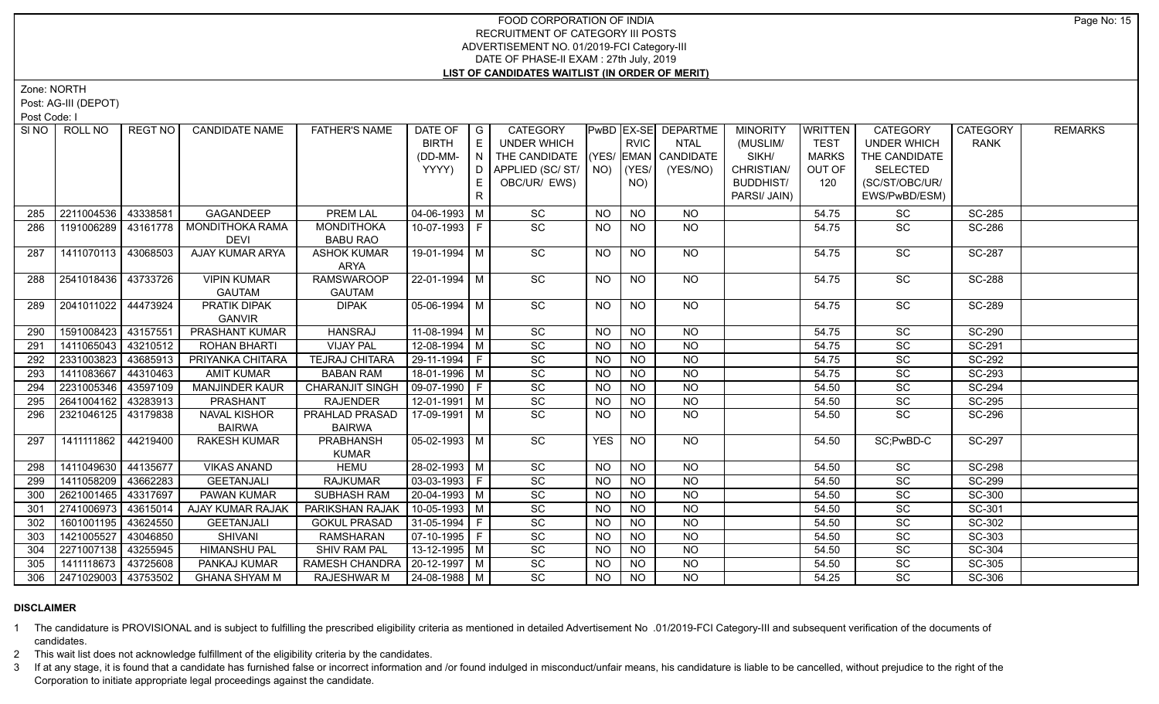Zone: NORTH

Post: AG-III (DEPOT)

Post Code: I

| <b>BIRTH</b><br>E<br><b>RVIC</b><br><b>TEST</b><br><b>UNDER WHICH</b><br><b>NTAL</b><br>(MUSLIM/<br><b>UNDER WHICH</b><br><b>RANK</b><br>THE CANDIDATE<br>(YES/ EMAN CANDIDATE<br>SIKH/<br>THE CANDIDATE<br>(DD-MM-<br>N<br>MARKS<br>YYYY)<br>CHRISTIAN/<br>APPLIED (SC/ST/<br>NO)<br>$ $ (YES/<br>(YES/NO)<br>OUT OF<br><b>SELECTED</b><br>D<br>OBC/UR/ EWS)<br><b>BUDDHIST/</b><br>(SC/ST/OBC/UR/<br>E.<br>NO)<br>120<br>R<br>PARSI/ JAIN)<br>EWS/PwBD/ESM)<br>$\operatorname{\textsf{SC}}$<br>2211004536<br>43338581<br>GAGANDEEP<br><b>PREM LAL</b><br>$04 - 06 - 1993$ M<br><b>NO</b><br><b>NO</b><br>54.75<br>SC<br><b>SC-285</b><br><b>NO</b><br>285<br>SC<br>NO<br>1191006289<br>43161778<br>MONDITHOKA RAMA<br>10-07-1993 F<br>NO<br>SC<br>SC-286<br>286<br><b>MONDITHOKA</b><br>NO.<br>54.75<br><b>DEVI</b><br><b>BABU RAO</b><br>SC<br>1411070113<br>43068503<br>AJAY KUMAR ARYA<br>NO.<br><b>SC</b><br>SC-287<br><b>ASHOK KUMAR</b><br>19-01-1994   M<br>NO.<br>NO.<br>54.75<br>287<br>ARYA<br>$\overline{SC}$<br>  2541018436   43733726<br><b>VIPIN KUMAR</b><br><b>RAMSWAROOP</b><br>22-01-1994 M<br><b>NO</b><br>NO<br>SC<br><b>SC-288</b><br>NO.<br>54.75<br>288<br><b>GAUTAM</b><br><b>GAUTAM</b><br>$\overline{SC}$<br>$\overline{SC}$<br>$05-06-1994$ M<br>N <sub>O</sub><br>$N$ <sup>O</sup><br>SC-289<br>2041011022<br>44473924<br>PRATIK DIPAK<br><b>DIPAK</b><br>NO<br>54.75<br>289<br><b>GANVIR</b><br>1591008423<br><b>PRASHANT KUMAR</b><br><b>HANSRAJ</b><br>$11-08-1994$ M<br>43157551<br>SC<br><b>NO</b><br>SC<br><b>SC-290</b><br><b>NO</b><br>NO.<br>54.75<br>290<br>1411065043<br>$12-08-1994$ M<br>$\overline{SC}$<br>$N$ O<br>SC-291<br>43210512<br><b>ROHAN BHARTI</b><br><b>VIJAY PAL</b><br><b>NO</b><br><b>NO</b><br>54.75<br>SC<br>291<br>SC<br>$N$ O<br>SC-292<br>2331003823<br>43685913<br>PRIYANKA CHITARA<br><b>TEJRAJ CHITARA</b><br>29-11-1994   F<br><b>NO</b><br>SC<br>292<br><b>NO</b><br>54.75<br>18-01-1996 M<br>$\overline{SC}$<br>$N$ O<br>$\overline{SC}$<br>SC-293<br>1411083667<br><b>BABAN RAM</b><br><b>NO</b><br><b>NO</b><br>54.75<br>293<br>44310463<br><b>AMIT KUMAR</b><br>2231005346<br>09-07-1990 F<br>$\overline{SC}$<br>$N$ O<br><b>SC-294</b><br>43597109<br><b>MANJINDER KAUR</b><br><b>CHARANJIT SINGH</b><br><b>NO</b><br>SC<br>294<br><b>NO</b><br>54.50<br>$12-01-1991$ M<br>$\overline{SC}$<br>$N$ O<br>SC-295<br>2641004162<br>43283913<br>PRASHANT<br><b>RAJENDER</b><br><b>NO</b><br><b>NO</b><br>SC<br>295<br>54.50<br><b>PRAHLAD PRASAD</b><br>$\overline{SC}$<br>2321046125 43179838<br><b>NAVAL KISHOR</b><br>17-09-1991   M<br><b>NO</b><br><b>NO</b><br>SC<br>SC-296<br>296<br><b>NO</b><br>54.50<br><b>BAIRWA</b><br><b>BAIRWA</b><br>SC<br><b>YES</b><br>N <sub>O</sub><br>1411111862<br>44219400<br><b>PRABHANSH</b><br>$05-02-1993$ M<br>NO<br>SC:PwBD-C<br><b>SC-297</b><br><b>RAKESH KUMAR</b><br>54.50<br>297<br><b>KUMAR</b><br>1411049630<br>44135677<br><b>VIKAS ANAND</b><br><b>HEMU</b><br>28-02-1993 M<br>SC<br>SC<br><b>SC-298</b><br><b>NO</b><br><b>NO</b><br><b>NO</b><br>54.50<br>298<br>$03-03-1993$ F<br>1411058209<br><b>RAJKUMAR</b><br>SC<br><b>NO</b><br><b>NO</b><br><b>SC-299</b><br>43662283<br><b>GEETANJALI</b><br><b>NO</b><br>54.50<br>SC<br>299<br>SC<br><b>NO</b><br>SC<br>SC-300<br>2621001465 43317697<br>PAWAN KUMAR<br><b>SUBHASH RAM</b><br>20-04-1993 M<br><b>NO</b><br><b>NO</b><br>54.50<br>300<br>10-05-1993 M<br>SC<br><b>NO</b><br><b>NO</b><br><b>SC</b><br>2741006973<br>PARIKSHAN RAJAK<br><b>NO</b><br>54.50<br>SC-301<br>301<br>43615014<br>AJAY KUMAR RAJAK<br>SC<br>$31 - 05 - 1994$ F<br><b>NO</b><br><b>NO</b><br>SC<br>SC-302<br>1601001195<br>43624550<br><b>GEETANJALI</b><br><b>GOKUL PRASAD</b><br><b>NO</b><br>302<br>54.50<br>1421005527<br>07-10-1995 F<br>SC<br><b>NO</b><br><b>NO</b><br>SC<br>SC-303<br>43046850<br><b>SHIVANI</b><br><b>RAMSHARAN</b><br><b>NO</b><br>54.50<br>303<br>13-12-1995 M<br>SC<br><b>NO</b><br><b>SC</b><br>$\overline{SC}$ -304<br>2271007138<br>43255945<br><b>HIMANSHU PAL</b><br>SHIV RAM PAL<br><b>NO</b><br><b>NO</b><br>54.50<br>304<br>20-12-1997 M<br>SC<br><b>NO</b><br><b>NO</b><br>SC<br>1411118673<br>43725608<br>RAMESH CHANDRA<br>54.50<br>SC-305<br>305<br>PANKAJ KUMAR<br><b>NO</b><br>SC<br>2471029003 43753502<br><b>NO</b><br><b>NO</b><br>SC-306<br><b>GHANA SHYAM M</b><br>RAJESHWAR M<br>24-08-1988 M<br>54.25<br>SC<br>NO.<br>306 |  | SINO   ROLL NO | REGT NO | <b>CANDIDATE NAME</b> | <b>FATHER'S NAME</b> | DATE OF | $\overline{G}$ | <b>CATEGORY</b> |  | <b>PwBD EX-SE DEPARTME</b> | <b>MINORITY</b> | <b>WRITTEN</b> | CATEGORY | <b>CATEGORY</b> | <b>REMARKS</b> |
|-----------------------------------------------------------------------------------------------------------------------------------------------------------------------------------------------------------------------------------------------------------------------------------------------------------------------------------------------------------------------------------------------------------------------------------------------------------------------------------------------------------------------------------------------------------------------------------------------------------------------------------------------------------------------------------------------------------------------------------------------------------------------------------------------------------------------------------------------------------------------------------------------------------------------------------------------------------------------------------------------------------------------------------------------------------------------------------------------------------------------------------------------------------------------------------------------------------------------------------------------------------------------------------------------------------------------------------------------------------------------------------------------------------------------------------------------------------------------------------------------------------------------------------------------------------------------------------------------------------------------------------------------------------------------------------------------------------------------------------------------------------------------------------------------------------------------------------------------------------------------------------------------------------------------------------------------------------------------------------------------------------------------------------------------------------------------------------------------------------------------------------------------------------------------------------------------------------------------------------------------------------------------------------------------------------------------------------------------------------------------------------------------------------------------------------------------------------------------------------------------------------------------------------------------------------------------------------------------------------------------------------------------------------------------------------------------------------------------------------------------------------------------------------------------------------------------------------------------------------------------------------------------------------------------------------------------------------------------------------------------------------------------------------------------------------------------------------------------------------------------------------------------------------------------------------------------------------------------------------------------------------------------------------------------------------------------------------------------------------------------------------------------------------------------------------------------------------------------------------------------------------------------------------------------------------------------------------------------------------------------------------------------------------------------------------------------------------------------------------------------------------------------------------------------------------------------------------------------------------------------------------------------------------------------------------------------------------------------------------------------------------------------------------------------------------------------------------------------------------------------------------------------------------------------------------------------------------------------------------------------------------------------------------------------------------------------------------------------------------------------------------------------------------------------------------------|--|----------------|---------|-----------------------|----------------------|---------|----------------|-----------------|--|----------------------------|-----------------|----------------|----------|-----------------|----------------|
|                                                                                                                                                                                                                                                                                                                                                                                                                                                                                                                                                                                                                                                                                                                                                                                                                                                                                                                                                                                                                                                                                                                                                                                                                                                                                                                                                                                                                                                                                                                                                                                                                                                                                                                                                                                                                                                                                                                                                                                                                                                                                                                                                                                                                                                                                                                                                                                                                                                                                                                                                                                                                                                                                                                                                                                                                                                                                                                                                                                                                                                                                                                                                                                                                                                                                                                                                                                                                                                                                                                                                                                                                                                                                                                                                                                                                                                                                                                                                                                                                                                                                                                                                                                                                                                                                                                                                                                                                                         |  |                |         |                       |                      |         |                |                 |  |                            |                 |                |          |                 |                |
|                                                                                                                                                                                                                                                                                                                                                                                                                                                                                                                                                                                                                                                                                                                                                                                                                                                                                                                                                                                                                                                                                                                                                                                                                                                                                                                                                                                                                                                                                                                                                                                                                                                                                                                                                                                                                                                                                                                                                                                                                                                                                                                                                                                                                                                                                                                                                                                                                                                                                                                                                                                                                                                                                                                                                                                                                                                                                                                                                                                                                                                                                                                                                                                                                                                                                                                                                                                                                                                                                                                                                                                                                                                                                                                                                                                                                                                                                                                                                                                                                                                                                                                                                                                                                                                                                                                                                                                                                                         |  |                |         |                       |                      |         |                |                 |  |                            |                 |                |          |                 |                |
|                                                                                                                                                                                                                                                                                                                                                                                                                                                                                                                                                                                                                                                                                                                                                                                                                                                                                                                                                                                                                                                                                                                                                                                                                                                                                                                                                                                                                                                                                                                                                                                                                                                                                                                                                                                                                                                                                                                                                                                                                                                                                                                                                                                                                                                                                                                                                                                                                                                                                                                                                                                                                                                                                                                                                                                                                                                                                                                                                                                                                                                                                                                                                                                                                                                                                                                                                                                                                                                                                                                                                                                                                                                                                                                                                                                                                                                                                                                                                                                                                                                                                                                                                                                                                                                                                                                                                                                                                                         |  |                |         |                       |                      |         |                |                 |  |                            |                 |                |          |                 |                |
|                                                                                                                                                                                                                                                                                                                                                                                                                                                                                                                                                                                                                                                                                                                                                                                                                                                                                                                                                                                                                                                                                                                                                                                                                                                                                                                                                                                                                                                                                                                                                                                                                                                                                                                                                                                                                                                                                                                                                                                                                                                                                                                                                                                                                                                                                                                                                                                                                                                                                                                                                                                                                                                                                                                                                                                                                                                                                                                                                                                                                                                                                                                                                                                                                                                                                                                                                                                                                                                                                                                                                                                                                                                                                                                                                                                                                                                                                                                                                                                                                                                                                                                                                                                                                                                                                                                                                                                                                                         |  |                |         |                       |                      |         |                |                 |  |                            |                 |                |          |                 |                |
|                                                                                                                                                                                                                                                                                                                                                                                                                                                                                                                                                                                                                                                                                                                                                                                                                                                                                                                                                                                                                                                                                                                                                                                                                                                                                                                                                                                                                                                                                                                                                                                                                                                                                                                                                                                                                                                                                                                                                                                                                                                                                                                                                                                                                                                                                                                                                                                                                                                                                                                                                                                                                                                                                                                                                                                                                                                                                                                                                                                                                                                                                                                                                                                                                                                                                                                                                                                                                                                                                                                                                                                                                                                                                                                                                                                                                                                                                                                                                                                                                                                                                                                                                                                                                                                                                                                                                                                                                                         |  |                |         |                       |                      |         |                |                 |  |                            |                 |                |          |                 |                |
|                                                                                                                                                                                                                                                                                                                                                                                                                                                                                                                                                                                                                                                                                                                                                                                                                                                                                                                                                                                                                                                                                                                                                                                                                                                                                                                                                                                                                                                                                                                                                                                                                                                                                                                                                                                                                                                                                                                                                                                                                                                                                                                                                                                                                                                                                                                                                                                                                                                                                                                                                                                                                                                                                                                                                                                                                                                                                                                                                                                                                                                                                                                                                                                                                                                                                                                                                                                                                                                                                                                                                                                                                                                                                                                                                                                                                                                                                                                                                                                                                                                                                                                                                                                                                                                                                                                                                                                                                                         |  |                |         |                       |                      |         |                |                 |  |                            |                 |                |          |                 |                |
|                                                                                                                                                                                                                                                                                                                                                                                                                                                                                                                                                                                                                                                                                                                                                                                                                                                                                                                                                                                                                                                                                                                                                                                                                                                                                                                                                                                                                                                                                                                                                                                                                                                                                                                                                                                                                                                                                                                                                                                                                                                                                                                                                                                                                                                                                                                                                                                                                                                                                                                                                                                                                                                                                                                                                                                                                                                                                                                                                                                                                                                                                                                                                                                                                                                                                                                                                                                                                                                                                                                                                                                                                                                                                                                                                                                                                                                                                                                                                                                                                                                                                                                                                                                                                                                                                                                                                                                                                                         |  |                |         |                       |                      |         |                |                 |  |                            |                 |                |          |                 |                |
|                                                                                                                                                                                                                                                                                                                                                                                                                                                                                                                                                                                                                                                                                                                                                                                                                                                                                                                                                                                                                                                                                                                                                                                                                                                                                                                                                                                                                                                                                                                                                                                                                                                                                                                                                                                                                                                                                                                                                                                                                                                                                                                                                                                                                                                                                                                                                                                                                                                                                                                                                                                                                                                                                                                                                                                                                                                                                                                                                                                                                                                                                                                                                                                                                                                                                                                                                                                                                                                                                                                                                                                                                                                                                                                                                                                                                                                                                                                                                                                                                                                                                                                                                                                                                                                                                                                                                                                                                                         |  |                |         |                       |                      |         |                |                 |  |                            |                 |                |          |                 |                |
|                                                                                                                                                                                                                                                                                                                                                                                                                                                                                                                                                                                                                                                                                                                                                                                                                                                                                                                                                                                                                                                                                                                                                                                                                                                                                                                                                                                                                                                                                                                                                                                                                                                                                                                                                                                                                                                                                                                                                                                                                                                                                                                                                                                                                                                                                                                                                                                                                                                                                                                                                                                                                                                                                                                                                                                                                                                                                                                                                                                                                                                                                                                                                                                                                                                                                                                                                                                                                                                                                                                                                                                                                                                                                                                                                                                                                                                                                                                                                                                                                                                                                                                                                                                                                                                                                                                                                                                                                                         |  |                |         |                       |                      |         |                |                 |  |                            |                 |                |          |                 |                |
|                                                                                                                                                                                                                                                                                                                                                                                                                                                                                                                                                                                                                                                                                                                                                                                                                                                                                                                                                                                                                                                                                                                                                                                                                                                                                                                                                                                                                                                                                                                                                                                                                                                                                                                                                                                                                                                                                                                                                                                                                                                                                                                                                                                                                                                                                                                                                                                                                                                                                                                                                                                                                                                                                                                                                                                                                                                                                                                                                                                                                                                                                                                                                                                                                                                                                                                                                                                                                                                                                                                                                                                                                                                                                                                                                                                                                                                                                                                                                                                                                                                                                                                                                                                                                                                                                                                                                                                                                                         |  |                |         |                       |                      |         |                |                 |  |                            |                 |                |          |                 |                |
|                                                                                                                                                                                                                                                                                                                                                                                                                                                                                                                                                                                                                                                                                                                                                                                                                                                                                                                                                                                                                                                                                                                                                                                                                                                                                                                                                                                                                                                                                                                                                                                                                                                                                                                                                                                                                                                                                                                                                                                                                                                                                                                                                                                                                                                                                                                                                                                                                                                                                                                                                                                                                                                                                                                                                                                                                                                                                                                                                                                                                                                                                                                                                                                                                                                                                                                                                                                                                                                                                                                                                                                                                                                                                                                                                                                                                                                                                                                                                                                                                                                                                                                                                                                                                                                                                                                                                                                                                                         |  |                |         |                       |                      |         |                |                 |  |                            |                 |                |          |                 |                |
|                                                                                                                                                                                                                                                                                                                                                                                                                                                                                                                                                                                                                                                                                                                                                                                                                                                                                                                                                                                                                                                                                                                                                                                                                                                                                                                                                                                                                                                                                                                                                                                                                                                                                                                                                                                                                                                                                                                                                                                                                                                                                                                                                                                                                                                                                                                                                                                                                                                                                                                                                                                                                                                                                                                                                                                                                                                                                                                                                                                                                                                                                                                                                                                                                                                                                                                                                                                                                                                                                                                                                                                                                                                                                                                                                                                                                                                                                                                                                                                                                                                                                                                                                                                                                                                                                                                                                                                                                                         |  |                |         |                       |                      |         |                |                 |  |                            |                 |                |          |                 |                |
|                                                                                                                                                                                                                                                                                                                                                                                                                                                                                                                                                                                                                                                                                                                                                                                                                                                                                                                                                                                                                                                                                                                                                                                                                                                                                                                                                                                                                                                                                                                                                                                                                                                                                                                                                                                                                                                                                                                                                                                                                                                                                                                                                                                                                                                                                                                                                                                                                                                                                                                                                                                                                                                                                                                                                                                                                                                                                                                                                                                                                                                                                                                                                                                                                                                                                                                                                                                                                                                                                                                                                                                                                                                                                                                                                                                                                                                                                                                                                                                                                                                                                                                                                                                                                                                                                                                                                                                                                                         |  |                |         |                       |                      |         |                |                 |  |                            |                 |                |          |                 |                |
|                                                                                                                                                                                                                                                                                                                                                                                                                                                                                                                                                                                                                                                                                                                                                                                                                                                                                                                                                                                                                                                                                                                                                                                                                                                                                                                                                                                                                                                                                                                                                                                                                                                                                                                                                                                                                                                                                                                                                                                                                                                                                                                                                                                                                                                                                                                                                                                                                                                                                                                                                                                                                                                                                                                                                                                                                                                                                                                                                                                                                                                                                                                                                                                                                                                                                                                                                                                                                                                                                                                                                                                                                                                                                                                                                                                                                                                                                                                                                                                                                                                                                                                                                                                                                                                                                                                                                                                                                                         |  |                |         |                       |                      |         |                |                 |  |                            |                 |                |          |                 |                |
|                                                                                                                                                                                                                                                                                                                                                                                                                                                                                                                                                                                                                                                                                                                                                                                                                                                                                                                                                                                                                                                                                                                                                                                                                                                                                                                                                                                                                                                                                                                                                                                                                                                                                                                                                                                                                                                                                                                                                                                                                                                                                                                                                                                                                                                                                                                                                                                                                                                                                                                                                                                                                                                                                                                                                                                                                                                                                                                                                                                                                                                                                                                                                                                                                                                                                                                                                                                                                                                                                                                                                                                                                                                                                                                                                                                                                                                                                                                                                                                                                                                                                                                                                                                                                                                                                                                                                                                                                                         |  |                |         |                       |                      |         |                |                 |  |                            |                 |                |          |                 |                |
|                                                                                                                                                                                                                                                                                                                                                                                                                                                                                                                                                                                                                                                                                                                                                                                                                                                                                                                                                                                                                                                                                                                                                                                                                                                                                                                                                                                                                                                                                                                                                                                                                                                                                                                                                                                                                                                                                                                                                                                                                                                                                                                                                                                                                                                                                                                                                                                                                                                                                                                                                                                                                                                                                                                                                                                                                                                                                                                                                                                                                                                                                                                                                                                                                                                                                                                                                                                                                                                                                                                                                                                                                                                                                                                                                                                                                                                                                                                                                                                                                                                                                                                                                                                                                                                                                                                                                                                                                                         |  |                |         |                       |                      |         |                |                 |  |                            |                 |                |          |                 |                |
|                                                                                                                                                                                                                                                                                                                                                                                                                                                                                                                                                                                                                                                                                                                                                                                                                                                                                                                                                                                                                                                                                                                                                                                                                                                                                                                                                                                                                                                                                                                                                                                                                                                                                                                                                                                                                                                                                                                                                                                                                                                                                                                                                                                                                                                                                                                                                                                                                                                                                                                                                                                                                                                                                                                                                                                                                                                                                                                                                                                                                                                                                                                                                                                                                                                                                                                                                                                                                                                                                                                                                                                                                                                                                                                                                                                                                                                                                                                                                                                                                                                                                                                                                                                                                                                                                                                                                                                                                                         |  |                |         |                       |                      |         |                |                 |  |                            |                 |                |          |                 |                |
|                                                                                                                                                                                                                                                                                                                                                                                                                                                                                                                                                                                                                                                                                                                                                                                                                                                                                                                                                                                                                                                                                                                                                                                                                                                                                                                                                                                                                                                                                                                                                                                                                                                                                                                                                                                                                                                                                                                                                                                                                                                                                                                                                                                                                                                                                                                                                                                                                                                                                                                                                                                                                                                                                                                                                                                                                                                                                                                                                                                                                                                                                                                                                                                                                                                                                                                                                                                                                                                                                                                                                                                                                                                                                                                                                                                                                                                                                                                                                                                                                                                                                                                                                                                                                                                                                                                                                                                                                                         |  |                |         |                       |                      |         |                |                 |  |                            |                 |                |          |                 |                |
|                                                                                                                                                                                                                                                                                                                                                                                                                                                                                                                                                                                                                                                                                                                                                                                                                                                                                                                                                                                                                                                                                                                                                                                                                                                                                                                                                                                                                                                                                                                                                                                                                                                                                                                                                                                                                                                                                                                                                                                                                                                                                                                                                                                                                                                                                                                                                                                                                                                                                                                                                                                                                                                                                                                                                                                                                                                                                                                                                                                                                                                                                                                                                                                                                                                                                                                                                                                                                                                                                                                                                                                                                                                                                                                                                                                                                                                                                                                                                                                                                                                                                                                                                                                                                                                                                                                                                                                                                                         |  |                |         |                       |                      |         |                |                 |  |                            |                 |                |          |                 |                |
|                                                                                                                                                                                                                                                                                                                                                                                                                                                                                                                                                                                                                                                                                                                                                                                                                                                                                                                                                                                                                                                                                                                                                                                                                                                                                                                                                                                                                                                                                                                                                                                                                                                                                                                                                                                                                                                                                                                                                                                                                                                                                                                                                                                                                                                                                                                                                                                                                                                                                                                                                                                                                                                                                                                                                                                                                                                                                                                                                                                                                                                                                                                                                                                                                                                                                                                                                                                                                                                                                                                                                                                                                                                                                                                                                                                                                                                                                                                                                                                                                                                                                                                                                                                                                                                                                                                                                                                                                                         |  |                |         |                       |                      |         |                |                 |  |                            |                 |                |          |                 |                |
|                                                                                                                                                                                                                                                                                                                                                                                                                                                                                                                                                                                                                                                                                                                                                                                                                                                                                                                                                                                                                                                                                                                                                                                                                                                                                                                                                                                                                                                                                                                                                                                                                                                                                                                                                                                                                                                                                                                                                                                                                                                                                                                                                                                                                                                                                                                                                                                                                                                                                                                                                                                                                                                                                                                                                                                                                                                                                                                                                                                                                                                                                                                                                                                                                                                                                                                                                                                                                                                                                                                                                                                                                                                                                                                                                                                                                                                                                                                                                                                                                                                                                                                                                                                                                                                                                                                                                                                                                                         |  |                |         |                       |                      |         |                |                 |  |                            |                 |                |          |                 |                |
|                                                                                                                                                                                                                                                                                                                                                                                                                                                                                                                                                                                                                                                                                                                                                                                                                                                                                                                                                                                                                                                                                                                                                                                                                                                                                                                                                                                                                                                                                                                                                                                                                                                                                                                                                                                                                                                                                                                                                                                                                                                                                                                                                                                                                                                                                                                                                                                                                                                                                                                                                                                                                                                                                                                                                                                                                                                                                                                                                                                                                                                                                                                                                                                                                                                                                                                                                                                                                                                                                                                                                                                                                                                                                                                                                                                                                                                                                                                                                                                                                                                                                                                                                                                                                                                                                                                                                                                                                                         |  |                |         |                       |                      |         |                |                 |  |                            |                 |                |          |                 |                |
|                                                                                                                                                                                                                                                                                                                                                                                                                                                                                                                                                                                                                                                                                                                                                                                                                                                                                                                                                                                                                                                                                                                                                                                                                                                                                                                                                                                                                                                                                                                                                                                                                                                                                                                                                                                                                                                                                                                                                                                                                                                                                                                                                                                                                                                                                                                                                                                                                                                                                                                                                                                                                                                                                                                                                                                                                                                                                                                                                                                                                                                                                                                                                                                                                                                                                                                                                                                                                                                                                                                                                                                                                                                                                                                                                                                                                                                                                                                                                                                                                                                                                                                                                                                                                                                                                                                                                                                                                                         |  |                |         |                       |                      |         |                |                 |  |                            |                 |                |          |                 |                |
|                                                                                                                                                                                                                                                                                                                                                                                                                                                                                                                                                                                                                                                                                                                                                                                                                                                                                                                                                                                                                                                                                                                                                                                                                                                                                                                                                                                                                                                                                                                                                                                                                                                                                                                                                                                                                                                                                                                                                                                                                                                                                                                                                                                                                                                                                                                                                                                                                                                                                                                                                                                                                                                                                                                                                                                                                                                                                                                                                                                                                                                                                                                                                                                                                                                                                                                                                                                                                                                                                                                                                                                                                                                                                                                                                                                                                                                                                                                                                                                                                                                                                                                                                                                                                                                                                                                                                                                                                                         |  |                |         |                       |                      |         |                |                 |  |                            |                 |                |          |                 |                |
|                                                                                                                                                                                                                                                                                                                                                                                                                                                                                                                                                                                                                                                                                                                                                                                                                                                                                                                                                                                                                                                                                                                                                                                                                                                                                                                                                                                                                                                                                                                                                                                                                                                                                                                                                                                                                                                                                                                                                                                                                                                                                                                                                                                                                                                                                                                                                                                                                                                                                                                                                                                                                                                                                                                                                                                                                                                                                                                                                                                                                                                                                                                                                                                                                                                                                                                                                                                                                                                                                                                                                                                                                                                                                                                                                                                                                                                                                                                                                                                                                                                                                                                                                                                                                                                                                                                                                                                                                                         |  |                |         |                       |                      |         |                |                 |  |                            |                 |                |          |                 |                |
|                                                                                                                                                                                                                                                                                                                                                                                                                                                                                                                                                                                                                                                                                                                                                                                                                                                                                                                                                                                                                                                                                                                                                                                                                                                                                                                                                                                                                                                                                                                                                                                                                                                                                                                                                                                                                                                                                                                                                                                                                                                                                                                                                                                                                                                                                                                                                                                                                                                                                                                                                                                                                                                                                                                                                                                                                                                                                                                                                                                                                                                                                                                                                                                                                                                                                                                                                                                                                                                                                                                                                                                                                                                                                                                                                                                                                                                                                                                                                                                                                                                                                                                                                                                                                                                                                                                                                                                                                                         |  |                |         |                       |                      |         |                |                 |  |                            |                 |                |          |                 |                |
|                                                                                                                                                                                                                                                                                                                                                                                                                                                                                                                                                                                                                                                                                                                                                                                                                                                                                                                                                                                                                                                                                                                                                                                                                                                                                                                                                                                                                                                                                                                                                                                                                                                                                                                                                                                                                                                                                                                                                                                                                                                                                                                                                                                                                                                                                                                                                                                                                                                                                                                                                                                                                                                                                                                                                                                                                                                                                                                                                                                                                                                                                                                                                                                                                                                                                                                                                                                                                                                                                                                                                                                                                                                                                                                                                                                                                                                                                                                                                                                                                                                                                                                                                                                                                                                                                                                                                                                                                                         |  |                |         |                       |                      |         |                |                 |  |                            |                 |                |          |                 |                |
|                                                                                                                                                                                                                                                                                                                                                                                                                                                                                                                                                                                                                                                                                                                                                                                                                                                                                                                                                                                                                                                                                                                                                                                                                                                                                                                                                                                                                                                                                                                                                                                                                                                                                                                                                                                                                                                                                                                                                                                                                                                                                                                                                                                                                                                                                                                                                                                                                                                                                                                                                                                                                                                                                                                                                                                                                                                                                                                                                                                                                                                                                                                                                                                                                                                                                                                                                                                                                                                                                                                                                                                                                                                                                                                                                                                                                                                                                                                                                                                                                                                                                                                                                                                                                                                                                                                                                                                                                                         |  |                |         |                       |                      |         |                |                 |  |                            |                 |                |          |                 |                |
|                                                                                                                                                                                                                                                                                                                                                                                                                                                                                                                                                                                                                                                                                                                                                                                                                                                                                                                                                                                                                                                                                                                                                                                                                                                                                                                                                                                                                                                                                                                                                                                                                                                                                                                                                                                                                                                                                                                                                                                                                                                                                                                                                                                                                                                                                                                                                                                                                                                                                                                                                                                                                                                                                                                                                                                                                                                                                                                                                                                                                                                                                                                                                                                                                                                                                                                                                                                                                                                                                                                                                                                                                                                                                                                                                                                                                                                                                                                                                                                                                                                                                                                                                                                                                                                                                                                                                                                                                                         |  |                |         |                       |                      |         |                |                 |  |                            |                 |                |          |                 |                |
|                                                                                                                                                                                                                                                                                                                                                                                                                                                                                                                                                                                                                                                                                                                                                                                                                                                                                                                                                                                                                                                                                                                                                                                                                                                                                                                                                                                                                                                                                                                                                                                                                                                                                                                                                                                                                                                                                                                                                                                                                                                                                                                                                                                                                                                                                                                                                                                                                                                                                                                                                                                                                                                                                                                                                                                                                                                                                                                                                                                                                                                                                                                                                                                                                                                                                                                                                                                                                                                                                                                                                                                                                                                                                                                                                                                                                                                                                                                                                                                                                                                                                                                                                                                                                                                                                                                                                                                                                                         |  |                |         |                       |                      |         |                |                 |  |                            |                 |                |          |                 |                |
|                                                                                                                                                                                                                                                                                                                                                                                                                                                                                                                                                                                                                                                                                                                                                                                                                                                                                                                                                                                                                                                                                                                                                                                                                                                                                                                                                                                                                                                                                                                                                                                                                                                                                                                                                                                                                                                                                                                                                                                                                                                                                                                                                                                                                                                                                                                                                                                                                                                                                                                                                                                                                                                                                                                                                                                                                                                                                                                                                                                                                                                                                                                                                                                                                                                                                                                                                                                                                                                                                                                                                                                                                                                                                                                                                                                                                                                                                                                                                                                                                                                                                                                                                                                                                                                                                                                                                                                                                                         |  |                |         |                       |                      |         |                |                 |  |                            |                 |                |          |                 |                |

### **DISCLAIMER**

1 The candidature is PROVISIONAL and is subject to fulfilling the prescribed eligibility criteria as mentioned in detailed Advertisement No .01/2019-FCI Category-III and subsequent verification of the documents of candidates.

2 This wait list does not acknowledge fulfillment of the eligibility criteria by the candidates.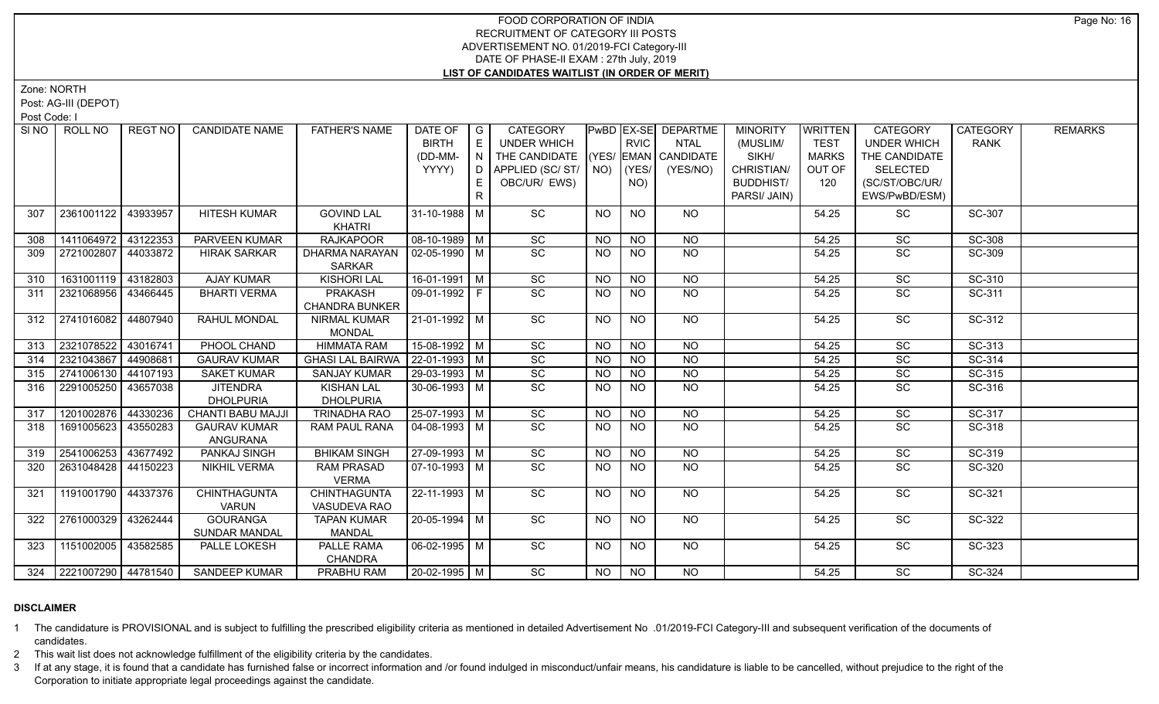Zone: NORTH

Post: AG-III (DEPOT)

Post Code: I

|     | SINO   ROLL NO          | REGT NO  | <b>CANDIDATE NAME</b>                   | <b>FATHER'S NAME</b>                  | DATE OF<br><b>BIRTH</b><br>(DD-MM-<br>YYYY) | $\overline{G}$<br>E<br>N<br>D<br>E.<br>R. | <b>CATEGORY</b><br><b>UNDER WHICH</b><br>THE CANDIDATE<br>APPLIED (SC/ST/<br>OBC/UR/ EWS) |           | <b>RVIC</b><br>$NO)$ (YES/<br>NO) | <b>PwBD EX-SE DEPARTME</b><br><b>NTAL</b><br>(YES/ EMAN CANDIDATE<br>(YES/NO) | <b>MINORITY</b><br>(MUSLIM/<br>SIKH/<br>CHRISTIAN/<br><b>BUDDHIST/</b><br>PARSI/ JAIN) | <b>WRITTEN</b><br><b>TEST</b><br><b>MARKS</b><br>OUT OF<br>120 | <b>CATEGORY</b><br><b>UNDER WHICH</b><br>THE CANDIDATE<br><b>SELECTED</b><br>(SC/ST/OBC/UR/<br>EWS/PwBD/ESM) | <b>CATEGORY</b><br><b>RANK</b> | <b>REMARKS</b> |
|-----|-------------------------|----------|-----------------------------------------|---------------------------------------|---------------------------------------------|-------------------------------------------|-------------------------------------------------------------------------------------------|-----------|-----------------------------------|-------------------------------------------------------------------------------|----------------------------------------------------------------------------------------|----------------------------------------------------------------|--------------------------------------------------------------------------------------------------------------|--------------------------------|----------------|
| 307 | 2361001122              | 43933957 | <b>HITESH KUMAR</b>                     | <b>GOVIND LAL</b>                     | $31 - 10 - 1988$ M                          |                                           | SC                                                                                        | <b>NO</b> | <b>NO</b>                         | NO.                                                                           |                                                                                        | 54.25                                                          | SC                                                                                                           | SC-307                         |                |
| 308 | 1411064972              | 43122353 | PARVEEN KUMAR                           | <b>KHATRI</b><br><b>RAJKAPOOR</b>     | $08-10-1989$ M                              |                                           | $\operatorname{\textsf{SC}}$                                                              | <b>NO</b> | <b>NO</b>                         | <b>NO</b>                                                                     |                                                                                        | 54.25                                                          | SC                                                                                                           | SC-308                         |                |
| 309 | 2721002807              | 44033872 | <b>HIRAK SARKAR</b>                     | DHARMA NARAYAN                        | $02-05-1990$ M                              |                                           | SC                                                                                        | NO.       | <b>NO</b>                         | <b>NO</b>                                                                     |                                                                                        | 54.25                                                          | <b>SC</b>                                                                                                    | SC-309                         |                |
|     |                         |          |                                         | <b>SARKAR</b>                         |                                             |                                           |                                                                                           |           |                                   |                                                                               |                                                                                        |                                                                |                                                                                                              |                                |                |
| 310 | 1631001119 43182803     |          | <b>AJAY KUMAR</b>                       | <b>KISHORI LAL</b>                    | $16-01-1991$ M                              |                                           | SC                                                                                        | NO.       | <b>NO</b>                         | <b>NO</b>                                                                     |                                                                                        | 54.25                                                          | SC                                                                                                           | SC-310                         |                |
| 311 | 2321068956 43466445     |          | <b>BHARTI VERMA</b>                     | PRAKASH<br><b>CHANDRA BUNKER</b>      | 09-01-1992 F                                |                                           | $\overline{SC}$                                                                           | <b>NO</b> | <b>NO</b>                         | NO                                                                            |                                                                                        | 54.25                                                          | <b>SC</b>                                                                                                    | SC-311                         |                |
| 312 | 2741016082 44807940     |          | RAHUL MONDAL                            | <b>NIRMAL KUMAR</b><br><b>MONDAL</b>  | $21-01-1992$ M                              |                                           | SC                                                                                        | <b>NO</b> | <b>NO</b>                         | <b>NO</b>                                                                     |                                                                                        | 54.25                                                          | SC                                                                                                           | SC-312                         |                |
| 313 | 2321078522 43016741     |          | PHOOL CHAND                             | <b>HIMMATA RAM</b>                    | $15-08-1992$ M                              |                                           | $\overline{SC}$                                                                           | NO        | $N$ O                             | <b>NO</b>                                                                     |                                                                                        | 54.25                                                          | SC                                                                                                           | SC-313                         |                |
| 314 | 2321043867              | 44908681 | <b>GAURAV KUMAR</b>                     | GHASI LAL BAIRWA   22-01-1993   M     |                                             |                                           | $\overline{SC}$                                                                           | <b>NO</b> | <b>NO</b>                         | <b>NO</b>                                                                     |                                                                                        | 54.25                                                          | SC                                                                                                           | SC-314                         |                |
| 315 | 2741006130 44107193     |          | <b>SAKET KUMAR</b>                      | <b>SANJAY KUMAR</b>                   | 29-03-1993 M                                |                                           | SC                                                                                        | <b>NO</b> | $N$ O                             | $N$ O                                                                         |                                                                                        | 54.25                                                          | SC                                                                                                           | SC-315                         |                |
| 316 | 2291005250              | 43657038 | <b>JITENDRA</b><br><b>DHOLPURIA</b>     | <b>KISHAN LAL</b><br><b>DHOLPURIA</b> | 30-06-1993 $\sqrt{M}$                       |                                           | SC                                                                                        | <b>NO</b> | <b>NO</b>                         | <b>NO</b>                                                                     |                                                                                        | 54.25                                                          | SC                                                                                                           | SC-316                         |                |
| 317 | 1201002876              | 44330236 | <b>CHANTI BABU MAJJI</b>                | <b>TRINADHA RAO</b>                   | 25-07-1993 M                                |                                           | SC                                                                                        | <b>NO</b> | <b>NO</b>                         | $N$ O                                                                         |                                                                                        | 54.25                                                          | SC                                                                                                           | SC-317                         |                |
| 318 | 1691005623              | 43550283 | <b>GAURAV KUMAR</b><br>ANGURANA         | <b>RAM PAUL RANA</b>                  | $04-08-1993$ M                              |                                           | SC                                                                                        | NO.       | <b>NO</b>                         | N <sub>O</sub>                                                                |                                                                                        | 54.25                                                          | SC                                                                                                           | SC-318                         |                |
| 319 | 2541006253              | 43677492 | PANKAJ SINGH                            | <b>BHIKAM SINGH</b>                   | 27-09-1993 M                                |                                           | SC                                                                                        | NO.       | <b>NO</b>                         | <b>NO</b>                                                                     |                                                                                        | 54.25                                                          | SC                                                                                                           | SC-319                         |                |
| 320 | 2631048428 44150223     |          | <b>NIKHIL VERMA</b>                     | <b>RAM PRASAD</b><br><b>VERMA</b>     | 07-10-1993   M                              |                                           | SC                                                                                        | <b>NO</b> | <b>NO</b>                         | <b>NO</b>                                                                     |                                                                                        | 54.25                                                          | SC                                                                                                           | SC-320                         |                |
| 321 | 1191001790              | 44337376 | <b>CHINTHAGUNTA</b><br><b>VARUN</b>     | <b>CHINTHAGUNTA</b><br>VASUDEVA RAO   | $22 - 11 - 1993$ M                          |                                           | $\overline{SC}$                                                                           | <b>NO</b> | <b>NO</b>                         | $N$ <sup>O</sup>                                                              |                                                                                        | 54.25                                                          | $\overline{SC}$                                                                                              | SC-321                         |                |
| 322 | 2761000329 43262444     |          | <b>GOURANGA</b><br><b>SUNDAR MANDAL</b> | <b>TAPAN KUMAR</b><br><b>MANDAL</b>   | 20-05-1994 M                                |                                           | $\overline{SC}$                                                                           | <b>NO</b> | <b>NO</b>                         | $N$ <sup>O</sup>                                                              |                                                                                        | 54.25                                                          | $\overline{SC}$                                                                                              | SC-322                         |                |
| 323 | 1151002005              | 43582585 | PALLE LOKESH                            | PALLE RAMA<br><b>CHANDRA</b>          | $06 - 02 - 1995$ M                          |                                           | SC                                                                                        | NO.       | <b>NO</b>                         | NO.                                                                           |                                                                                        | 54.25                                                          | SC                                                                                                           | SC-323                         |                |
|     | 324 2221007290 44781540 |          | <b>SANDEEP KUMAR</b>                    | PRABHU RAM                            | $20 - 02 - 1995$ M                          |                                           | $\overline{SC}$                                                                           | NO        | NO                                | NO                                                                            |                                                                                        | 54.25                                                          | SC                                                                                                           | SC-324                         |                |

### **DISCLAIMER**

1 The candidature is PROVISIONAL and is subject to fulfilling the prescribed eligibility criteria as mentioned in detailed Advertisement No .01/2019-FCI Category-III and subsequent verification of the documents of candidates.

2 This wait list does not acknowledge fulfillment of the eligibility criteria by the candidates.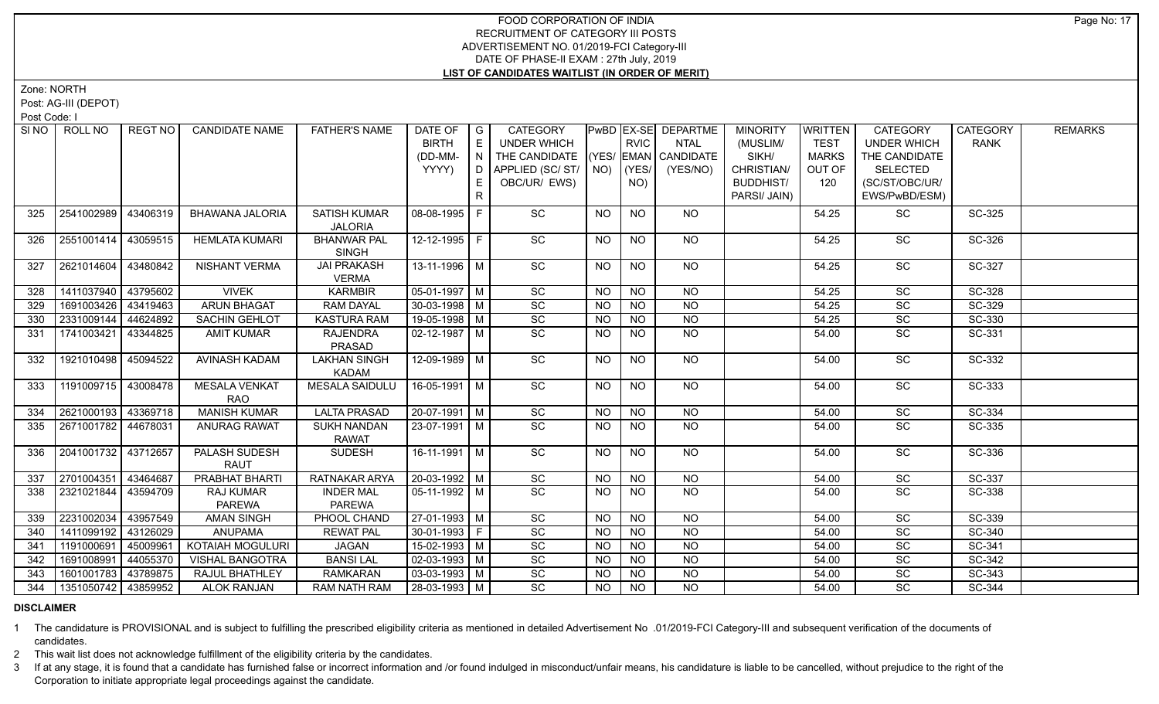Zone: NORTH

Post: AG-III (DEPOT)

Post Code: I

|     | SINO   ROLL NO        | REGT NO  | <b>CANDIDATE NAME</b>         | <b>FATHER'S NAME</b>  | DATE OF            | $\overline{G}$ | <b>CATEGORY</b>       |                |                 | <b>PwBD EX-SE DEPARTME</b> | <b>MINORITY</b>  | <b>WRITTEN</b> | CATEGORY              | <b>CATEGORY</b> | <b>REMARKS</b> |
|-----|-----------------------|----------|-------------------------------|-----------------------|--------------------|----------------|-----------------------|----------------|-----------------|----------------------------|------------------|----------------|-----------------------|-----------------|----------------|
|     |                       |          |                               |                       | <b>BIRTH</b>       | E              | <b>UNDER WHICH</b>    |                | <b>RVIC</b>     | <b>NTAL</b>                | (MUSLIM/         | <b>TEST</b>    | <b>UNDER WHICH</b>    | <b>RANK</b>     |                |
|     |                       |          |                               |                       | (DD-MM-            | $\overline{N}$ | THE CANDIDATE         |                |                 | (YES/ EMAN CANDIDATE       | SIKH/            | MARKS          | THE CANDIDATE         |                 |                |
|     |                       |          |                               |                       | YYYY)              | D I            | APPLIED (SC/ST/       |                | $NO)$ $ (YES/$  | (YES/NO)                   | CHRISTIAN/       | OUT OF         | <b>SELECTED</b>       |                 |                |
|     |                       |          |                               |                       |                    | E.             | OBC/UR/ EWS)          |                | NO)             |                            | <b>BUDDHIST/</b> | 120            | (SC/ST/OBC/UR/        |                 |                |
|     |                       |          |                               |                       |                    | $\mathsf{R}$   |                       |                |                 |                            | PARSI/ JAIN)     |                | EWS/PwBD/ESM)         |                 |                |
| 325 | 2541002989            | 43406319 | <b>BHAWANA JALORIA</b>        | <b>SATISH KUMAR</b>   | 08-08-1995 F       |                | SC                    | NO             | <b>NO</b>       | NO.                        |                  | 54.25          | <b>SC</b>             | SC-325          |                |
|     |                       |          |                               | <b>JALORIA</b>        |                    |                |                       |                |                 |                            |                  |                |                       |                 |                |
| 326 | 2551001414   43059515 |          | <b>HEMLATA KUMARI</b>         | <b>BHANWAR PAL</b>    | 12-12-1995 F       |                | SC                    | NO.            | <b>NO</b>       | NO                         |                  | 54.25          | SC                    | SC-326          |                |
|     |                       |          |                               | <b>SINGH</b>          |                    |                |                       |                |                 |                            |                  |                |                       |                 |                |
| 327 | 2621014604            | 43480842 | NISHANT VERMA                 | <b>JAI PRAKASH</b>    | 13-11-1996 M       |                | SC                    | <b>NO</b>      | <b>NO</b>       | <b>NO</b>                  |                  | 54.25          | SC                    | SC-327          |                |
|     |                       |          |                               | <b>VERMA</b>          |                    |                |                       |                |                 |                            |                  |                |                       |                 |                |
| 328 | 1411037940            | 43795602 | <b>VIVEK</b>                  | <b>KARMBIR</b>        | $05-01-1997$ M     |                | $\overline{SC}$       | NO.            | <b>NO</b>       | <b>NO</b>                  |                  | 54.25          | SC                    | SC-328          |                |
| 329 | 1691003426            | 43419463 | <b>ARUN BHAGAT</b>            | <b>RAM DAYAL</b>      | $30 - 03 - 1998$ M |                | $\overline{SC}$       | <b>NO</b>      | <b>NO</b>       | N <sub>O</sub>             |                  | 54.25          | SC                    | SC-329          |                |
| 330 | 2331009144            | 44624892 | <b>SACHIN GEHLOT</b>          | <b>KASTURA RAM</b>    | 19-05-1998 M       |                | $\overline{SC}$       | <b>NO</b>      | <b>NO</b>       | N <sub>O</sub>             |                  | 54.25          | $\overline{SC}$       | SC-330          |                |
| 331 | 1741003421            | 43344825 | <b>AMIT KUMAR</b>             | <b>RAJENDRA</b>       | $02 - 12 - 1987$ M |                | SC                    | <b>NO</b>      | <b>NO</b>       | <b>NO</b>                  |                  | 54.00          | SC                    | SC-331          |                |
|     |                       |          |                               | PRASAD                |                    |                |                       |                |                 |                            |                  |                |                       |                 |                |
| 332 | 1921010498            | 45094522 | AVINASH KADAM                 | <b>LAKHAN SINGH</b>   | 12-09-1989 M       |                | $\overline{SC}$       | NO             | N <sub>O</sub>  | $N$ O                      |                  | 54.00          | $\overline{SC}$       | SC-332          |                |
|     |                       |          |                               | <b>KADAM</b>          |                    |                |                       |                |                 |                            |                  |                |                       |                 |                |
| 333 | 1191009715            | 43008478 | <b>MESALA VENKAT</b>          | <b>MESALA SAIDULU</b> | 16-05-1991 M       |                | SC                    | NO.            | <b>NO</b>       | NO                         |                  | 54.00          | $\overline{SC}$       | SC-333          |                |
|     |                       |          | <b>RAO</b>                    |                       |                    |                |                       |                |                 |                            |                  |                |                       |                 |                |
| 334 | 2621000193 43369718   |          | <b>MANISH KUMAR</b>           | <b>LALTA PRASAD</b>   | 20-07-1991 M       |                | SC                    | <b>NO</b>      | <b>NO</b>       | NO                         |                  | 54.00          | <b>SC</b>             | SC-334          |                |
| 335 | 2671001782   44678031 |          | <b>ANURAG RAWAT</b>           | <b>SUKH NANDAN</b>    | 23-07-1991 M       |                | SC                    | NO.            | <b>NO</b>       | <b>NO</b>                  |                  | 54.00          | SC                    | SC-335          |                |
|     |                       |          |                               | <b>RAWAT</b>          |                    |                |                       |                |                 |                            |                  |                |                       |                 |                |
| 336 | 2041001732 43712657   |          | PALASH SUDESH                 | <b>SUDESH</b>         | 16-11-1991   M     |                | $\overline{SC}$       | NO.            | <b>NO</b>       | <b>NO</b>                  |                  | 54.00          | $\overline{SC}$       | SC-336          |                |
|     | 2701004351            | 43464687 | <b>RAUT</b><br>PRABHAT BHARTI | RATNAKAR ARYA         | 20-03-1992 M       |                |                       | <b>NO</b>      | <b>NO</b>       | <b>NO</b>                  |                  | 54.00          |                       | SC-337          |                |
| 337 | 2321021844            | 43594709 | RAJ KUMAR                     | <b>INDER MAL</b>      | $05-11-1992$ M     |                | SC<br>$\overline{SC}$ | <b>NO</b>      | $\overline{NO}$ | <b>NO</b>                  |                  |                | SC<br>$\overline{SC}$ | SC-338          |                |
| 338 |                       |          | <b>PAREWA</b>                 | <b>PAREWA</b>         |                    |                |                       |                |                 |                            |                  | 54.00          |                       |                 |                |
| 339 | 2231002034            | 43957549 | <b>AMAN SINGH</b>             | PHOOL CHAND           | 27-01-1993 M       |                | $\overline{SC}$       | <b>NO</b>      | <b>NO</b>       | N <sub>O</sub>             |                  | 54.00          | $\overline{SC}$       | SC-339          |                |
|     | 1411099192            | 43126029 | <b>ANUPAMA</b>                | <b>REWAT PAL</b>      | $30-01-1993$ F     |                | $\overline{SC}$       |                | $N$ O           | $N$ O                      |                  | 54.00          | $\overline{SC}$       | SC-340          |                |
| 340 | 1191000691            | 45009961 | <b>KOTAIAH MOGULURI</b>       | <b>JAGAN</b>          | $15 - 02 - 1993$ M |                | $\overline{SC}$       | <b>NO</b>      | $N$ O           | $N$ O                      |                  |                | $\overline{SC}$       | SC-341          |                |
| 341 |                       |          |                               |                       |                    |                |                       | <b>NO</b>      |                 |                            |                  | 54.00          |                       |                 |                |
| 342 | 1691008991            | 44055370 | VISHAL BANGOTRA               | <b>BANSILAL</b>       | $02 - 03 - 1993$ M |                | $\overline{SC}$       | <b>NO</b>      | <b>NO</b>       | $N$ O                      |                  | 54.00          | $\overline{SC}$       | SC-342          |                |
| 343 | 1601001783            | 43789875 | <b>RAJUL BHATHLEY</b>         | <b>RAMKARAN</b>       | $03-03-1993$ M     |                | $\overline{SC}$       | <b>NO</b>      | <b>NO</b>       | $N$ O                      |                  | 54.00          | SC                    | SC-343          |                |
| 344 | 1351050742 43859952   |          | <b>ALOK RANJAN</b>            | <b>RAM NATH RAM</b>   | 28-03-1993 M       |                | $\overline{SC}$       | N <sub>O</sub> | N <sub>O</sub>  | $N$ O                      |                  | 54.00          | $\overline{SC}$       | SC-344          |                |

## **DISCLAIMER**

1 The candidature is PROVISIONAL and is subject to fulfilling the prescribed eligibility criteria as mentioned in detailed Advertisement No .01/2019-FCI Category-III and subsequent verification of the documents of candidates.

2 This wait list does not acknowledge fulfillment of the eligibility criteria by the candidates.

3 If at any stage, it is found that a candidate has furnished false or incorrect information and /or found indulged in misconduct/unfair means, his candidature is liable to be cancelled, without prejudice to the right of t Corporation to initiate appropriate legal proceedings against the candidate.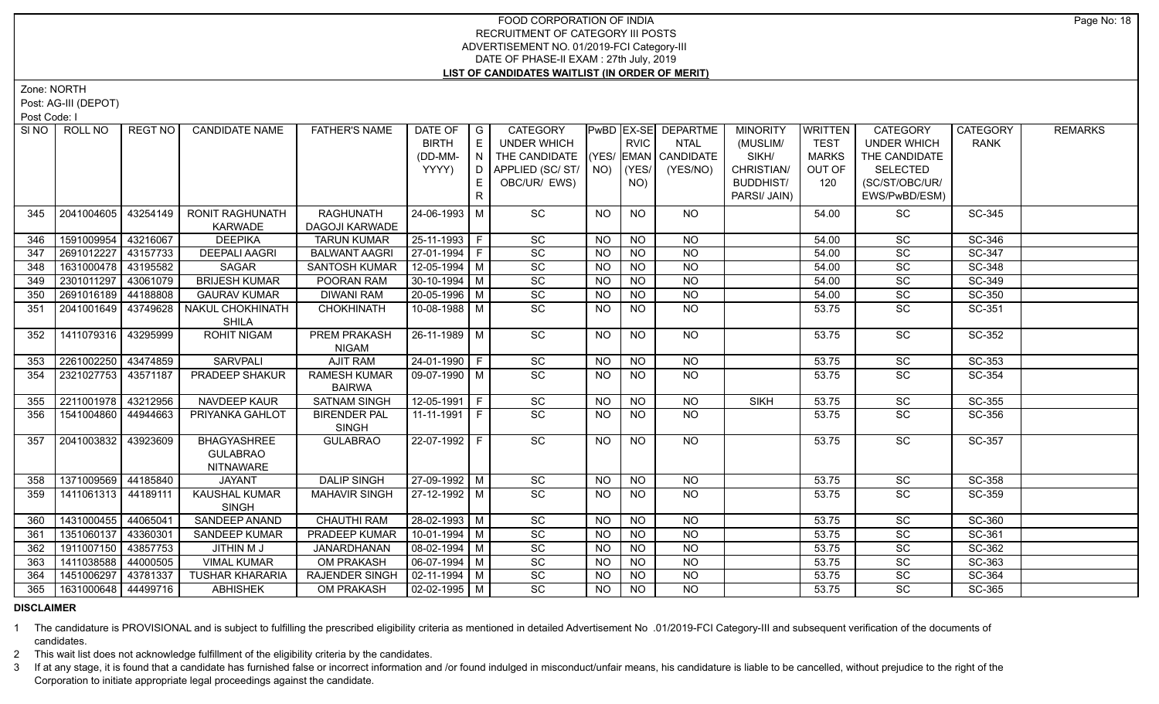Zone: NORTH

Post: AG-III (DEPOT)

Post Code: I

| ROLL NO    | REGT NO                                                                                                                                        | <b>CANDIDATE NAME</b>                                                                                                                                                                      | <b>FATHER'S NAME</b>                                                                                                                                                                                                         | DATE OF                                                                                                                                                                                                                                                                    |       | <b>CATEGORY</b>                                                                                                                                                                                                                                                                                                                                                                                                                                        |                                                                                                                                                           |                                                                                                                |                                                                                                                           | <b>MINORITY</b>                                                                                                                                                             | <b>WRITTEN</b>                                                | <b>CATEGORY</b>                                             | <b>CATEGORY</b>                                                                                                                                  | <b>REMARKS</b>                                                                                   |
|------------|------------------------------------------------------------------------------------------------------------------------------------------------|--------------------------------------------------------------------------------------------------------------------------------------------------------------------------------------------|------------------------------------------------------------------------------------------------------------------------------------------------------------------------------------------------------------------------------|----------------------------------------------------------------------------------------------------------------------------------------------------------------------------------------------------------------------------------------------------------------------------|-------|--------------------------------------------------------------------------------------------------------------------------------------------------------------------------------------------------------------------------------------------------------------------------------------------------------------------------------------------------------------------------------------------------------------------------------------------------------|-----------------------------------------------------------------------------------------------------------------------------------------------------------|----------------------------------------------------------------------------------------------------------------|---------------------------------------------------------------------------------------------------------------------------|-----------------------------------------------------------------------------------------------------------------------------------------------------------------------------|---------------------------------------------------------------|-------------------------------------------------------------|--------------------------------------------------------------------------------------------------------------------------------------------------|--------------------------------------------------------------------------------------------------|
|            |                                                                                                                                                |                                                                                                                                                                                            |                                                                                                                                                                                                                              | <b>BIRTH</b>                                                                                                                                                                                                                                                               | E     | <b>UNDER WHICH</b>                                                                                                                                                                                                                                                                                                                                                                                                                                     |                                                                                                                                                           | <b>RVIC</b>                                                                                                    | <b>NTAL</b>                                                                                                               | (MUSLIM/                                                                                                                                                                    | <b>TEST</b>                                                   | <b>UNDER WHICH</b>                                          | <b>RANK</b>                                                                                                                                      |                                                                                                  |
|            |                                                                                                                                                |                                                                                                                                                                                            |                                                                                                                                                                                                                              | (DD-MM-                                                                                                                                                                                                                                                                    |       |                                                                                                                                                                                                                                                                                                                                                                                                                                                        |                                                                                                                                                           |                                                                                                                |                                                                                                                           | SIKH/                                                                                                                                                                       | <b>MARKS</b>                                                  | THE CANDIDATE                                               |                                                                                                                                                  |                                                                                                  |
|            |                                                                                                                                                |                                                                                                                                                                                            |                                                                                                                                                                                                                              |                                                                                                                                                                                                                                                                            | D     |                                                                                                                                                                                                                                                                                                                                                                                                                                                        |                                                                                                                                                           | (YES/                                                                                                          | (YES/NO)                                                                                                                  |                                                                                                                                                                             | OUT OF                                                        | <b>SELECTED</b>                                             |                                                                                                                                                  |                                                                                                  |
|            |                                                                                                                                                |                                                                                                                                                                                            |                                                                                                                                                                                                                              |                                                                                                                                                                                                                                                                            | E     |                                                                                                                                                                                                                                                                                                                                                                                                                                                        |                                                                                                                                                           |                                                                                                                |                                                                                                                           |                                                                                                                                                                             | 120                                                           |                                                             |                                                                                                                                                  |                                                                                                  |
|            |                                                                                                                                                |                                                                                                                                                                                            |                                                                                                                                                                                                                              |                                                                                                                                                                                                                                                                            |       |                                                                                                                                                                                                                                                                                                                                                                                                                                                        |                                                                                                                                                           |                                                                                                                |                                                                                                                           |                                                                                                                                                                             |                                                               |                                                             |                                                                                                                                                  |                                                                                                  |
| 2041004605 | 43254149                                                                                                                                       | <b>RONIT RAGHUNATH</b>                                                                                                                                                                     | <b>RAGHUNATH</b>                                                                                                                                                                                                             |                                                                                                                                                                                                                                                                            |       | SC                                                                                                                                                                                                                                                                                                                                                                                                                                                     | <b>NO</b>                                                                                                                                                 | <b>NO</b>                                                                                                      | NO.                                                                                                                       |                                                                                                                                                                             | 54.00                                                         | SC                                                          | SC-345                                                                                                                                           |                                                                                                  |
|            |                                                                                                                                                | <b>KARWADE</b>                                                                                                                                                                             | DAGOJI KARWADE                                                                                                                                                                                                               |                                                                                                                                                                                                                                                                            |       |                                                                                                                                                                                                                                                                                                                                                                                                                                                        |                                                                                                                                                           |                                                                                                                |                                                                                                                           |                                                                                                                                                                             |                                                               |                                                             |                                                                                                                                                  |                                                                                                  |
|            | 43216067                                                                                                                                       | <b>DEEPIKA</b>                                                                                                                                                                             | <b>TARUN KUMAR</b>                                                                                                                                                                                                           |                                                                                                                                                                                                                                                                            |       |                                                                                                                                                                                                                                                                                                                                                                                                                                                        | <b>NO</b>                                                                                                                                                 | <b>NO</b>                                                                                                      | NO.                                                                                                                       |                                                                                                                                                                             | 54.00                                                         | SC                                                          | SC-346                                                                                                                                           |                                                                                                  |
| 2691012227 |                                                                                                                                                | <b>DEEPALI AAGRI</b>                                                                                                                                                                       |                                                                                                                                                                                                                              |                                                                                                                                                                                                                                                                            |       | SC                                                                                                                                                                                                                                                                                                                                                                                                                                                     | <b>NO</b>                                                                                                                                                 | <b>NO</b>                                                                                                      | <b>NO</b>                                                                                                                 |                                                                                                                                                                             | 54.00                                                         | SC                                                          | SC-347                                                                                                                                           |                                                                                                  |
|            |                                                                                                                                                |                                                                                                                                                                                            |                                                                                                                                                                                                                              |                                                                                                                                                                                                                                                                            |       |                                                                                                                                                                                                                                                                                                                                                                                                                                                        |                                                                                                                                                           |                                                                                                                |                                                                                                                           |                                                                                                                                                                             | 54.00                                                         |                                                             |                                                                                                                                                  |                                                                                                  |
| 2301011297 |                                                                                                                                                | <b>BRIJESH KUMAR</b>                                                                                                                                                                       | POORAN RAM                                                                                                                                                                                                                   |                                                                                                                                                                                                                                                                            |       |                                                                                                                                                                                                                                                                                                                                                                                                                                                        | <b>NO</b>                                                                                                                                                 | <b>NO</b>                                                                                                      | <b>NO</b>                                                                                                                 |                                                                                                                                                                             | 54.00                                                         | SC                                                          |                                                                                                                                                  |                                                                                                  |
|            |                                                                                                                                                |                                                                                                                                                                                            |                                                                                                                                                                                                                              |                                                                                                                                                                                                                                                                            |       |                                                                                                                                                                                                                                                                                                                                                                                                                                                        | <b>NO</b>                                                                                                                                                 |                                                                                                                |                                                                                                                           |                                                                                                                                                                             | 54.00                                                         |                                                             |                                                                                                                                                  |                                                                                                  |
| 2041001649 | 43749628                                                                                                                                       | NAKUL CHOKHINATH                                                                                                                                                                           | <b>CHOKHINATH</b>                                                                                                                                                                                                            |                                                                                                                                                                                                                                                                            |       | SC                                                                                                                                                                                                                                                                                                                                                                                                                                                     | NO.                                                                                                                                                       | <b>NO</b>                                                                                                      | <b>NO</b>                                                                                                                 |                                                                                                                                                                             | 53.75                                                         | SC                                                          | SC-351                                                                                                                                           |                                                                                                  |
|            |                                                                                                                                                |                                                                                                                                                                                            |                                                                                                                                                                                                                              |                                                                                                                                                                                                                                                                            |       |                                                                                                                                                                                                                                                                                                                                                                                                                                                        |                                                                                                                                                           |                                                                                                                |                                                                                                                           |                                                                                                                                                                             |                                                               |                                                             |                                                                                                                                                  |                                                                                                  |
|            |                                                                                                                                                |                                                                                                                                                                                            |                                                                                                                                                                                                                              |                                                                                                                                                                                                                                                                            |       |                                                                                                                                                                                                                                                                                                                                                                                                                                                        |                                                                                                                                                           |                                                                                                                |                                                                                                                           |                                                                                                                                                                             |                                                               |                                                             |                                                                                                                                                  |                                                                                                  |
|            |                                                                                                                                                |                                                                                                                                                                                            |                                                                                                                                                                                                                              |                                                                                                                                                                                                                                                                            |       |                                                                                                                                                                                                                                                                                                                                                                                                                                                        |                                                                                                                                                           |                                                                                                                |                                                                                                                           |                                                                                                                                                                             |                                                               |                                                             |                                                                                                                                                  |                                                                                                  |
|            |                                                                                                                                                |                                                                                                                                                                                            |                                                                                                                                                                                                                              |                                                                                                                                                                                                                                                                            |       |                                                                                                                                                                                                                                                                                                                                                                                                                                                        |                                                                                                                                                           |                                                                                                                |                                                                                                                           |                                                                                                                                                                             |                                                               |                                                             |                                                                                                                                                  |                                                                                                  |
|            |                                                                                                                                                |                                                                                                                                                                                            |                                                                                                                                                                                                                              |                                                                                                                                                                                                                                                                            |       |                                                                                                                                                                                                                                                                                                                                                                                                                                                        |                                                                                                                                                           |                                                                                                                |                                                                                                                           |                                                                                                                                                                             |                                                               |                                                             |                                                                                                                                                  |                                                                                                  |
|            |                                                                                                                                                |                                                                                                                                                                                            |                                                                                                                                                                                                                              |                                                                                                                                                                                                                                                                            |       |                                                                                                                                                                                                                                                                                                                                                                                                                                                        |                                                                                                                                                           |                                                                                                                |                                                                                                                           |                                                                                                                                                                             |                                                               |                                                             |                                                                                                                                                  |                                                                                                  |
|            |                                                                                                                                                |                                                                                                                                                                                            |                                                                                                                                                                                                                              |                                                                                                                                                                                                                                                                            |       |                                                                                                                                                                                                                                                                                                                                                                                                                                                        |                                                                                                                                                           |                                                                                                                |                                                                                                                           |                                                                                                                                                                             |                                                               |                                                             |                                                                                                                                                  |                                                                                                  |
|            |                                                                                                                                                |                                                                                                                                                                                            |                                                                                                                                                                                                                              |                                                                                                                                                                                                                                                                            |       |                                                                                                                                                                                                                                                                                                                                                                                                                                                        |                                                                                                                                                           |                                                                                                                |                                                                                                                           |                                                                                                                                                                             |                                                               |                                                             |                                                                                                                                                  |                                                                                                  |
|            |                                                                                                                                                |                                                                                                                                                                                            |                                                                                                                                                                                                                              |                                                                                                                                                                                                                                                                            |       |                                                                                                                                                                                                                                                                                                                                                                                                                                                        |                                                                                                                                                           |                                                                                                                |                                                                                                                           |                                                                                                                                                                             |                                                               |                                                             |                                                                                                                                                  |                                                                                                  |
|            |                                                                                                                                                |                                                                                                                                                                                            |                                                                                                                                                                                                                              |                                                                                                                                                                                                                                                                            |       |                                                                                                                                                                                                                                                                                                                                                                                                                                                        |                                                                                                                                                           |                                                                                                                |                                                                                                                           |                                                                                                                                                                             |                                                               |                                                             |                                                                                                                                                  |                                                                                                  |
|            |                                                                                                                                                |                                                                                                                                                                                            |                                                                                                                                                                                                                              |                                                                                                                                                                                                                                                                            |       |                                                                                                                                                                                                                                                                                                                                                                                                                                                        |                                                                                                                                                           |                                                                                                                |                                                                                                                           |                                                                                                                                                                             |                                                               |                                                             |                                                                                                                                                  |                                                                                                  |
|            |                                                                                                                                                | <b>JAYANT</b>                                                                                                                                                                              |                                                                                                                                                                                                                              |                                                                                                                                                                                                                                                                            |       |                                                                                                                                                                                                                                                                                                                                                                                                                                                        |                                                                                                                                                           |                                                                                                                |                                                                                                                           |                                                                                                                                                                             |                                                               |                                                             |                                                                                                                                                  |                                                                                                  |
| 1411061313 |                                                                                                                                                | <b>KAUSHAL KUMAR</b>                                                                                                                                                                       | <b>MAHAVIR SINGH</b>                                                                                                                                                                                                         |                                                                                                                                                                                                                                                                            |       | <b>SC</b>                                                                                                                                                                                                                                                                                                                                                                                                                                              | NO.                                                                                                                                                       | <b>NO</b>                                                                                                      | NO                                                                                                                        |                                                                                                                                                                             | 53.75                                                         | <b>SC</b>                                                   | SC-359                                                                                                                                           |                                                                                                  |
|            |                                                                                                                                                | <b>SINGH</b>                                                                                                                                                                               |                                                                                                                                                                                                                              |                                                                                                                                                                                                                                                                            |       |                                                                                                                                                                                                                                                                                                                                                                                                                                                        |                                                                                                                                                           |                                                                                                                |                                                                                                                           |                                                                                                                                                                             |                                                               |                                                             |                                                                                                                                                  |                                                                                                  |
| 1431000455 | 44065041                                                                                                                                       | SANDEEP ANAND                                                                                                                                                                              | <b>CHAUTHI RAM</b>                                                                                                                                                                                                           |                                                                                                                                                                                                                                                                            |       | SC                                                                                                                                                                                                                                                                                                                                                                                                                                                     | <b>NO</b>                                                                                                                                                 | <b>NO</b>                                                                                                      | <b>NO</b>                                                                                                                 |                                                                                                                                                                             | 53.75                                                         | SC                                                          | SC-360                                                                                                                                           |                                                                                                  |
| 1351060137 | 43360301                                                                                                                                       | <b>SANDEEP KUMAR</b>                                                                                                                                                                       | PRADEEP KUMAR                                                                                                                                                                                                                |                                                                                                                                                                                                                                                                            |       | $\overline{SC}$                                                                                                                                                                                                                                                                                                                                                                                                                                        | <b>NO</b>                                                                                                                                                 | NO                                                                                                             | NO                                                                                                                        |                                                                                                                                                                             | 53.75                                                         | SC                                                          | SC-361                                                                                                                                           |                                                                                                  |
| 1911007150 | 43857753                                                                                                                                       | JITHIN M J                                                                                                                                                                                 | JANARDHANAN                                                                                                                                                                                                                  |                                                                                                                                                                                                                                                                            |       | SC                                                                                                                                                                                                                                                                                                                                                                                                                                                     | <b>NO</b>                                                                                                                                                 | N <sub>O</sub>                                                                                                 | $N$ O                                                                                                                     |                                                                                                                                                                             | 53.75                                                         | SC                                                          | SC-362                                                                                                                                           |                                                                                                  |
| 1411038588 |                                                                                                                                                | <b>VIMAL KUMAR</b>                                                                                                                                                                         | <b>OM PRAKASH</b>                                                                                                                                                                                                            |                                                                                                                                                                                                                                                                            |       | SC                                                                                                                                                                                                                                                                                                                                                                                                                                                     | <b>NO</b>                                                                                                                                                 | NO                                                                                                             | $N$ O                                                                                                                     |                                                                                                                                                                             | 53.75                                                         | $\overline{SC}$                                             | SC-363                                                                                                                                           |                                                                                                  |
| 1451006297 | 43781337                                                                                                                                       | <b>TUSHAR KHARARIA</b>                                                                                                                                                                     | <b>RAJENDER SINGH</b>                                                                                                                                                                                                        |                                                                                                                                                                                                                                                                            |       | SC                                                                                                                                                                                                                                                                                                                                                                                                                                                     | <b>NO</b>                                                                                                                                                 | <b>NO</b>                                                                                                      | N <sub>O</sub>                                                                                                            |                                                                                                                                                                             | 53.75                                                         | SC                                                          | SC-364                                                                                                                                           |                                                                                                  |
|            |                                                                                                                                                | <b>ABHISHEK</b>                                                                                                                                                                            | <b>OM PRAKASH</b>                                                                                                                                                                                                            |                                                                                                                                                                                                                                                                            |       | $\overline{SC}$                                                                                                                                                                                                                                                                                                                                                                                                                                        | NO.                                                                                                                                                       | <b>NO</b>                                                                                                      | <b>NO</b>                                                                                                                 |                                                                                                                                                                             | 53.75                                                         | SC                                                          | SC-365                                                                                                                                           |                                                                                                  |
|            | SI <sub>NO</sub><br>1591009954<br>1631000478<br>1411079316<br>2261002250<br>2321027753<br>2211001978<br>1541004860<br>2041003832<br>1371009569 | 43157733<br>43195582<br>43061079<br>2691016189 44188808<br>43295999<br>43474859<br>43571187<br>43212956<br>44944663<br>43923609<br>44185840<br>44189111<br>44000505<br>1631000648 44499716 | <b>SAGAR</b><br><b>GAURAV KUMAR</b><br><b>SHILA</b><br><b>ROHIT NIGAM</b><br><b>SARVPALI</b><br><b>PRADEEP SHAKUR</b><br><b>NAVDEEP KAUR</b><br>PRIYANKA GAHLOT<br><b>BHAGYASHREE</b><br><b>GULABRAO</b><br><b>NITNAWARE</b> | <b>BALWANT AAGRI</b><br><b>SANTOSH KUMAR</b><br><b>DIWANI RAM</b><br><b>PREM PRAKASH</b><br><b>NIGAM</b><br><b>AJIT RAM</b><br><b>RAMESH KUMAR</b><br><b>BAIRWA</b><br><b>SATNAM SINGH</b><br><b>BIRENDER PAL</b><br><b>SINGH</b><br><b>GULABRAO</b><br><b>DALIP SINGH</b> | YYYY) | $\overline{\phantom{a}}$ $\overline{\phantom{a}}$<br>$\overline{N}$<br>R.<br>24-06-1993 M<br>25-11-1993 F<br>27-01-1994 F<br>12-05-1994 M<br>30-10-1994 M<br>$20-05-1996$ M<br>10-08-1988 M<br>26-11-1989 M<br>$24 - 01 - 1990$ F<br>  09-07-1990   M<br>$12-05-1991$ F<br>11-11-1991 F<br>22-07-1992 F<br>  27-12-1992   M<br>28-02-1993 M<br>10-01-1994 M<br>$08 - 02 - 1994$ M<br>$06-07-1994$ M<br>$\boxed{02-11-1994}$ M<br>$\sqrt{02-02-1995}$ M | OBC/UR/ EWS)<br>SC<br>SC<br>SC<br>SC<br>$\overline{SC}$<br>$\overline{SC}$<br><b>SC</b><br>$\overline{SC}$<br>$\overline{SC}$<br>SC<br>27-09-1992 M<br>SC | APPLIED (SC/ ST/   NO)<br><b>NO</b><br><b>NO</b><br><b>NO</b><br>NO.<br>$N$ O<br><b>NO</b><br>NO.<br><b>NO</b> | NO)<br><b>NO</b><br><b>NO</b><br>$\overline{NO}$<br>N <sub>O</sub><br>NO.<br>$N$ O<br><b>NO</b><br><b>NO</b><br><b>NO</b> | PwBD EX-SE DEPARTME<br>THE CANDIDATE (YES/ EMAN CANDIDATE<br><b>NO</b><br><b>NO</b><br>$N$ <sup>O</sup><br>$\overline{NO}$<br>NO<br>N <sub>O</sub><br>NO<br>NO<br><b>NO</b> | CHRISTIAN/<br><b>BUDDHIST/</b><br>PARSI/ JAIN)<br><b>SIKH</b> | 53.75<br>53.75<br>53.75<br>53.75<br>53.75<br>53.75<br>53.75 | (SC/ST/OBC/UR/<br>EWS/PwBD/ESM)<br>SC<br>$\overline{SC}$<br>SC<br>$\overline{SC}$<br><b>SC</b><br>$\overline{SC}$<br>$\overline{SC}$<br>SC<br>SC | SC-348<br>SC-349<br>SC-350<br>SC-352<br>SC-353<br>SC-354<br>SC-355<br>SC-356<br>SC-357<br>SC-358 |

### **DISCLAIMER**

1 The candidature is PROVISIONAL and is subject to fulfilling the prescribed eligibility criteria as mentioned in detailed Advertisement No .01/2019-FCI Category-III and subsequent verification of the documents of candidates.

2 This wait list does not acknowledge fulfillment of the eligibility criteria by the candidates.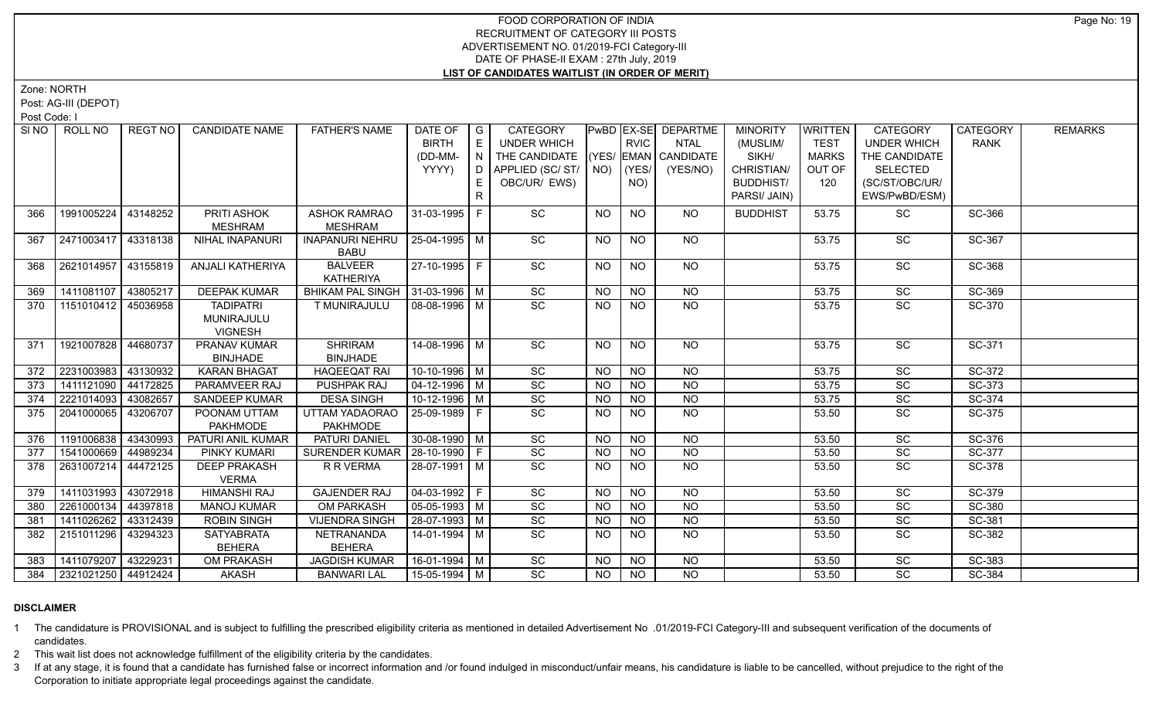Zone: NORTH

Post: AG-III (DEPOT)

Post Code: I

|     | SINO FROLL NO       | REGT NO  | <b>CANDIDATE NAME</b>               | <b>FATHER'S NAME</b>                      | DATE OF            | $\overline{\phantom{a}}$ G | <b>CATEGORY</b>                    |           |                | <b>PwBD EX-SE DEPARTME</b>  | <b>MINORITY</b>  | <b>WRITTEN</b> | CATEGORY           | <b>CATEGORY</b> | <b>REMARKS</b> |
|-----|---------------------|----------|-------------------------------------|-------------------------------------------|--------------------|----------------------------|------------------------------------|-----------|----------------|-----------------------------|------------------|----------------|--------------------|-----------------|----------------|
|     |                     |          |                                     |                                           | <b>BIRTH</b>       | E                          | <b>UNDER WHICH</b>                 |           | <b>RVIC</b>    | <b>NTAL</b>                 | (MUSLIM/         | <b>TEST</b>    | <b>UNDER WHICH</b> | <b>RANK</b>     |                |
|     |                     |          |                                     |                                           | (DD-MM-            | N                          | THE CANDIDATE (YES/ EMAN CANDIDATE |           |                |                             | SIKH/            | <b>MARKS</b>   | THE CANDIDATE      |                 |                |
|     |                     |          |                                     |                                           | YYYY)              | D                          | APPLIED (SC/ ST/   NO)             |           | (YES/          | (YES/NO)                    | CHRISTIAN/       | OUT OF         | <b>SELECTED</b>    |                 |                |
|     |                     |          |                                     |                                           |                    |                            | OBC/UR/ EWS)                       |           | NO)            |                             | <b>BUDDHIST/</b> | 120            | (SC/ST/OBC/UR/     |                 |                |
|     |                     |          |                                     |                                           |                    | R.                         |                                    |           |                |                             | PARSI/ JAIN)     |                | EWS/PwBD/ESM)      |                 |                |
| 366 | 1991005224          | 43148252 | PRITI ASHOK                         | <b>ASHOK RAMRAO</b>                       | 31-03-1995 F       |                            | <b>SC</b>                          | <b>NO</b> | <b>NO</b>      | <b>NO</b>                   | <b>BUDDHIST</b>  | 53.75          | <b>SC</b>          | SC-366          |                |
|     |                     |          | MESHRAM                             | <b>MESHRAM</b>                            |                    |                            |                                    |           |                |                             |                  |                |                    |                 |                |
| 367 | 2471003417 43318138 |          | NIHAL INAPANURI                     | <b>INAPANURI NEHRU</b>                    | 25-04-1995 M       |                            | SC                                 | NO.       | <b>NO</b>      | NO                          |                  | 53.75          | <b>SC</b>          | SC-367          |                |
|     |                     |          |                                     | <b>BABU</b>                               |                    |                            |                                    |           |                |                             |                  |                |                    |                 |                |
| 368 | 2621014957          | 43155819 | ANJALI KATHERIYA                    | <b>BALVEER</b>                            | $27-10-1995$ F     |                            | $\overline{SC}$                    | <b>NO</b> | <b>NO</b>      | NO                          |                  | 53.75          | $\overline{SC}$    | SC-368          |                |
|     |                     |          |                                     | <b>KATHERIYA</b>                          |                    |                            |                                    |           |                |                             |                  |                |                    |                 |                |
| 369 | 1411081107          | 43805217 | <b>DEEPAK KUMAR</b>                 | BHIKAM PAL SINGH   31-03-1996   M         |                    |                            | SC                                 | <b>NO</b> | <b>NO</b>      | <b>NO</b>                   |                  | 53.75          | SC                 | SC-369          |                |
| 370 | 1151010412          | 45036958 | <b>TADIPATRI</b>                    | T MUNIRAJULU                              | 08-08-1996   M     |                            | $\overline{SC}$                    | NO.       | <b>NO</b>      | <b>NO</b>                   |                  | 53.75          | $\overline{SC}$    | SC-370          |                |
|     |                     |          | MUNIRAJULU                          |                                           |                    |                            |                                    |           |                |                             |                  |                |                    |                 |                |
|     |                     |          | <b>VIGNESH</b>                      |                                           |                    |                            |                                    |           |                |                             |                  |                |                    |                 |                |
| 371 | 1921007828 44680737 |          | PRANAV KUMAR                        | SHRIRAM                                   | 14-08-1996 M       |                            | SC                                 | NO.       | <b>NO</b>      | NO                          |                  | 53.75          | SC                 | SC-371          |                |
|     | 2231003983 43130932 |          | <b>BINJHADE</b>                     | <b>BINJHADE</b>                           | $10-10-1996$ M     |                            | $\overline{SC}$                    |           | N <sub>O</sub> |                             |                  |                | $\overline{SC}$    |                 |                |
| 372 |                     |          | <b>KARAN BHAGAT</b>                 | <b>HAQEEQAT RAI</b><br><b>PUSHPAK RAJ</b> |                    |                            | $\overline{SC}$                    | <b>NO</b> |                | <b>NO</b><br>N <sub>O</sub> |                  | 53.75          |                    | SC-372          |                |
| 373 | 1411121090          | 44172825 | PARAMVEER RAJ                       |                                           | $04 - 12 - 1996$ M |                            |                                    | <b>NO</b> | N <sub>O</sub> |                             |                  | 53.75          | $\overline{SC}$    | SC-373          |                |
| 374 | 2221014093          | 43082657 | SANDEEP KUMAR                       | <b>DESA SINGH</b>                         | $10-12-1996$ M     |                            | SC                                 | <b>NO</b> | <b>NO</b>      | <b>NO</b>                   |                  | 53.75          | SC                 | SC-374          |                |
| 375 | 2041000065          | 43206707 | POONAM UTTAM                        | UTTAM YADAORAO                            | 25-09-1989 F       |                            | $\overline{SC}$                    | NO.       | <b>NO</b>      | N <sub>O</sub>              |                  | 53.50          | $\overline{SC}$    | SC-375          |                |
|     | 1191006838          | 43430993 | <b>PAKHMODE</b>                     | <b>PAKHMODE</b><br><b>PATURI DANIEL</b>   | $30-08-1990$ M     |                            |                                    |           |                |                             |                  |                |                    |                 |                |
| 376 |                     |          | PATURI ANIL KUMAR                   |                                           |                    |                            | SC                                 | NO.       | <b>NO</b>      | <b>NO</b>                   |                  | 53.50          | SC                 | SC-376          |                |
| 377 | 1541000669          | 44989234 | PINKY KUMARI                        | SURENDER KUMAR   28-10-1990   F           |                    |                            | SC                                 | <b>NO</b> | <b>NO</b>      | <b>NO</b>                   |                  | 53.50          | SC                 | SC-377          |                |
| 378 | 2631007214          | 44472125 | <b>DEEP PRAKASH</b>                 | R R VERMA                                 | 28-07-1991 M       |                            | $\overline{SC}$                    | NO.       | $N$ O          | N <sub>O</sub>              |                  | 53.50          | $\overline{SC}$    | SC-378          |                |
| 379 | 1411031993          | 43072918 | <b>VERMA</b><br><b>HIMANSHI RAJ</b> | <b>GAJENDER RAJ</b>                       | $04-03-1992$ F     |                            | SC                                 | NO.       | <b>NO</b>      | <b>NO</b>                   |                  | 53.50          | SC                 | SC-379          |                |
| 380 | 2261000134          |          | <b>MANOJ KUMAR</b>                  | <b>OM PARKASH</b>                         |                    |                            | SC                                 | <b>NO</b> | <b>NO</b>      | NO                          |                  |                | SC                 | SC-380          |                |
|     |                     | 44397818 |                                     |                                           | $ 05-05-1993 M$    |                            |                                    |           |                |                             |                  | 53.50          |                    |                 |                |
| 381 | 1411026262          | 43312439 | <b>ROBIN SINGH</b>                  | <b>VIJENDRA SINGH</b>                     | 28-07-1993 M       |                            | SC                                 | <b>NO</b> | NO             | NO                          |                  | 53.50          | SC                 | SC-381          |                |
| 382 | 2151011296          | 43294323 | <b>SATYABRATA</b>                   | NETRANANDA                                | 14-01-1994 M       |                            | SC                                 | NO.       | <b>NO</b>      | $N$ O                       |                  | 53.50          | <b>SC</b>          | SC-382          |                |
|     | 1411079207          |          | <b>BEHERA</b>                       | <b>BEHERA</b>                             |                    |                            |                                    |           |                |                             |                  |                |                    |                 |                |
| 383 |                     | 43229231 | OM PRAKASH                          | <b>JAGDISH KUMAR</b>                      | 16-01-1994 M       |                            | SC                                 | <b>NO</b> | <b>NO</b>      | <b>NO</b>                   |                  | 53.50          | SC                 | SC-383          |                |
| 384 | 2321021250 44912424 |          | AKASH                               | <b>BANWARI LAL</b>                        | 15-05-1994 M       |                            | $\overline{SC}$                    | NO.       | <b>NO</b>      | NO.                         |                  | 53.50          | <b>SC</b>          | SC-384          |                |

### **DISCLAIMER**

1 The candidature is PROVISIONAL and is subject to fulfilling the prescribed eligibility criteria as mentioned in detailed Advertisement No .01/2019-FCI Category-III and subsequent verification of the documents of candidates.

2 This wait list does not acknowledge fulfillment of the eligibility criteria by the candidates.

3 If at any stage, it is found that a candidate has furnished false or incorrect information and /or found indulged in misconduct/unfair means, his candidature is liable to be cancelled, without prejudice to the right of t Corporation to initiate appropriate legal proceedings against the candidate.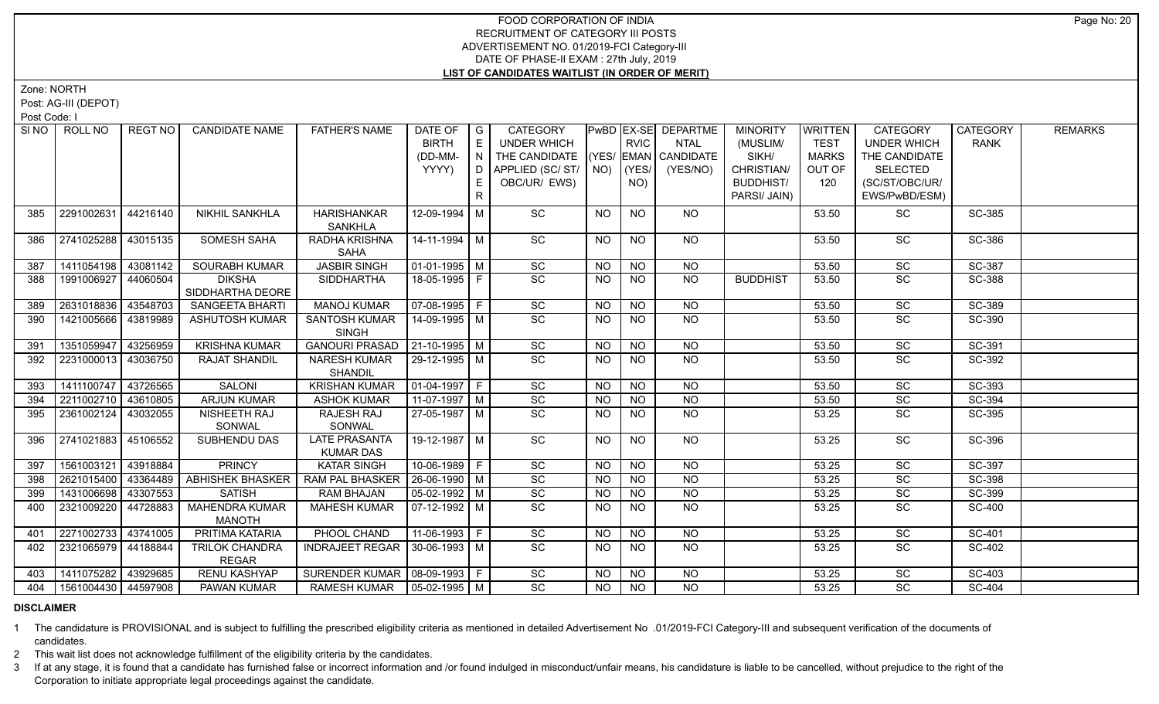Zone: NORTH

Post: AG-III (DEPOT)

Post Code: I

| SINO | ROLL NO             | REGT NO  | <b>CANDIDATE NAME</b>   | <b>FATHER'S NAME</b>                            | DATE OF                | $\overline{\phantom{a}}$ $\overline{\phantom{a}}$ | <b>CATEGORY</b>    |           |                 | PwBD   EX-SE   DEPARTME | <b>MINORITY</b>  | WRITTEN      | <b>CATEGORY</b>    | <b>CATEGORY</b> | <b>REMARKS</b> |
|------|---------------------|----------|-------------------------|-------------------------------------------------|------------------------|---------------------------------------------------|--------------------|-----------|-----------------|-------------------------|------------------|--------------|--------------------|-----------------|----------------|
|      |                     |          |                         |                                                 | <b>BIRTH</b>           | E                                                 | <b>UNDER WHICH</b> |           | <b>RVIC</b>     | <b>NTAL</b>             | (MUSLIM/         | <b>TEST</b>  | <b>UNDER WHICH</b> | <b>RANK</b>     |                |
|      |                     |          |                         |                                                 | (DD-MM-                | $\overline{N}$                                    | THE CANDIDATE      |           |                 | (YES/ EMAN CANDIDATE    | SIKH/            | <b>MARKS</b> | THE CANDIDATE      |                 |                |
|      |                     |          |                         |                                                 | YYYY)                  |                                                   |                    |           |                 | (YES/NO)                | CHRISTIAN/       | OUT OF       | SELECTED           |                 |                |
|      |                     |          |                         |                                                 |                        | E.                                                | OBC/UR/ EWS)       |           | NO)             |                         | <b>BUDDHIST/</b> | 120          | (SC/ST/OBC/UR/     |                 |                |
|      |                     |          |                         |                                                 |                        | $\mathsf{R}$                                      |                    |           |                 |                         | PARSI/ JAIN)     |              | EWS/PwBD/ESM)      |                 |                |
| 385  | 2291002631          | 44216140 | NIKHIL SANKHLA          | <b>HARISHANKAR</b>                              | 12-09-1994 M           |                                                   | <b>SC</b>          | <b>NO</b> | <b>NO</b>       | NO.                     |                  | 53.50        | SC                 | SC-385          |                |
|      |                     |          |                         | <b>SANKHLA</b>                                  |                        |                                                   |                    |           |                 |                         |                  |              |                    |                 |                |
| 386  | 2741025288          | 43015135 | <b>SOMESH SAHA</b>      | <b>RADHA KRISHNA</b>                            | 14-11-1994 M           |                                                   | SC                 | <b>NO</b> | <b>NO</b>       | NO                      |                  | 53.50        | SC                 | SC-386          |                |
|      |                     |          |                         | <b>SAHA</b>                                     |                        |                                                   |                    |           |                 |                         |                  |              |                    |                 |                |
| 387  | 1411054198          | 43081142 | <b>SOURABH KUMAR</b>    | <b>JASBIR SINGH</b>                             | 01-01-1995   M         |                                                   | SC                 | <b>NO</b> | $\overline{NO}$ | NO                      |                  | 53.50        | $\overline{SC}$    | SC-387          |                |
| 388  | 1991006927          | 44060504 | <b>DIKSHA</b>           | <b>SIDDHARTHA</b>                               | 18-05-1995 F           |                                                   | $\overline{SC}$    | <b>NO</b> | NO.             | NO                      | <b>BUDDHIST</b>  | 53.50        | SC                 | SC-388          |                |
|      |                     |          | SIDDHARTHA DEORE        |                                                 |                        |                                                   |                    |           |                 |                         |                  |              |                    |                 |                |
| 389  | 2631018836          | 43548703 | SANGEETA BHARTI         | <b>MANOJ KUMAR</b>                              | $\boxed{07-08-1995}$ F |                                                   | SC                 | <b>NO</b> | <b>NO</b>       | <b>NO</b>               |                  | 53.50        | SC                 | SC-389          |                |
| 390  | 1421005666          | 43819989 | <b>ASHUTOSH KUMAR</b>   | SANTOSH KUMAR                                   | $14 - 09 - 1995$ M     |                                                   | $\overline{SC}$    | NO.       | <b>NO</b>       | $\overline{NO}$         |                  | 53.50        | $\overline{SC}$    | SC-390          |                |
|      | 1351059947          | 43256959 | <b>KRISHNA KUMAR</b>    | <b>SINGH</b><br>GANOURI PRASAD   21-10-1995   M |                        |                                                   | SC                 | <b>NO</b> | <b>NO</b>       | $N$ O                   |                  | 53.50        | $\overline{SC}$    | SC-391          |                |
| 391  |                     | 43036750 |                         |                                                 | 29-12-1995   M         |                                                   | $\overline{SC}$    | <b>NO</b> | <b>NO</b>       | NO                      |                  |              | SC                 | SC-392          |                |
| 392  | 2231000013          |          | <b>RAJAT SHANDIL</b>    | <b>NARESH KUMAR</b><br><b>SHANDIL</b>           |                        |                                                   |                    |           |                 |                         |                  | 53.50        |                    |                 |                |
| 393  | 1411100747          | 43726565 | SALONI                  | <b>KRISHAN KUMAR</b>                            | $ 01-04-1997 F$        |                                                   | SC                 | <b>NO</b> | <b>NO</b>       | NO                      |                  | 53.50        | <b>SC</b>          | SC-393          |                |
| 394  | 2211002710          | 43610805 | <b>ARJUN KUMAR</b>      | <b>ASHOK KUMAR</b>                              | $11-07-1997$ M         |                                                   | SC                 | <b>NO</b> | <b>NO</b>       | <b>NO</b>               |                  | 53.50        | SC                 | SC-394          |                |
| 395  | 2361002124          | 43032055 | NISHEETH RAJ            | RAJESH RAJ                                      | 27-05-1987   M         |                                                   | SC                 | NO.       | <b>NO</b>       | NO                      |                  | 53.25        | SC                 | SC-395          |                |
|      |                     |          | SONWAL                  | SONWAL                                          |                        |                                                   |                    |           |                 |                         |                  |              |                    |                 |                |
| 396  | 2741021883 45106552 |          | SUBHENDU DAS            | <b>LATE PRASANTA</b>                            | 19-12-1987   M         |                                                   | SC                 | <b>NO</b> | <b>NO</b>       | <b>NO</b>               |                  | 53.25        | SC                 | SC-396          |                |
|      |                     |          |                         | <b>KUMAR DAS</b>                                |                        |                                                   |                    |           |                 |                         |                  |              |                    |                 |                |
| 397  | 1561003121          | 43918884 | <b>PRINCY</b>           | <b>KATAR SINGH</b>                              | 10-06-1989 F           |                                                   | $\overline{SC}$    | <b>NO</b> | <b>NO</b>       | NO                      |                  | 53.25        | $\overline{SC}$    | SC-397          |                |
| 398  | 2621015400          | 43364489 | <b>ABHISHEK BHASKER</b> | <b>RAM PAL BHASKER</b>                          | $26 - 06 - 1990$ M     |                                                   | SC                 | <b>NO</b> | <b>NO</b>       | <b>NO</b>               |                  | 53.25        | SC                 | SC-398          |                |
| 399  | 1431006698          | 43307553 | <b>SATISH</b>           | RAM BHAJAN                                      | 05-02-1992   M         |                                                   | SC                 | <b>NO</b> | <b>NO</b>       | <b>NO</b>               |                  | 53.25        | SC                 | SC-399          |                |
| 400  | 2321009220          | 44728883 | <b>MAHENDRA KUMAR</b>   | <b>MAHESH KUMAR</b>                             | 07-12-1992   M         |                                                   | $\overline{SC}$    | NO.       | <b>NO</b>       | NO                      |                  | 53.25        | <b>SC</b>          | <b>SC-400</b>   |                |
|      |                     |          | <b>MANOTH</b>           |                                                 |                        |                                                   |                    |           |                 |                         |                  |              |                    |                 |                |
| 401  | 2271002733          | 43741005 | <b>PRITIMA KATARIA</b>  | PHOOL CHAND                                     | 11-06-1993 F           |                                                   | SC                 | <b>NO</b> | <b>NO</b>       | N <sub>O</sub>          |                  | 53.25        | $\overline{SC}$    | SC-401          |                |
| 402  | 2321065979          | 44188844 | <b>TRILOK CHANDRA</b>   | INDRAJEET REGAR   30-06-1993   M                |                        |                                                   | $\overline{SC}$    | <b>NO</b> | <b>NO</b>       | NO                      |                  | 53.25        | $\overline{SC}$    | SC-402          |                |
|      |                     |          | <b>REGAR</b>            |                                                 |                        |                                                   |                    |           |                 |                         |                  |              |                    |                 |                |
| 403  | 1411075282 43929685 |          | <b>RENU KASHYAP</b>     | SURENDER KUMAR   08-09-1993   F                 |                        |                                                   | SC                 | <b>NO</b> | <b>NO</b>       | NO.                     |                  | 53.25        | SC                 | SC-403          |                |
| 404  | 1561004430 44597908 |          | PAWAN KUMAR             | RAMESH KUMAR   05-02-1995   M                   |                        |                                                   | $\overline{SC}$    | <b>NO</b> | <b>NO</b>       | <b>NO</b>               |                  | 53.25        | <b>SC</b>          | <b>SC-404</b>   |                |

### **DISCLAIMER**

1 The candidature is PROVISIONAL and is subject to fulfilling the prescribed eligibility criteria as mentioned in detailed Advertisement No .01/2019-FCI Category-III and subsequent verification of the documents of candidates.

2 This wait list does not acknowledge fulfillment of the eligibility criteria by the candidates.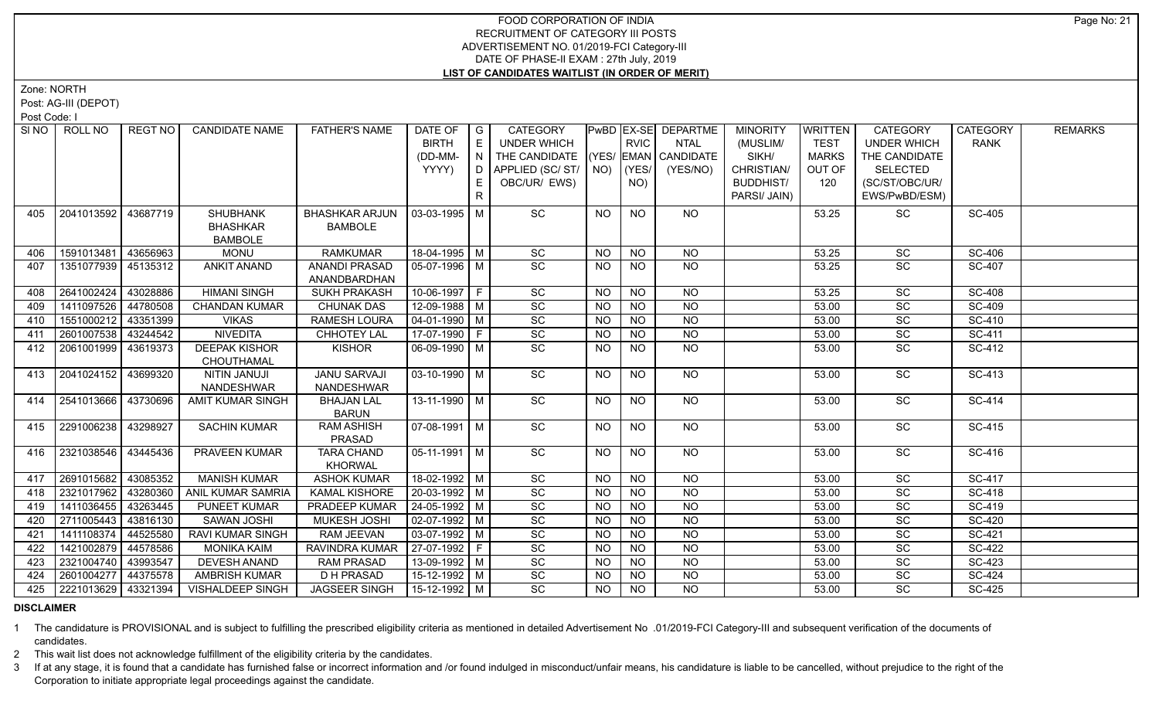Zone: NORTH

Post: AG-III (DEPOT)

Post Code: I

| SI NO 1 | ROLL NO               | REGT NO  | <b>CANDIDATE NAME</b>    | <b>FATHER'S NAME</b>  | DATE OF                | $\overline{\phantom{a}}$ G | <b>CATEGORY</b>                    |           |                | <b>PwBD EX-SE DEPARTME</b> | <b>MINORITY</b>  | <b>WRITTEN</b> | <b>CATEGORY</b>    | <b>CATEGORY</b> | <b>REMARKS</b> |
|---------|-----------------------|----------|--------------------------|-----------------------|------------------------|----------------------------|------------------------------------|-----------|----------------|----------------------------|------------------|----------------|--------------------|-----------------|----------------|
|         |                       |          |                          |                       | <b>BIRTH</b>           | E                          | UNDER WHICH                        |           | <b>RVIC</b>    | <b>NTAL</b>                | (MUSLIM/         | <b>TEST</b>    | <b>UNDER WHICH</b> | <b>RANK</b>     |                |
|         |                       |          |                          |                       | (DD-MM-                | N                          | THE CANDIDATE (YES/ EMAN CANDIDATE |           |                |                            | SIKH/            | <b>MARKS</b>   | THE CANDIDATE      |                 |                |
|         |                       |          |                          |                       | YYYY)                  |                            | $D$ APPLIED (SC/ST/ $N$ ) (YES/    |           |                | (YES/NO)                   | CHRISTIAN/       | OUT OF         | SELECTED           |                 |                |
|         |                       |          |                          |                       |                        | E.                         | OBC/UR/ EWS)                       |           | NO)            |                            | <b>BUDDHIST/</b> | 120            | (SC/ST/OBC/UR/     |                 |                |
|         |                       |          |                          |                       |                        | R                          |                                    |           |                |                            | PARSI/ JAIN)     |                | EWS/PwBD/ESM)      |                 |                |
| 405     | 2041013592   43687719 |          | <b>SHUBHANK</b>          | <b>BHASHKAR ARJUN</b> | 03-03-1995   M         |                            | SC                                 | <b>NO</b> | <b>NO</b>      | NO.                        |                  | 53.25          | SC                 | SC-405          |                |
|         |                       |          | <b>BHASHKAR</b>          | <b>BAMBOLE</b>        |                        |                            |                                    |           |                |                            |                  |                |                    |                 |                |
|         |                       |          | <b>BAMBOLE</b>           |                       |                        |                            |                                    |           |                |                            |                  |                |                    |                 |                |
| 406     | 1591013481            | 43656963 | <b>MONU</b>              | <b>RAMKUMAR</b>       | 18-04-1995 M           |                            | SC                                 | <b>NO</b> | <b>NO</b>      | <b>NO</b>                  |                  | 53.25          | SC                 | SC-406          |                |
| 407     | 1351077939   45135312 |          | <b>ANKIT ANAND</b>       | ANANDI PRASAD         | 05-07-1996 M           |                            | $\overline{SC}$                    | <b>NO</b> | <b>NO</b>      | <b>NO</b>                  |                  | 53.25          | SC                 | <b>SC-407</b>   |                |
|         |                       |          |                          | ANANDBARDHAN          |                        |                            |                                    |           |                |                            |                  |                |                    |                 |                |
| 408     | 2641002424            | 43028886 | <b>HIMANI SINGH</b>      | <b>SUKH PRAKASH</b>   | 10-06-1997 F           |                            | SC                                 | <b>NO</b> | <b>NO</b>      | <b>NO</b>                  |                  | 53.25          | SC                 | <b>SC-408</b>   |                |
| 409     | 1411097526            | 44780508 | <b>CHANDAN KUMAR</b>     | <b>CHUNAK DAS</b>     | 12-09-1988 M           |                            | SC                                 | <b>NO</b> | <b>NO</b>      | <b>NO</b>                  |                  | 53.00          | SC                 | SC-409          |                |
| 410     | 1551000212 43351399   |          | <b>VIKAS</b>             | <b>RAMESH LOURA</b>   | $ 04-01-1990 $ M       |                            | SC                                 | <b>NO</b> | N <sub>O</sub> | N <sub>O</sub>             |                  | 53.00          | SC                 | SC-410          |                |
| 411     | 2601007538 43244542   |          | <b>NIVEDITA</b>          | <b>CHHOTEY LAL</b>    | 17-07-1990 F           |                            | SC                                 | <b>NO</b> | $N$ O          | NO                         |                  | 53.00          | SC                 | SC-411          |                |
| 412     | 2061001999 43619373   |          | <b>DEEPAK KISHOR</b>     | <b>KISHOR</b>         | $06-09-1990$ M         |                            | SC                                 | NO.       | <b>NO</b>      | NO                         |                  | 53.00          | SC                 | SC-412          |                |
|         |                       |          | CHOUTHAMAL               |                       |                        |                            |                                    |           |                |                            |                  |                |                    |                 |                |
| 413     | 2041024152 43699320   |          | <b>NITIN JANUJI</b>      | <b>JANU SARVAJI</b>   | 03-10-1990   M         |                            | SC                                 | <b>NO</b> | <b>NO</b>      | NO.                        |                  | 53.00          | SC                 | SC-413          |                |
|         |                       |          | NANDESHWAR               | NANDESHWAR            |                        |                            |                                    |           |                |                            |                  |                |                    |                 |                |
| 414     | 2541013666 43730696   |          | AMIT KUMAR SINGH         | <b>BHAJAN LAL</b>     | $13 - 11 - 1990$ M     |                            | $\overline{SC}$                    | <b>NO</b> | <b>NO</b>      | NO.                        |                  | 53.00          | <b>SC</b>          | SC-414          |                |
|         |                       |          |                          | <b>BARUN</b>          |                        |                            |                                    |           |                |                            |                  |                |                    |                 |                |
| 415     | 2291006238 43298927   |          | <b>SACHIN KUMAR</b>      | <b>RAM ASHISH</b>     | 07-08-1991 M           |                            | $\overline{SC}$                    | NO.       | <b>NO</b>      | NO                         |                  | 53.00          | $\overline{SC}$    | SC-415          |                |
|         |                       |          |                          | PRASAD                |                        |                            |                                    |           |                |                            |                  |                |                    |                 |                |
| 416     | 2321038546 43445436   |          | PRAVEEN KUMAR            | <b>TARA CHAND</b>     | $\boxed{05-11-1991}$ M |                            | $\overline{SC}$                    | <b>NO</b> | <b>NO</b>      | NO                         |                  | 53.00          | SC                 | SC-416          |                |
|         |                       |          |                          | <b>KHORWAL</b>        |                        |                            |                                    |           |                |                            |                  |                |                    |                 |                |
| 417     | 2691015682 43085352   |          | <b>MANISH KUMAR</b>      | <b>ASHOK KUMAR</b>    | 18-02-1992 M           |                            | SC                                 | <b>NO</b> | <b>NO</b>      | N <sub>O</sub>             |                  | 53.00          | SC                 | SC-417          |                |
| 418     | 2321017962 43280360   |          | <b>ANIL KUMAR SAMRIA</b> | <b>KAMAL KISHORE</b>  | $20-03-1992$ M         |                            | SC                                 | <b>NO</b> | <b>NO</b>      | N <sub>O</sub>             |                  | 53.00          | SC                 | SC-418          |                |
| 419     | 1411036455 43263445   |          | PUNEET KUMAR             | PRADEEP KUMAR         | 24-05-1992 M           |                            | SC                                 | <b>NO</b> | $N$ O          | $N$ O                      |                  | 53.00          | SC                 | SC-419          |                |
| 420     | 2711005443            | 43816130 | SAWAN JOSHI              | MUKESH JOSHI          | 02-07-1992 M           |                            | SC                                 | <b>NO</b> | <b>NO</b>      | <b>NO</b>                  |                  | 53.00          | SC                 | SC-420          |                |
| 421     | 1411108374            | 44525580 | RAVI KUMAR SINGH         | <b>RAM JEEVAN</b>     | $\sqrt{03-07-1992}$ M  |                            | SC                                 | <b>NO</b> | $N$ O          | NO                         |                  | 53.00          | SC                 | <b>SC-421</b>   |                |
| 422     | 1421002879            | 44578586 | <b>MONIKA KAIM</b>       | RAVINDRA KUMAR        | $27-07-1992$ F         |                            | SC                                 | <b>NO</b> | <b>NO</b>      | <b>NO</b>                  |                  | 53.00          | SC                 | SC-422          |                |
| 423     | 2321004740            | 43993547 | <b>DEVESH ANAND</b>      | <b>RAM PRASAD</b>     | $13-09-1992$ M         |                            | SC                                 | NO.       | <b>NO</b>      | <b>NO</b>                  |                  | 53.00          | SC                 | SC-423          |                |
| 424     | 2601004277            | 44375578 | AMBRISH KUMAR            | <b>D H PRASAD</b>     | $15-12-1992$ M         |                            | SC                                 | <b>NO</b> | N <sub>O</sub> | $N$ O                      |                  | 53.00          | SC                 | <b>SC-424</b>   |                |
| 425     | 2221013629 43321394   |          | <b>VISHALDEEP SINGH</b>  | <b>JAGSEER SINGH</b>  | 15-12-1992   M         |                            | <b>SC</b>                          | NO.       | <b>NO</b>      | <b>NO</b>                  |                  | 53.00          | <b>SC</b>          | SC-425          |                |

#### **DISCLAIMER**

1 The candidature is PROVISIONAL and is subject to fulfilling the prescribed eligibility criteria as mentioned in detailed Advertisement No .01/2019-FCI Category-III and subsequent verification of the documents of candidates.

2 This wait list does not acknowledge fulfillment of the eligibility criteria by the candidates.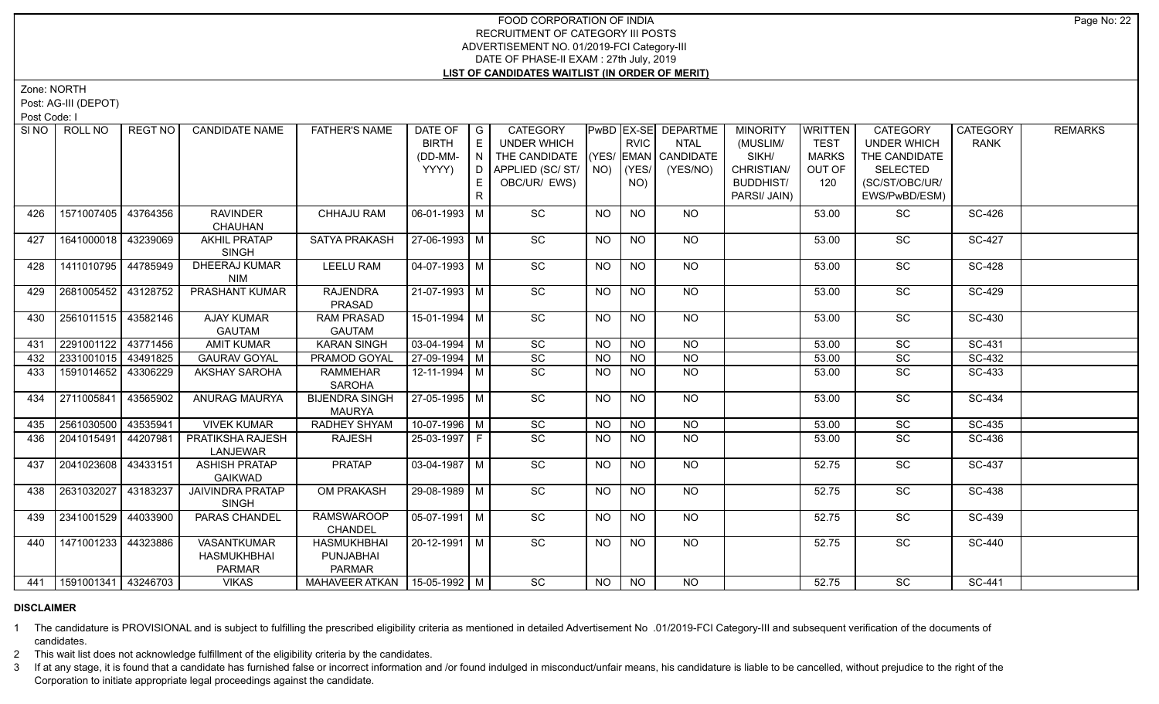Zone: NORTH

Post: AG-III (DEPOT)

Post Code: I

| SI NO | ROLL NO                     | <b>REGT NO</b> | <b>CANDIDATE NAME</b>                                     | <b>FATHER'S NAME</b>                             | DATE OF                   | $\overline{\phantom{a}}$ G | <b>CATEGORY</b>    |           |                 | <b>PwBD EX-SE DEPARTME</b> | <b>MINORITY</b>  | <b>WRITTEN</b> | <b>CATEGORY</b>    | <b>CATEGORY</b> | <b>REMARKS</b> |
|-------|-----------------------------|----------------|-----------------------------------------------------------|--------------------------------------------------|---------------------------|----------------------------|--------------------|-----------|-----------------|----------------------------|------------------|----------------|--------------------|-----------------|----------------|
|       |                             |                |                                                           |                                                  | <b>BIRTH</b>              | E                          | <b>UNDER WHICH</b> |           | <b>RVIC</b>     | <b>NTAL</b>                | (MUSLIM/         | <b>TEST</b>    | <b>UNDER WHICH</b> | <b>RANK</b>     |                |
|       |                             |                |                                                           |                                                  | (DD-MM-                   | $\overline{N}$             | THE CANDIDATE      |           |                 | (YES/ EMAN CANDIDATE       | SIKH/            | <b>MARKS</b>   | THE CANDIDATE      |                 |                |
|       |                             |                |                                                           |                                                  | YYYY)                     | D.                         | APPLIED (SC/ST/    | NO)       | (YES/           | (YES/NO)                   | CHRISTIAN/       | OUT OF         | <b>SELECTED</b>    |                 |                |
|       |                             |                |                                                           |                                                  |                           | E.                         | OBC/UR/ EWS)       |           | NO)             |                            | <b>BUDDHIST/</b> | 120            | (SC/ST/OBC/UR/     |                 |                |
|       |                             |                |                                                           |                                                  |                           | R                          |                    |           |                 |                            | PARSI/ JAIN)     |                | EWS/PwBD/ESM)      |                 |                |
| 426   | 1571007405                  | 43764356       | <b>RAVINDER</b><br>CHAUHAN                                | <b>CHHAJU RAM</b>                                | 06-01-1993 M              |                            | SC                 | NO        | <b>NO</b>       | NO                         |                  | 53.00          | SC                 | SC-426          |                |
| 427   | 1641000018 43239069         |                | <b>AKHIL PRATAP</b><br><b>SINGH</b>                       | <b>SATYA PRAKASH</b>                             | 27-06-1993 M              |                            | SC                 | <b>NO</b> | <b>NO</b>       | NO                         |                  | 53.00          | SC                 | <b>SC-427</b>   |                |
| 428   | 1411010795                  | 44785949       | <b>DHEERAJ KUMAR</b><br><b>NIM</b>                        | <b>LEELU RAM</b>                                 | $\overline{04-07-1993}$ M |                            | $\overline{SC}$    | NO.       | <b>NO</b>       | $\overline{NQ}$            |                  | 53.00          | $\overline{SC}$    | <b>SC-428</b>   |                |
| 429   | 2681005452 43128752         |                | <b>PRASHANT KUMAR</b>                                     | <b>RAJENDRA</b><br>PRASAD                        | $21-07-1993$ M            |                            | $\overline{SC}$    | <b>NO</b> | $\overline{NO}$ | N <sub>O</sub>             |                  | 53.00          | $\overline{SC}$    | SC-429          |                |
| 430   | 2561011515   43582146       |                | <b>AJAY KUMAR</b>                                         | <b>RAM PRASAD</b>                                | 15-01-1994 M              |                            | $\overline{SC}$    | NO.       | <b>NO</b>       | $N$ O                      |                  | 53.00          | $\overline{SC}$    | SC-430          |                |
|       |                             |                | <b>GAUTAM</b>                                             | <b>GAUTAM</b>                                    |                           |                            |                    |           |                 |                            |                  |                |                    |                 |                |
| 431   | 2291001122                  | 43771456       | <b>AMIT KUMAR</b>                                         | <b>KARAN SINGH</b>                               | $03-04-1994$ M            |                            | SC                 | NO        | N <sub>O</sub>  | <b>NO</b>                  |                  | 53.00          | SC                 | SC-431          |                |
| 432   | 2331001015                  | 43491825       | <b>GAURAV GOYAL</b>                                       | <b>PRAMOD GOYAL</b>                              | 27-09-1994 M              |                            | SC                 | <b>NO</b> | <b>NO</b>       | N <sub>O</sub>             |                  | 53.00          | SC                 | SC-432          |                |
| 433   | 1591014652 3306229          |                | AKSHAY SAROHA                                             | <b>RAMMEHAR</b><br><b>SAROHA</b>                 | $12 - 11 - 1994$ M        |                            | $\overline{SC}$    | NO.       | <b>NO</b>       | $N$ O                      |                  | 53.00          | SC                 | SC-433          |                |
| 434   | 2711005841                  | 43565902       | <b>ANURAG MAURYA</b>                                      | <b>BIJENDRA SINGH</b><br><b>MAURYA</b>           | 27-05-1995 M              |                            | SC                 | NO.       | <b>NO</b>       | <b>NO</b>                  |                  | 53.00          | SC                 | SC-434          |                |
| 435   | 2561030500 43535941         |                | <b>VIVEK KUMAR</b>                                        | <b>RADHEY SHYAM</b>                              | 10-07-1996 M              |                            | SC                 | NO        | <b>NO</b>       | <b>NO</b>                  |                  | 53.00          | SC                 | SC-435          |                |
| 436   | 2041015491                  | 44207981       | PRATIKSHA RAJESH<br>LANJEWAR                              | <b>RAJESH</b>                                    | 25-03-1997 F              |                            | SC                 | NO.       | <b>NO</b>       | $\overline{NQ}$            |                  | 53.00          | SC                 | SC-436          |                |
| 437   | 2041023608   43433151       |                | <b>ASHISH PRATAP</b><br><b>GAIKWAD</b>                    | <b>PRATAP</b>                                    | $03-04-1987$ M            |                            | $\overline{SC}$    | NO        | N <sub>O</sub>  | <b>NO</b>                  |                  | 52.75          | $\overline{SC}$    | SC-437          |                |
| 438   | 2631032027                  | 43183237       | <b>JAIVINDRA PRATAP</b><br><b>SINGH</b>                   | OM PRAKASH                                       | 29-08-1989 M              |                            | $\overline{SC}$    | NO        | <b>NO</b>       | NO                         |                  | 52.75          | SC                 | SC-438          |                |
| 439   | 2341001529 44033900         |                | PARAS CHANDEL                                             | <b>RAMSWAROOP</b><br><b>CHANDEL</b>              | $05-07-1991$ M            |                            | SC                 | <b>NO</b> | N <sub>O</sub>  | NO                         |                  | 52.75          | $\overline{SC}$    | SC-439          |                |
| 440   | 1471001233 44323886         |                | <b>VASANTKUMAR</b><br><b>HASMUKHBHAI</b><br><b>PARMAR</b> | <b>HASMUKHBHAI</b><br>PUNJABHAI<br><b>PARMAR</b> | 20-12-1991 M              |                            | SC                 | NO.       | <b>NO</b>       | <b>NO</b>                  |                  | 52.75          | SC                 | <b>SC-440</b>   |                |
|       | 441   1591001341   43246703 |                | <b>VIKAS</b>                                              | MAHAVEER ATKAN   15-05-1992   M                  |                           |                            | SC                 | NO        | <b>NO</b>       | NO.                        |                  | 52.75          | <b>SC</b>          | SC-441          |                |

### **DISCLAIMER**

1 The candidature is PROVISIONAL and is subject to fulfilling the prescribed eligibility criteria as mentioned in detailed Advertisement No .01/2019-FCI Category-III and subsequent verification of the documents of candidates.

2 This wait list does not acknowledge fulfillment of the eligibility criteria by the candidates.

3 If at any stage, it is found that a candidate has furnished false or incorrect information and /or found indulged in misconduct/unfair means, his candidature is liable to be cancelled, without prejudice to the right of t Corporation to initiate appropriate legal proceedings against the candidate.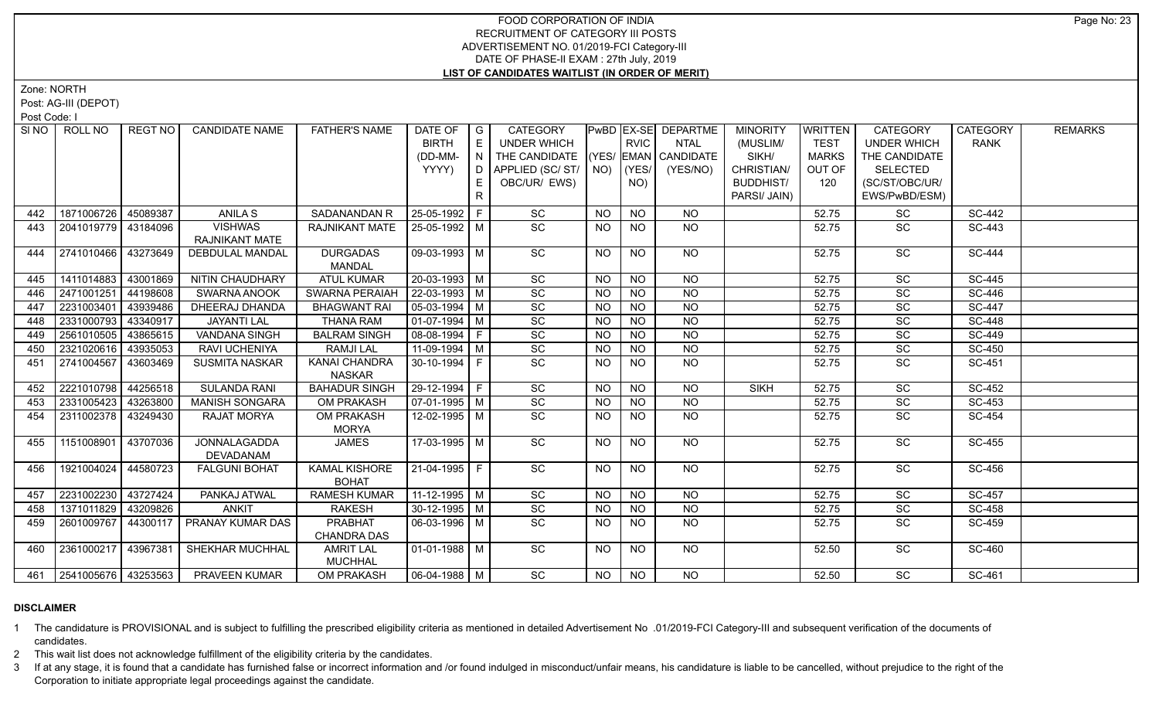Zone: NORTH

Post: AG-III (DEPOT)

Post Code: I

|     | SINO   ROLL NO        | REGT NO  | <b>CANDIDATE NAME</b>                 | <b>FATHER'S NAME</b>  | DATE OF                      | $\overline{G}$ | <b>CATEGORY</b>              |           |                 | <b>PwBD EX-SE DEPARTME</b> | <b>MINORITY</b>  | <b>WRITTEN</b> | CATEGORY           | <b>CATEGORY</b>      | <b>REMARKS</b> |
|-----|-----------------------|----------|---------------------------------------|-----------------------|------------------------------|----------------|------------------------------|-----------|-----------------|----------------------------|------------------|----------------|--------------------|----------------------|----------------|
|     |                       |          |                                       |                       | <b>BIRTH</b>                 | E              | <b>UNDER WHICH</b>           |           | <b>RVIC</b>     | <b>NTAL</b>                | (MUSLIM/         | <b>TEST</b>    | <b>UNDER WHICH</b> | <b>RANK</b>          |                |
|     |                       |          |                                       |                       | (DD-MM-                      | N              | THE CANDIDATE                |           |                 | $ (YES/ EMAN )$ CANDIDATE  | SIKH/            | <b>MARKS</b>   | THE CANDIDATE      |                      |                |
|     |                       |          |                                       |                       | YYYY)                        | D              | APPLIED (SC/ST/              | NO)       | $ $ (YES/       | (YES/NO)                   | CHRISTIAN/       | OUT OF         | <b>SELECTED</b>    |                      |                |
|     |                       |          |                                       |                       |                              | E.             | OBC/UR/ EWS)                 |           | NO)             |                            | <b>BUDDHIST/</b> | 120            | (SC/ST/OBC/UR/     |                      |                |
|     |                       |          |                                       |                       |                              | R              |                              |           |                 |                            | PARSI/ JAIN)     |                | EWS/PwBD/ESM)      |                      |                |
| 442 | 1871006726            | 45089387 | ANILA S                               | SADANANDAN R          | 25-05-1992 F                 |                | SC                           | <b>NO</b> | <b>NO</b>       | <b>NO</b>                  |                  | 52.75          | SC                 | <b>SC-442</b>        |                |
| 443 | 2041019779   43184096 |          | <b>VISHWAS</b>                        | <b>RAJNIKANT MATE</b> | 25-05-1992 M                 |                | $\overline{SC}$              | <b>NO</b> | N <sub>O</sub>  | NO.                        |                  | 52.75          | <b>SC</b>          | SC-443               |                |
|     |                       |          | RAJNIKANT MATE                        |                       |                              |                |                              |           |                 |                            |                  |                |                    |                      |                |
| 444 | 2741010466 43273649   |          | <b>DEBDULAL MANDAL</b>                | <b>DURGADAS</b>       | 09-03-1993 M                 |                | SC                           | <b>NO</b> | <b>NO</b>       | <b>NO</b>                  |                  | 52.75          | <b>SC</b>          | <b>SC-444</b>        |                |
|     |                       |          |                                       | MANDAL                |                              |                |                              |           |                 |                            |                  |                |                    |                      |                |
| 445 | 1411014883            | 43001869 | NITIN CHAUDHARY                       | <b>ATUL KUMAR</b>     | 20-03-1993 M                 |                | SC                           | <b>NO</b> | <b>NO</b>       | <b>NO</b>                  |                  | 52.75          | $\overline{SC}$    | $\overline{SC}$ -445 |                |
| 446 | 2471001251            | 44198608 | <b>SWARNA ANOOK</b>                   | <b>SWARNA PERAIAH</b> | 22-03-1993 M                 |                | $\overline{SC}$              | <b>NO</b> | <b>NO</b>       | <b>NO</b>                  |                  | 52.75          | $\overline{SC}$    | SC-446               |                |
| 447 | 2231003401            | 43939486 | <b>DHEERAJ DHANDA</b>                 | <b>BHAGWANT RAI</b>   | $05-03-1994$ M               |                | SC                           | <b>NO</b> | $\overline{NO}$ | $\overline{NO}$            |                  | 52.75          | SC                 | <b>SC-447</b>        |                |
| 448 | 2331000793            | 43340917 | <b>JAYANTI LAL</b>                    | <b>THANA RAM</b>      | $01-07-1994$ M               |                | SC                           | <b>NO</b> | <b>NO</b>       | $\overline{NO}$            |                  | 52.75          | $\overline{SC}$    | <b>SC-448</b>        |                |
| 449 | 2561010505            | 43865615 | <b>VANDANA SINGH</b>                  | <b>BALRAM SINGH</b>   | 08-08-1994   F               |                | SC                           | <b>NO</b> | <b>NO</b>       | $\overline{NO}$            |                  | 52.75          | SC                 | <b>SC-449</b>        |                |
| 450 | 2321020616            | 43935053 | RAVI UCHENIYA                         | <b>RAMJILAL</b>       | 11-09-1994 M                 |                | SC                           | <b>NO</b> | <b>NO</b>       | $\overline{NQ}$            |                  | 52.75          | SC                 | SC-450               |                |
| 451 | 2741004567            | 43603469 | <b>SUSMITA NASKAR</b>                 | <b>KANAI CHANDRA</b>  | $30-10-1994$ F               |                | $\overline{SC}$              | <b>NO</b> | <b>NO</b>       | <b>NO</b>                  |                  | 52.75          | SC                 | SC-451               |                |
|     |                       |          |                                       | <b>NASKAR</b>         |                              |                |                              |           |                 |                            |                  |                |                    |                      |                |
| 452 | 2221010798 44256518   |          | <b>SULANDA RANI</b>                   | <b>BAHADUR SINGH</b>  | 29-12-1994 F                 |                | $\overline{SC}$              | <b>NO</b> | <b>NO</b>       | <b>NO</b>                  | <b>SIKH</b>      | 52.75          | SC                 | SC-452               |                |
| 453 | 2331005423            | 43263800 | <b>MANISH SONGARA</b>                 | OM PRAKASH            | $07-01-1995$ M               |                | $\overline{SC}$              | <b>NO</b> | <b>NO</b>       | N <sub>O</sub>             |                  | 52.75          | $\overline{SC}$    | SC-453               |                |
| 454 | 2311002378            | 43249430 | <b>RAJAT MORYA</b>                    | <b>OM PRAKASH</b>     | 12-02-1995   M               |                | $\overline{SC}$              | <b>NO</b> | $\overline{NO}$ | $\overline{NO}$            |                  | 52.75          | <b>SC</b>          | SC-454               |                |
|     |                       |          |                                       | <b>MORYA</b>          |                              |                |                              |           |                 |                            |                  |                |                    |                      |                |
| 455 | 1151008901            | 43707036 | <b>JONNALAGADDA</b>                   | <b>JAMES</b>          | 17-03-1995 M                 |                | $\overline{SC}$              | <b>NO</b> | <b>NO</b>       | NO                         |                  | 52.75          | $\overline{SC}$    | SC-455               |                |
|     |                       |          | DEVADANAM                             |                       |                              |                |                              |           |                 |                            |                  |                |                    |                      |                |
| 456 | 1921004024            | 44580723 | <b>FALGUNI BOHAT</b>                  | <b>KAMAL KISHORE</b>  | $21-04-1995$   F             |                | SC                           | NO.       | <b>NO</b>       | NO                         |                  | 52.75          | SC                 | SC-456               |                |
|     |                       |          |                                       | <b>BOHAT</b>          |                              |                |                              |           |                 |                            |                  |                |                    |                      |                |
| 457 | 2231002230            | 43727424 | PANKAJ ATWAL                          | <b>RAMESH KUMAR</b>   | 11-12-1995 M                 |                | SC                           | <b>NO</b> | <b>NO</b>       | <b>NO</b>                  |                  | 52.75          | SC                 | SC-457               |                |
| 458 | 1371011829            | 43209826 | <b>ANKIT</b>                          | RAKESH                | 30-12-1995   M               |                | $\operatorname{\textsf{SC}}$ | <b>NO</b> | <b>NO</b>       | <b>NO</b>                  |                  | 52.75          | SC                 | SC-458               |                |
| 459 | 2601009767            | 44300117 | PRANAY KUMAR DAS                      | <b>PRABHAT</b>        | 06-03-1996 M                 |                | SC                           | NO.       | <b>NO</b>       | <b>NO</b>                  |                  | 52.75          | SC                 | SC-459               |                |
|     |                       |          |                                       | <b>CHANDRA DAS</b>    |                              |                |                              |           |                 |                            |                  |                |                    |                      |                |
| 460 | 2361000217            | 43967381 | SHEKHAR MUCHHAL                       | <b>AMRIT LAL</b>      | $01-01-1988$ M               |                | $\overline{SC}$              | <b>NO</b> | <b>NO</b>       | NO                         |                  | 52.50          | $\overline{SC}$    | <b>SC-460</b>        |                |
|     |                       |          |                                       | <b>MUCHHAL</b>        |                              |                |                              |           |                 |                            |                  |                |                    |                      |                |
|     |                       |          | 461 2541005676 43253563 PRAVEEN KUMAR | <b>OM PRAKASH</b>     | $\vert$ 06-04-1988 $\vert$ M |                | $\overline{SC}$              | <b>NO</b> | N               | N <sub>O</sub>             |                  | 52.50          | $\overline{SC}$    | SC-461               |                |

### **DISCLAIMER**

1 The candidature is PROVISIONAL and is subject to fulfilling the prescribed eligibility criteria as mentioned in detailed Advertisement No .01/2019-FCI Category-III and subsequent verification of the documents of candidates.

2 This wait list does not acknowledge fulfillment of the eligibility criteria by the candidates.

3 If at any stage, it is found that a candidate has furnished false or incorrect information and /or found indulged in misconduct/unfair means, his candidature is liable to be cancelled, without prejudice to the right of t Corporation to initiate appropriate legal proceedings against the candidate.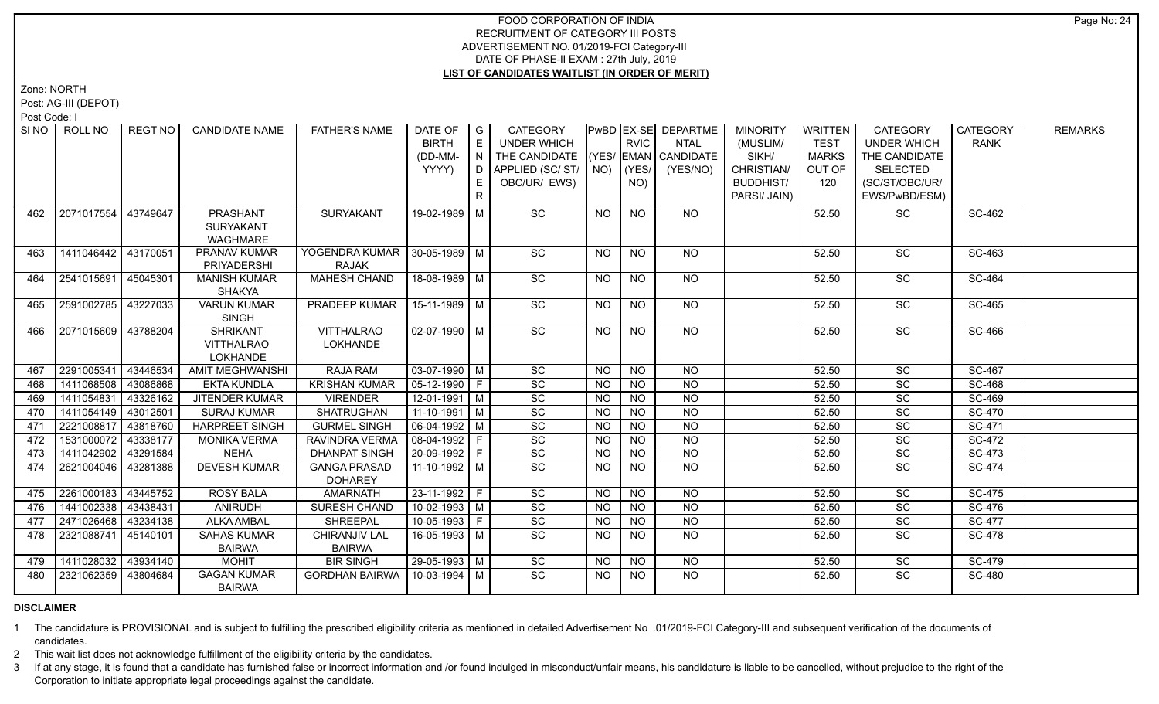Zone: NORTH

Post: AG-III (DEPOT)

Post Code: I

| SINO I | ROLL NO             | <b>REGT NO</b> | <b>CANDIDATE NAME</b>               | <b>FATHER'S NAME</b>                  | DATE OF<br><b>BIRTH</b><br>(DD-MM- | I G<br>E<br>IN. | <b>CATEGORY</b><br>UNDER WHICH<br>THE CANDIDATE (YES/ EMAN CANDIDATE |                | <b>RVIC</b>     | PwBD EX-SE DEPARTME<br><b>NTAL</b> | <b>MINORITY</b><br>(MUSLIM/<br>SIKH/ | <b>WRITTEN</b><br><b>TEST</b><br><b>MARKS</b> | <b>CATEGORY</b><br><b>UNDER WHICH</b><br>THE CANDIDATE | <b>CATEGORY</b><br><b>RANK</b> | <b>REMARKS</b> |
|--------|---------------------|----------------|-------------------------------------|---------------------------------------|------------------------------------|-----------------|----------------------------------------------------------------------|----------------|-----------------|------------------------------------|--------------------------------------|-----------------------------------------------|--------------------------------------------------------|--------------------------------|----------------|
|        |                     |                |                                     |                                       | YYYY)                              |                 | D APPLIED (SC/ ST/ NO)                                               |                | (YES/           | (YES/NO)                           | CHRISTIAN/                           | OUT OF                                        | SELECTED                                               |                                |                |
|        |                     |                |                                     |                                       |                                    | E.              | OBC/UR/ EWS)                                                         |                | NO)             |                                    | <b>BUDDHIST/</b>                     | 120                                           | (SC/ST/OBC/UR/                                         |                                |                |
|        |                     |                |                                     |                                       |                                    | R               |                                                                      |                |                 |                                    | PARSI/ JAIN)                         |                                               | EWS/PwBD/ESM)                                          |                                |                |
| 462    | 2071017554          | 43749647       | <b>PRASHANT</b>                     | <b>SURYAKANT</b>                      | 19-02-1989 M                       |                 | SC                                                                   | <b>NO</b>      | <b>NO</b>       | NO                                 |                                      | 52.50                                         | SC                                                     | SC-462                         |                |
|        |                     |                | <b>SURYAKANT</b>                    |                                       |                                    |                 |                                                                      |                |                 |                                    |                                      |                                               |                                                        |                                |                |
|        |                     |                | <b>WAGHMARE</b>                     |                                       |                                    |                 |                                                                      |                |                 |                                    |                                      |                                               |                                                        |                                |                |
| 463    | 1411046442 43170051 |                | <b>PRANAV KUMAR</b>                 |                                       |                                    |                 | <b>SC</b>                                                            | NO.            | NO              | NO                                 |                                      | 52.50                                         | <b>SC</b>                                              | SC-463                         |                |
|        |                     |                | PRIYADERSHI                         | <b>RAJAK</b>                          |                                    |                 |                                                                      |                |                 |                                    |                                      |                                               |                                                        |                                |                |
| 464    | 2541015691 45045301 |                | <b>MANISH KUMAR</b>                 | <b>MAHESH CHAND</b>                   | $18-08-1989$ M                     |                 | SC                                                                   | <b>NO</b>      | <b>NO</b>       | NO                                 |                                      | 52.50                                         | SC                                                     | SC-464                         |                |
|        |                     |                | <b>SHAKYA</b>                       |                                       |                                    |                 |                                                                      |                |                 |                                    |                                      |                                               |                                                        |                                |                |
| 465    | 2591002785          | 43227033       | <b>VARUN KUMAR</b>                  | PRADEEP KUMAR                         | 15-11-1989   M                     |                 | SC                                                                   | <b>NO</b>      | NO.             | NO                                 |                                      | 52.50                                         | SC                                                     | SC-465                         |                |
|        |                     |                | <b>SINGH</b>                        |                                       |                                    |                 |                                                                      |                |                 |                                    |                                      |                                               |                                                        |                                |                |
| 466    | 2071015609 43788204 |                | <b>SHRIKANT</b>                     | <b>VITTHALRAO</b>                     | 02-07-1990   M                     |                 | $\overline{SC}$                                                      | NO             | <b>NO</b>       | NO                                 |                                      | 52.50                                         | $\overline{SC}$                                        | SC-466                         |                |
|        |                     |                | <b>VITTHALRAO</b>                   | <b>LOKHANDE</b>                       |                                    |                 |                                                                      |                |                 |                                    |                                      |                                               |                                                        |                                |                |
|        |                     |                | <b>LOKHANDE</b>                     |                                       |                                    |                 |                                                                      |                |                 |                                    |                                      |                                               |                                                        |                                |                |
| 467    | 2291005341          | 43446534       | AMIT MEGHWANSHI                     | RAJA RAM                              | $03-07-1990$ M                     |                 | SC                                                                   | <b>NO</b>      | <b>NO</b>       | <b>NO</b>                          |                                      | 52.50                                         | SC                                                     | SC-467                         |                |
| 468    | 1411068508          | 43086868       | <b>EKTA KUNDLA</b>                  | <b>KRISHAN KUMAR</b>                  | 05-12-1990 F                       |                 | SC                                                                   | <b>NO</b>      | <b>NO</b>       | <b>NO</b>                          |                                      | 52.50                                         | SC                                                     | SC-468                         |                |
| 469    | 1411054831          | 43326162       | <b>JITENDER KUMAR</b>               | <b>VIRENDER</b>                       | 12-01-1991 M                       |                 | $\overline{SC}$                                                      | <b>NO</b>      | <b>NO</b>       | <b>NO</b>                          |                                      | 52.50                                         | SC                                                     | <b>SC-469</b>                  |                |
| 470    | 1411054149 43012501 |                | <b>SURAJ KUMAR</b>                  | SHATRUGHAN                            | $11-10-1991$ M                     |                 | SC                                                                   | <b>NO</b>      | <b>NO</b>       | <b>NO</b>                          |                                      | 52.50                                         | SC                                                     | <b>SC-470</b>                  |                |
| 471    | 2221008817 43818760 |                | <b>HARPREET SINGH</b>               | <b>GURMEL SINGH</b>                   | 06-04-1992 M                       |                 | SC                                                                   | <b>NO</b>      | <b>NO</b>       | <b>NO</b>                          |                                      | 52.50                                         | $\overline{SC}$                                        | SC-471                         |                |
| 472    | 1531000072          | 43338177       | <b>MONIKA VERMA</b>                 | RAVINDRA VERMA                        | 08-04-1992 F                       |                 | SC                                                                   | <b>NO</b>      | <b>NO</b>       | <b>NO</b>                          |                                      | 52.50                                         | <b>SC</b>                                              | SC-472                         |                |
| 473    | 1411042902          | 43291584       | <b>NEHA</b>                         | <b>DHANPAT SINGH</b>                  | 20-09-1992 F                       |                 | SC                                                                   | <b>NO</b>      | <b>NO</b>       | <b>NO</b>                          |                                      | 52.50                                         | SC                                                     | SC-473                         |                |
| 474    | 2621004046 43281388 |                | <b>DEVESH KUMAR</b>                 | <b>GANGA PRASAD</b><br><b>DOHAREY</b> | $11-10-1992$ M                     |                 | <b>SC</b>                                                            | <b>NO</b>      | <b>NO</b>       | <b>NO</b>                          |                                      | 52.50                                         | SC                                                     | <b>SC-474</b>                  |                |
| 475    | 2261000183 43445752 |                | <b>ROSY BALA</b>                    | <b>AMARNATH</b>                       | 23-11-1992 F                       |                 | SC                                                                   | N <sub>O</sub> | $\overline{NQ}$ | $\overline{NQ}$                    |                                      | 52.50                                         | $\overline{SC}$                                        | SC-475                         |                |
| 476    | 1441002338 43438431 |                | <b>ANIRUDH</b>                      | SURESH CHAND                          | $10-02-1993$ M                     |                 | SC                                                                   | <b>NO</b>      | <b>NO</b>       | $\overline{NQ}$                    |                                      | 52.50                                         | SC                                                     | SC-476                         |                |
| 477    | 2471026468          | 43234138       | <b>ALKA AMBAL</b>                   | <b>SHREEPAL</b>                       | $10-05-1993$ F                     |                 | SC                                                                   | <b>NO</b>      | <b>NO</b>       | $\overline{NQ}$                    |                                      | 52.50                                         | SC                                                     | <b>SC-477</b>                  |                |
| 478    | 2321088741 45140101 |                | <b>SAHAS KUMAR</b>                  | CHIRANJIV LAL                         | 16-05-1993 M                       |                 | SC                                                                   | NO.            | <b>NO</b>       | $\overline{NO}$                    |                                      | 52.50                                         | $\overline{SC}$                                        | SC-478                         |                |
|        |                     |                | <b>BAIRWA</b>                       | <b>BAIRWA</b>                         |                                    |                 |                                                                      |                |                 |                                    |                                      |                                               |                                                        |                                |                |
| 479    | 1411028032          | 43934140       | <b>MOHIT</b>                        | <b>BIR SINGH</b>                      | 29-05-1993 M                       |                 | $\overline{SC}$                                                      | <b>NO</b>      | <b>NO</b>       | <b>NO</b>                          |                                      | 52.50                                         | SC                                                     | <b>SC-479</b>                  |                |
| 480    | 2321062359 43804684 |                | <b>GAGAN KUMAR</b><br><b>BAIRWA</b> | <b>GORDHAN BAIRWA</b>                 | 10-03-1994   M                     |                 | $\overline{SC}$                                                      | <b>NO</b>      | NO.             | <b>NO</b>                          |                                      | 52.50                                         | SC                                                     | <b>SC-480</b>                  |                |

## **DISCLAIMER**

1 The candidature is PROVISIONAL and is subject to fulfilling the prescribed eligibility criteria as mentioned in detailed Advertisement No .01/2019-FCI Category-III and subsequent verification of the documents of candidates.

2 This wait list does not acknowledge fulfillment of the eligibility criteria by the candidates.

3 If at any stage, it is found that a candidate has furnished false or incorrect information and /or found indulged in misconduct/unfair means, his candidature is liable to be cancelled, without prejudice to the right of t Corporation to initiate appropriate legal proceedings against the candidate.